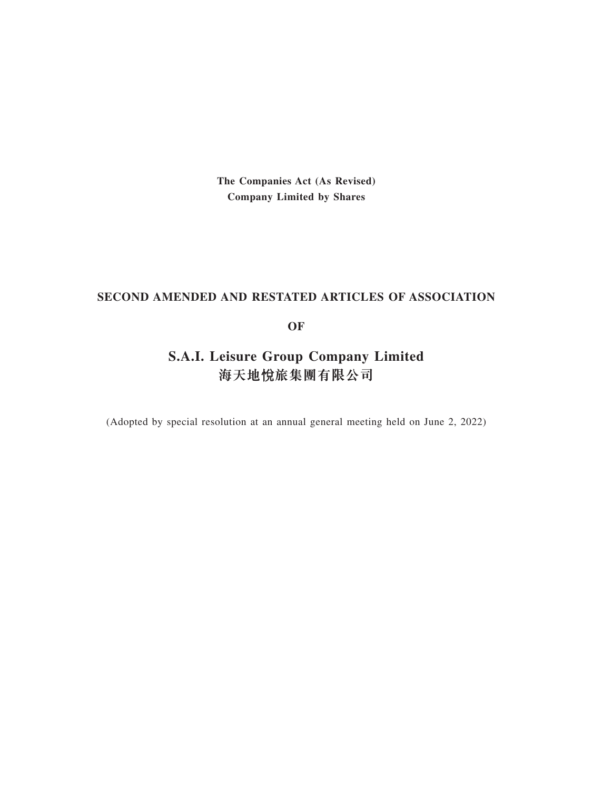**The Companies Act (As Revised) Company Limited by Shares**

# **SECOND AMENDED AND RESTATED ARTICLES OF ASSOCIATION**

# **OF**

# **S.A.I. Leisure Group Company Limited 海天地**ᚵ**旅集團有限公司**

(Adopted by special resolution at an annual general meeting held on June 2, 2022)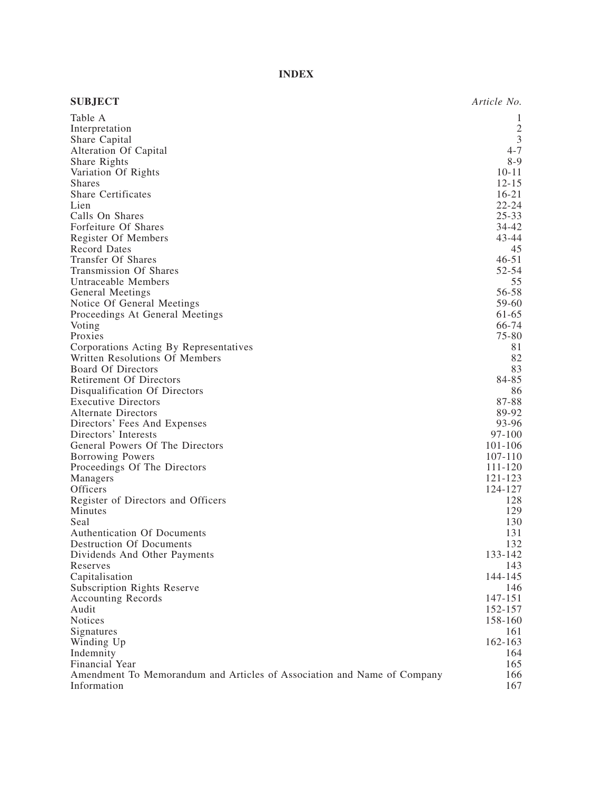# **INDEX**

| <b>SUBJECT</b>                                                          | Article No.    |
|-------------------------------------------------------------------------|----------------|
| Table A                                                                 | 1              |
| Interpretation                                                          | $\frac{2}{3}$  |
| Share Capital                                                           |                |
| Alteration Of Capital                                                   | $4 - 7$        |
| Share Rights                                                            | $8-9$          |
| Variation Of Rights                                                     | $10 - 11$      |
| <b>Shares</b>                                                           | $12 - 15$      |
| <b>Share Certificates</b>                                               | $16 - 21$      |
| Lien                                                                    | $22 - 24$      |
| Calls On Shares                                                         | $25 - 33$      |
| Forfeiture Of Shares                                                    | 34-42          |
| Register Of Members                                                     | 43-44          |
| <b>Record Dates</b>                                                     | 45             |
| Transfer Of Shares                                                      | $46 - 51$      |
| Transmission Of Shares                                                  | 52-54          |
| Untraceable Members                                                     | 55<br>56-58    |
| <b>General Meetings</b>                                                 |                |
| Notice Of General Meetings                                              | 59-60          |
| Proceedings At General Meetings<br>Voting                               | 61-65<br>66-74 |
| Proxies                                                                 | 75-80          |
| Corporations Acting By Representatives                                  | 81             |
| Written Resolutions Of Members                                          | 82             |
| <b>Board Of Directors</b>                                               | 83             |
| <b>Retirement Of Directors</b>                                          | 84-85          |
| Disqualification Of Directors                                           | 86             |
| <b>Executive Directors</b>                                              | 87-88          |
| <b>Alternate Directors</b>                                              | 89-92          |
| Directors' Fees And Expenses                                            | 93-96          |
| Directors' Interests                                                    | $97 - 100$     |
| General Powers Of The Directors                                         | 101-106        |
| Borrowing Powers                                                        | 107-110        |
| Proceedings Of The Directors                                            | 111-120        |
| Managers                                                                | 121-123        |
| Officers                                                                | 124-127        |
| Register of Directors and Officers                                      | 128            |
| Minutes                                                                 | 129            |
| Seal                                                                    | 130            |
| Authentication Of Documents                                             | 131            |
| <b>Destruction Of Documents</b>                                         | 132            |
| Dividends And Other Payments                                            | 133-142        |
| Reserves                                                                | 143            |
| Capitalisation                                                          | 144-145        |
| <b>Subscription Rights Reserve</b>                                      | 146            |
| <b>Accounting Records</b>                                               | 147-151        |
| Audit                                                                   | 152-157        |
| Notices                                                                 | 158-160        |
| Signatures                                                              | 161            |
| Winding Up                                                              | 162-163        |
| Indemnity                                                               | 164            |
| Financial Year                                                          | 165            |
| Amendment To Memorandum and Articles of Association and Name of Company | 166            |
| Information                                                             | 167            |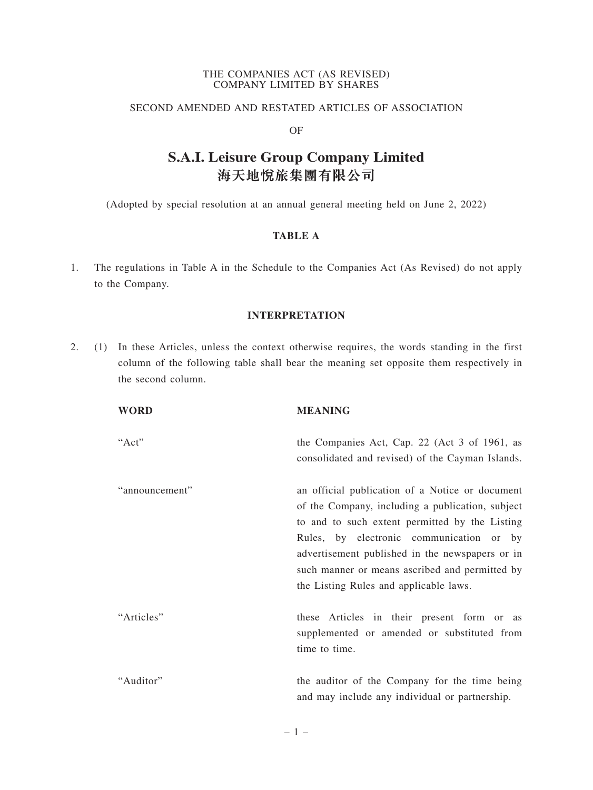#### THE COMPANIES ACT (AS REVISED) COMPANY LIMITED BY SHARES

# SECOND AMENDED AND RESTATED ARTICLES OF ASSOCIATION

# OF

# **海天地⽃旅集團有限公司 S.A.I. Leisure Group Company Limited**

(Adopted by special resolution at an annual general meeting held on June 2, 2022)

# **TABLE A**

1. The regulations in Table A in the Schedule to the Companies Act (As Revised) do not apply to the Company.

# **INTERPRETATION**

2. (1) In these Articles, unless the context otherwise requires, the words standing in the first column of the following table shall bear the meaning set opposite them respectively in the second column.

| WORD           | <b>MEANING</b>                                                                                                                                                                                                                                                                                                                                   |
|----------------|--------------------------------------------------------------------------------------------------------------------------------------------------------------------------------------------------------------------------------------------------------------------------------------------------------------------------------------------------|
| "Act"          | the Companies Act, Cap. 22 (Act 3 of 1961, as<br>consolidated and revised) of the Cayman Islands.                                                                                                                                                                                                                                                |
| "announcement" | an official publication of a Notice or document<br>of the Company, including a publication, subject<br>to and to such extent permitted by the Listing<br>Rules, by electronic communication or by<br>advertisement published in the newspapers or in<br>such manner or means ascribed and permitted by<br>the Listing Rules and applicable laws. |
| "Articles"     | these Articles in their present form or as<br>supplemented or amended or substituted from<br>time to time.                                                                                                                                                                                                                                       |
| "Auditor"      | the auditor of the Company for the time being<br>and may include any individual or partnership.                                                                                                                                                                                                                                                  |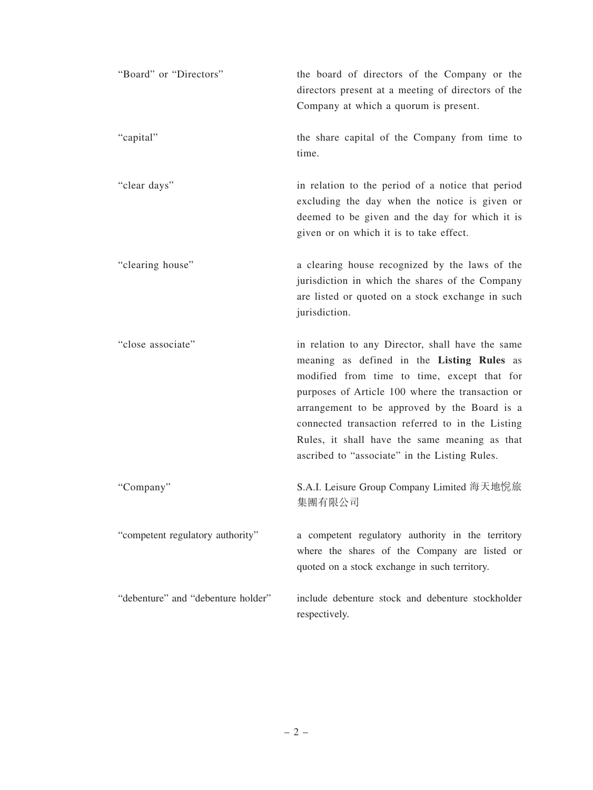| "Board" or "Directors"             | the board of directors of the Company or the<br>directors present at a meeting of directors of the<br>Company at which a quorum is present.                                                                                                                                                                                                                                                             |
|------------------------------------|---------------------------------------------------------------------------------------------------------------------------------------------------------------------------------------------------------------------------------------------------------------------------------------------------------------------------------------------------------------------------------------------------------|
| "capital"                          | the share capital of the Company from time to<br>time.                                                                                                                                                                                                                                                                                                                                                  |
| "clear days"                       | in relation to the period of a notice that period<br>excluding the day when the notice is given or<br>deemed to be given and the day for which it is<br>given or on which it is to take effect.                                                                                                                                                                                                         |
| "clearing house"                   | a clearing house recognized by the laws of the<br>jurisdiction in which the shares of the Company<br>are listed or quoted on a stock exchange in such<br>jurisdiction.                                                                                                                                                                                                                                  |
| "close associate"                  | in relation to any Director, shall have the same<br>meaning as defined in the Listing Rules as<br>modified from time to time, except that for<br>purposes of Article 100 where the transaction or<br>arrangement to be approved by the Board is a<br>connected transaction referred to in the Listing<br>Rules, it shall have the same meaning as that<br>ascribed to "associate" in the Listing Rules. |
| "Company"                          | S.A.I. Leisure Group Company Limited 海天地悅旅<br>集團有限公司                                                                                                                                                                                                                                                                                                                                                    |
| "competent regulatory authority"   | a competent regulatory authority in the territory<br>where the shares of the Company are listed or<br>quoted on a stock exchange in such territory.                                                                                                                                                                                                                                                     |
| "debenture" and "debenture holder" | include debenture stock and debenture stockholder<br>respectively.                                                                                                                                                                                                                                                                                                                                      |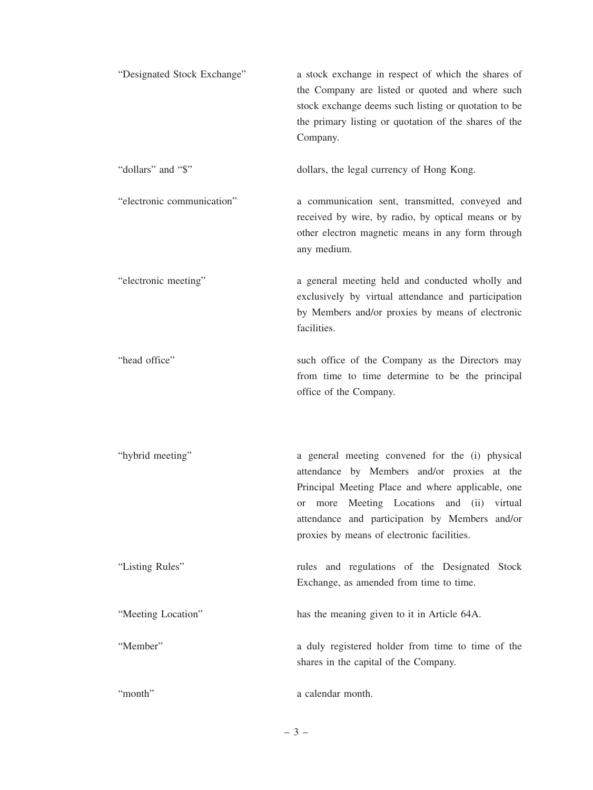| "Designated Stock Exchange" | a stock exchange in respect of which the shares of<br>the Company are listed or quoted and where such<br>stock exchange deems such listing or quotation to be<br>the primary listing or quotation of the shares of the<br>Company.                                                                      |
|-----------------------------|---------------------------------------------------------------------------------------------------------------------------------------------------------------------------------------------------------------------------------------------------------------------------------------------------------|
| "dollars" and "\$"          | dollars, the legal currency of Hong Kong.                                                                                                                                                                                                                                                               |
| "electronic communication"  | a communication sent, transmitted, conveyed and<br>received by wire, by radio, by optical means or by<br>other electron magnetic means in any form through<br>any medium.                                                                                                                               |
| "electronic meeting"        | a general meeting held and conducted wholly and<br>exclusively by virtual attendance and participation<br>by Members and/or proxies by means of electronic<br>facilities.                                                                                                                               |
| "head office"               | such office of the Company as the Directors may<br>from time to time determine to be the principal<br>office of the Company.                                                                                                                                                                            |
| "hybrid meeting"            | a general meeting convened for the (i) physical<br>attendance by Members and/or proxies at the<br>Principal Meeting Place and where applicable, one<br>Meeting Locations and (ii) virtual<br>more<br>or<br>attendance and participation by Members and/or<br>proxies by means of electronic facilities. |
| "Listing Rules"             | rules and regulations of the Designated Stock<br>Exchange, as amended from time to time.                                                                                                                                                                                                                |
| "Meeting Location"          | has the meaning given to it in Article 64A.                                                                                                                                                                                                                                                             |
| "Member"                    | a duly registered holder from time to time of the<br>shares in the capital of the Company.                                                                                                                                                                                                              |
| "month"                     | a calendar month.                                                                                                                                                                                                                                                                                       |

–3–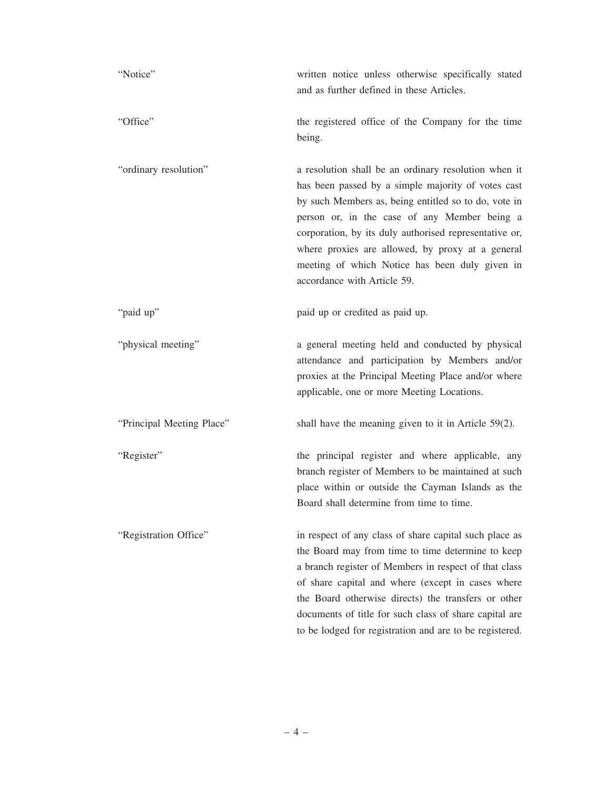| "Notice"                  | written notice unless otherwise specifically stated<br>and as further defined in these Articles.                                                                                                                                                                                                                                                                                                                  |
|---------------------------|-------------------------------------------------------------------------------------------------------------------------------------------------------------------------------------------------------------------------------------------------------------------------------------------------------------------------------------------------------------------------------------------------------------------|
| "Office"                  | the registered office of the Company for the time<br>being.                                                                                                                                                                                                                                                                                                                                                       |
| "ordinary resolution"     | a resolution shall be an ordinary resolution when it<br>has been passed by a simple majority of votes cast<br>by such Members as, being entitled so to do, vote in<br>person or, in the case of any Member being a<br>corporation, by its duly authorised representative or,<br>where proxies are allowed, by proxy at a general<br>meeting of which Notice has been duly given in<br>accordance with Article 59. |
| "paid up"                 | paid up or credited as paid up.                                                                                                                                                                                                                                                                                                                                                                                   |
| "physical meeting"        | a general meeting held and conducted by physical<br>attendance and participation by Members and/or<br>proxies at the Principal Meeting Place and/or where<br>applicable, one or more Meeting Locations.                                                                                                                                                                                                           |
| "Principal Meeting Place" | shall have the meaning given to it in Article $59(2)$ .                                                                                                                                                                                                                                                                                                                                                           |
| "Register"                | the principal register and where applicable, any<br>branch register of Members to be maintained at such<br>place within or outside the Cayman Islands as the<br>Board shall determine from time to time.                                                                                                                                                                                                          |
| "Registration Office"     | in respect of any class of share capital such place as<br>the Board may from time to time determine to keep<br>a branch register of Members in respect of that class<br>of share capital and where (except in cases where<br>the Board otherwise directs) the transfers or other<br>documents of title for such class of share capital are<br>to be lodged for registration and are to be registered.             |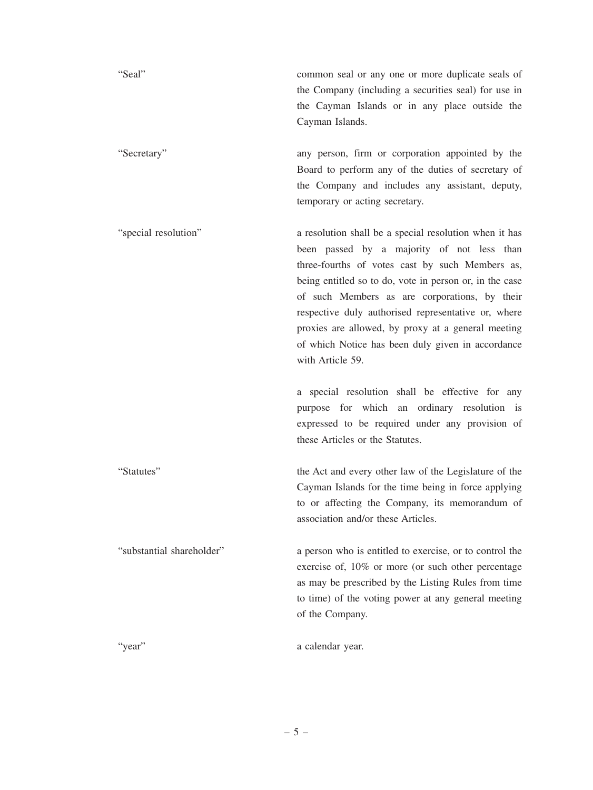"Seal" common seal or any one or more duplicate seals of the Company (including a securities seal) for use in the Cayman Islands or in any place outside the Cayman Islands.

"Secretary" any person, firm or corporation appointed by the Board to perform any of the duties of secretary of the Company and includes any assistant, deputy, temporary or acting secretary.

"special resolution" a resolution shall be a special resolution when it has been passed by a majority of not less than three-fourths of votes cast by such Members as, being entitled so to do, vote in person or, in the case of such Members as are corporations, by their respective duly authorised representative or, where proxies are allowed, by proxy at a general meeting of which Notice has been duly given in accordance with Article 59.

> a special resolution shall be effective for any purpose for which an ordinary resolution is expressed to be required under any provision of these Articles or the Statutes.

"Statutes" the Act and every other law of the Legislature of the Cayman Islands for the time being in force applying to or affecting the Company, its memorandum of association and/or these Articles.

"substantial shareholder" a person who is entitled to exercise, or to control the exercise of, 10% or more (or such other percentage as may be prescribed by the Listing Rules from time to time) of the voting power at any general meeting of the Company.

"year" a calendar year.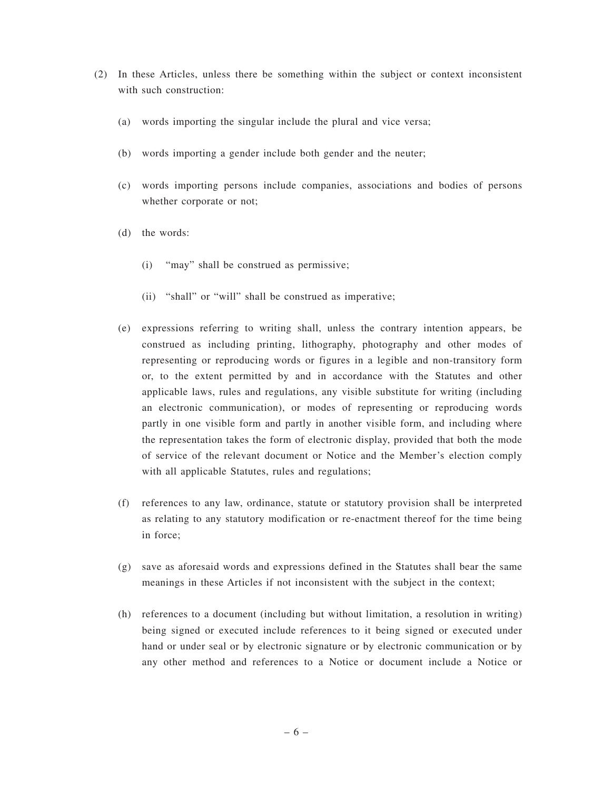- (2) In these Articles, unless there be something within the subject or context inconsistent with such construction:
	- (a) words importing the singular include the plural and vice versa;
	- (b) words importing a gender include both gender and the neuter;
	- (c) words importing persons include companies, associations and bodies of persons whether corporate or not;
	- (d) the words:
		- (i) "may" shall be construed as permissive;
		- (ii) "shall" or "will" shall be construed as imperative;
	- (e) expressions referring to writing shall, unless the contrary intention appears, be construed as including printing, lithography, photography and other modes of representing or reproducing words or figures in a legible and non-transitory form or, to the extent permitted by and in accordance with the Statutes and other applicable laws, rules and regulations, any visible substitute for writing (including an electronic communication), or modes of representing or reproducing words partly in one visible form and partly in another visible form, and including where the representation takes the form of electronic display, provided that both the mode of service of the relevant document or Notice and the Member's election comply with all applicable Statutes, rules and regulations;
	- (f) references to any law, ordinance, statute or statutory provision shall be interpreted as relating to any statutory modification or re-enactment thereof for the time being in force;
	- (g) save as aforesaid words and expressions defined in the Statutes shall bear the same meanings in these Articles if not inconsistent with the subject in the context;
	- (h) references to a document (including but without limitation, a resolution in writing) being signed or executed include references to it being signed or executed under hand or under seal or by electronic signature or by electronic communication or by any other method and references to a Notice or document include a Notice or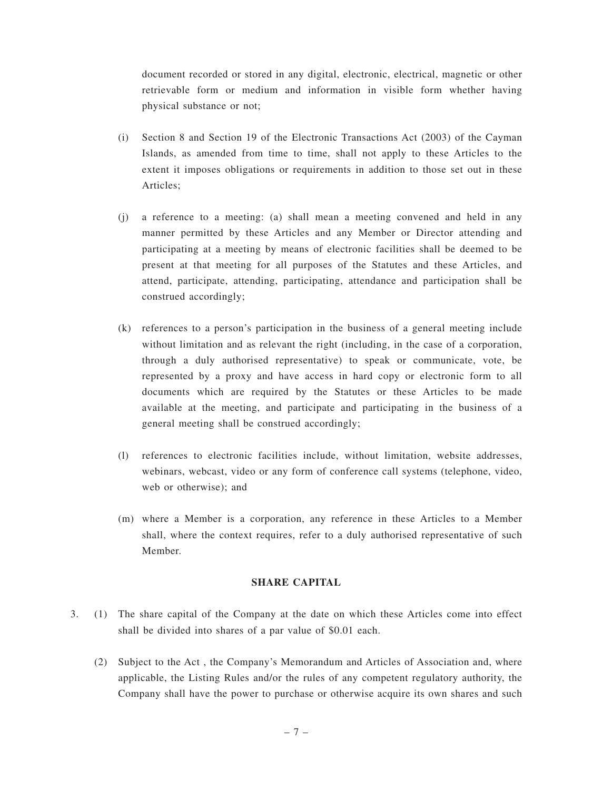document recorded or stored in any digital, electronic, electrical, magnetic or other retrievable form or medium and information in visible form whether having physical substance or not;

- (i) Section 8 and Section 19 of the Electronic Transactions Act (2003) of the Cayman Islands, as amended from time to time, shall not apply to these Articles to the extent it imposes obligations or requirements in addition to those set out in these Articles;
- (j) a reference to a meeting: (a) shall mean a meeting convened and held in any manner permitted by these Articles and any Member or Director attending and participating at a meeting by means of electronic facilities shall be deemed to be present at that meeting for all purposes of the Statutes and these Articles, and attend, participate, attending, participating, attendance and participation shall be construed accordingly;
- (k) references to a person's participation in the business of a general meeting include without limitation and as relevant the right (including, in the case of a corporation, through a duly authorised representative) to speak or communicate, vote, be represented by a proxy and have access in hard copy or electronic form to all documents which are required by the Statutes or these Articles to be made available at the meeting, and participate and participating in the business of a general meeting shall be construed accordingly;
- (l) references to electronic facilities include, without limitation, website addresses, webinars, webcast, video or any form of conference call systems (telephone, video, web or otherwise); and
- (m) where a Member is a corporation, any reference in these Articles to a Member shall, where the context requires, refer to a duly authorised representative of such Member.

## **SHARE CAPITAL**

- 3. (1) The share capital of the Company at the date on which these Articles come into effect shall be divided into shares of a par value of \$0.01 each.
	- (2) Subject to the Act , the Company's Memorandum and Articles of Association and, where applicable, the Listing Rules and/or the rules of any competent regulatory authority, the Company shall have the power to purchase or otherwise acquire its own shares and such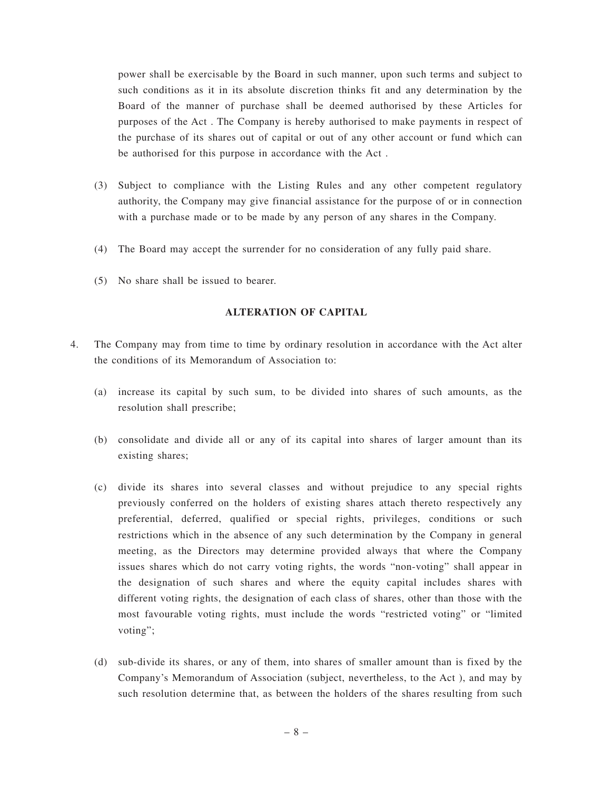power shall be exercisable by the Board in such manner, upon such terms and subject to such conditions as it in its absolute discretion thinks fit and any determination by the Board of the manner of purchase shall be deemed authorised by these Articles for purposes of the Act . The Company is hereby authorised to make payments in respect of the purchase of its shares out of capital or out of any other account or fund which can be authorised for this purpose in accordance with the Act .

- (3) Subject to compliance with the Listing Rules and any other competent regulatory authority, the Company may give financial assistance for the purpose of or in connection with a purchase made or to be made by any person of any shares in the Company.
- (4) The Board may accept the surrender for no consideration of any fully paid share.
- (5) No share shall be issued to bearer.

## **ALTERATION OF CAPITAL**

- 4. The Company may from time to time by ordinary resolution in accordance with the Act alter the conditions of its Memorandum of Association to:
	- (a) increase its capital by such sum, to be divided into shares of such amounts, as the resolution shall prescribe;
	- (b) consolidate and divide all or any of its capital into shares of larger amount than its existing shares;
	- (c) divide its shares into several classes and without prejudice to any special rights previously conferred on the holders of existing shares attach thereto respectively any preferential, deferred, qualified or special rights, privileges, conditions or such restrictions which in the absence of any such determination by the Company in general meeting, as the Directors may determine provided always that where the Company issues shares which do not carry voting rights, the words "non-voting" shall appear in the designation of such shares and where the equity capital includes shares with different voting rights, the designation of each class of shares, other than those with the most favourable voting rights, must include the words "restricted voting" or "limited voting";
	- (d) sub-divide its shares, or any of them, into shares of smaller amount than is fixed by the Company's Memorandum of Association (subject, nevertheless, to the Act ), and may by such resolution determine that, as between the holders of the shares resulting from such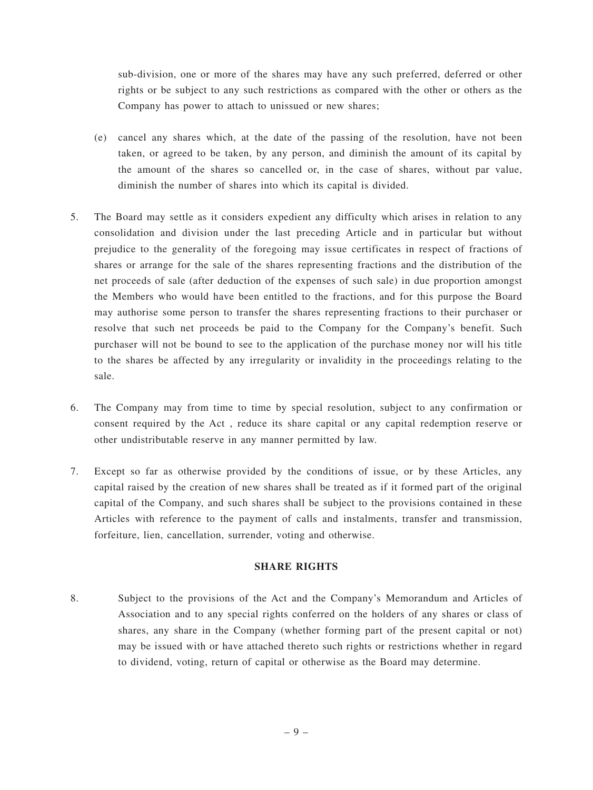sub-division, one or more of the shares may have any such preferred, deferred or other rights or be subject to any such restrictions as compared with the other or others as the Company has power to attach to unissued or new shares;

- (e) cancel any shares which, at the date of the passing of the resolution, have not been taken, or agreed to be taken, by any person, and diminish the amount of its capital by the amount of the shares so cancelled or, in the case of shares, without par value, diminish the number of shares into which its capital is divided.
- 5. The Board may settle as it considers expedient any difficulty which arises in relation to any consolidation and division under the last preceding Article and in particular but without prejudice to the generality of the foregoing may issue certificates in respect of fractions of shares or arrange for the sale of the shares representing fractions and the distribution of the net proceeds of sale (after deduction of the expenses of such sale) in due proportion amongst the Members who would have been entitled to the fractions, and for this purpose the Board may authorise some person to transfer the shares representing fractions to their purchaser or resolve that such net proceeds be paid to the Company for the Company's benefit. Such purchaser will not be bound to see to the application of the purchase money nor will his title to the shares be affected by any irregularity or invalidity in the proceedings relating to the sale.
- 6. The Company may from time to time by special resolution, subject to any confirmation or consent required by the Act , reduce its share capital or any capital redemption reserve or other undistributable reserve in any manner permitted by law.
- 7. Except so far as otherwise provided by the conditions of issue, or by these Articles, any capital raised by the creation of new shares shall be treated as if it formed part of the original capital of the Company, and such shares shall be subject to the provisions contained in these Articles with reference to the payment of calls and instalments, transfer and transmission, forfeiture, lien, cancellation, surrender, voting and otherwise.

# **SHARE RIGHTS**

8. Subject to the provisions of the Act and the Company's Memorandum and Articles of Association and to any special rights conferred on the holders of any shares or class of shares, any share in the Company (whether forming part of the present capital or not) may be issued with or have attached thereto such rights or restrictions whether in regard to dividend, voting, return of capital or otherwise as the Board may determine.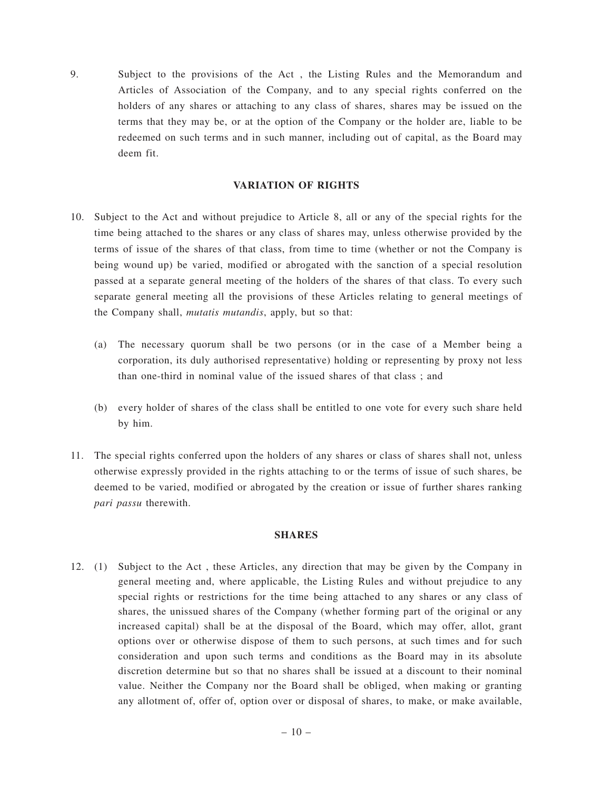9. Subject to the provisions of the Act , the Listing Rules and the Memorandum and Articles of Association of the Company, and to any special rights conferred on the holders of any shares or attaching to any class of shares, shares may be issued on the terms that they may be, or at the option of the Company or the holder are, liable to be redeemed on such terms and in such manner, including out of capital, as the Board may deem fit.

# **VARIATION OF RIGHTS**

- 10. Subject to the Act and without prejudice to Article 8, all or any of the special rights for the time being attached to the shares or any class of shares may, unless otherwise provided by the terms of issue of the shares of that class, from time to time (whether or not the Company is being wound up) be varied, modified or abrogated with the sanction of a special resolution passed at a separate general meeting of the holders of the shares of that class. To every such separate general meeting all the provisions of these Articles relating to general meetings of the Company shall, *mutatis mutandis*, apply, but so that:
	- (a) The necessary quorum shall be two persons (or in the case of a Member being a corporation, its duly authorised representative) holding or representing by proxy not less than one-third in nominal value of the issued shares of that class ; and
	- (b) every holder of shares of the class shall be entitled to one vote for every such share held by him.
- 11. The special rights conferred upon the holders of any shares or class of shares shall not, unless otherwise expressly provided in the rights attaching to or the terms of issue of such shares, be deemed to be varied, modified or abrogated by the creation or issue of further shares ranking *pari passu* therewith.

#### **SHARES**

12. (1) Subject to the Act , these Articles, any direction that may be given by the Company in general meeting and, where applicable, the Listing Rules and without prejudice to any special rights or restrictions for the time being attached to any shares or any class of shares, the unissued shares of the Company (whether forming part of the original or any increased capital) shall be at the disposal of the Board, which may offer, allot, grant options over or otherwise dispose of them to such persons, at such times and for such consideration and upon such terms and conditions as the Board may in its absolute discretion determine but so that no shares shall be issued at a discount to their nominal value. Neither the Company nor the Board shall be obliged, when making or granting any allotment of, offer of, option over or disposal of shares, to make, or make available,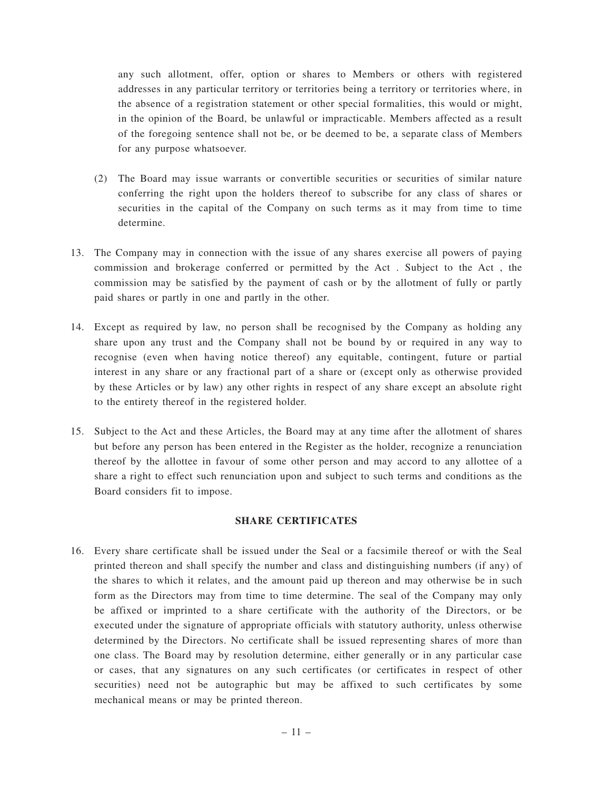any such allotment, offer, option or shares to Members or others with registered addresses in any particular territory or territories being a territory or territories where, in the absence of a registration statement or other special formalities, this would or might, in the opinion of the Board, be unlawful or impracticable. Members affected as a result of the foregoing sentence shall not be, or be deemed to be, a separate class of Members for any purpose whatsoever.

- (2) The Board may issue warrants or convertible securities or securities of similar nature conferring the right upon the holders thereof to subscribe for any class of shares or securities in the capital of the Company on such terms as it may from time to time determine.
- 13. The Company may in connection with the issue of any shares exercise all powers of paying commission and brokerage conferred or permitted by the Act . Subject to the Act , the commission may be satisfied by the payment of cash or by the allotment of fully or partly paid shares or partly in one and partly in the other.
- 14. Except as required by law, no person shall be recognised by the Company as holding any share upon any trust and the Company shall not be bound by or required in any way to recognise (even when having notice thereof) any equitable, contingent, future or partial interest in any share or any fractional part of a share or (except only as otherwise provided by these Articles or by law) any other rights in respect of any share except an absolute right to the entirety thereof in the registered holder.
- 15. Subject to the Act and these Articles, the Board may at any time after the allotment of shares but before any person has been entered in the Register as the holder, recognize a renunciation thereof by the allottee in favour of some other person and may accord to any allottee of a share a right to effect such renunciation upon and subject to such terms and conditions as the Board considers fit to impose.

# **SHARE CERTIFICATES**

16. Every share certificate shall be issued under the Seal or a facsimile thereof or with the Seal printed thereon and shall specify the number and class and distinguishing numbers (if any) of the shares to which it relates, and the amount paid up thereon and may otherwise be in such form as the Directors may from time to time determine. The seal of the Company may only be affixed or imprinted to a share certificate with the authority of the Directors, or be executed under the signature of appropriate officials with statutory authority, unless otherwise determined by the Directors. No certificate shall be issued representing shares of more than one class. The Board may by resolution determine, either generally or in any particular case or cases, that any signatures on any such certificates (or certificates in respect of other securities) need not be autographic but may be affixed to such certificates by some mechanical means or may be printed thereon.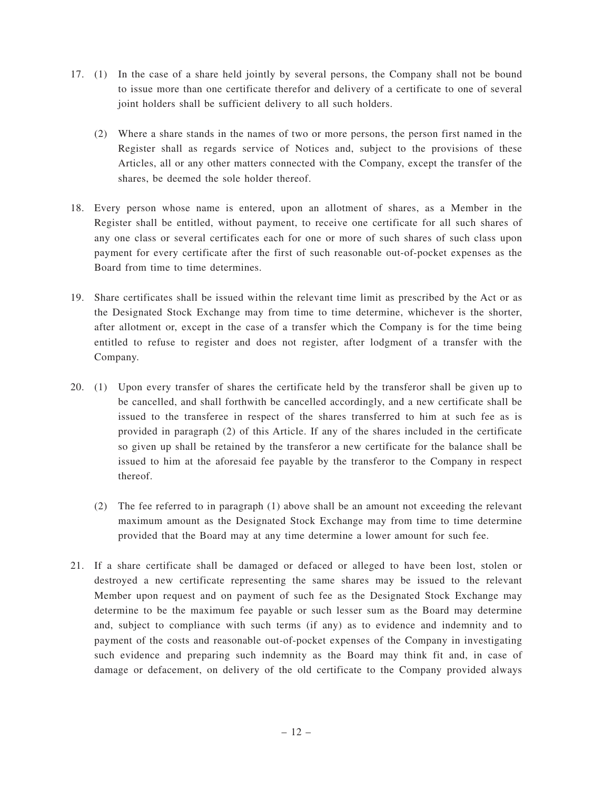- 17. (1) In the case of a share held jointly by several persons, the Company shall not be bound to issue more than one certificate therefor and delivery of a certificate to one of several joint holders shall be sufficient delivery to all such holders.
	- (2) Where a share stands in the names of two or more persons, the person first named in the Register shall as regards service of Notices and, subject to the provisions of these Articles, all or any other matters connected with the Company, except the transfer of the shares, be deemed the sole holder thereof.
- 18. Every person whose name is entered, upon an allotment of shares, as a Member in the Register shall be entitled, without payment, to receive one certificate for all such shares of any one class or several certificates each for one or more of such shares of such class upon payment for every certificate after the first of such reasonable out-of-pocket expenses as the Board from time to time determines.
- 19. Share certificates shall be issued within the relevant time limit as prescribed by the Act or as the Designated Stock Exchange may from time to time determine, whichever is the shorter, after allotment or, except in the case of a transfer which the Company is for the time being entitled to refuse to register and does not register, after lodgment of a transfer with the Company.
- 20. (1) Upon every transfer of shares the certificate held by the transferor shall be given up to be cancelled, and shall forthwith be cancelled accordingly, and a new certificate shall be issued to the transferee in respect of the shares transferred to him at such fee as is provided in paragraph (2) of this Article. If any of the shares included in the certificate so given up shall be retained by the transferor a new certificate for the balance shall be issued to him at the aforesaid fee payable by the transferor to the Company in respect thereof.
	- (2) The fee referred to in paragraph (1) above shall be an amount not exceeding the relevant maximum amount as the Designated Stock Exchange may from time to time determine provided that the Board may at any time determine a lower amount for such fee.
- 21. If a share certificate shall be damaged or defaced or alleged to have been lost, stolen or destroyed a new certificate representing the same shares may be issued to the relevant Member upon request and on payment of such fee as the Designated Stock Exchange may determine to be the maximum fee payable or such lesser sum as the Board may determine and, subject to compliance with such terms (if any) as to evidence and indemnity and to payment of the costs and reasonable out-of-pocket expenses of the Company in investigating such evidence and preparing such indemnity as the Board may think fit and, in case of damage or defacement, on delivery of the old certificate to the Company provided always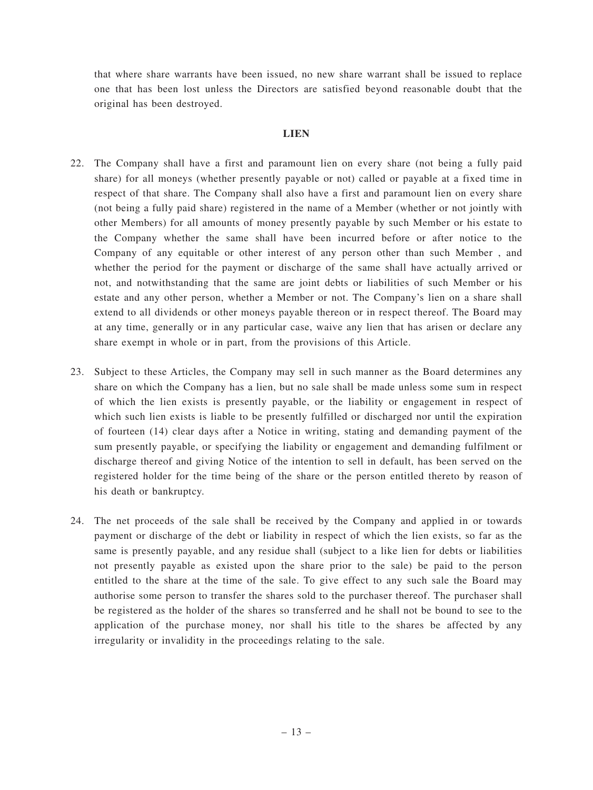that where share warrants have been issued, no new share warrant shall be issued to replace one that has been lost unless the Directors are satisfied beyond reasonable doubt that the original has been destroyed.

#### **LIEN**

- 22. The Company shall have a first and paramount lien on every share (not being a fully paid share) for all moneys (whether presently payable or not) called or payable at a fixed time in respect of that share. The Company shall also have a first and paramount lien on every share (not being a fully paid share) registered in the name of a Member (whether or not jointly with other Members) for all amounts of money presently payable by such Member or his estate to the Company whether the same shall have been incurred before or after notice to the Company of any equitable or other interest of any person other than such Member , and whether the period for the payment or discharge of the same shall have actually arrived or not, and notwithstanding that the same are joint debts or liabilities of such Member or his estate and any other person, whether a Member or not. The Company's lien on a share shall extend to all dividends or other moneys payable thereon or in respect thereof. The Board may at any time, generally or in any particular case, waive any lien that has arisen or declare any share exempt in whole or in part, from the provisions of this Article.
- 23. Subject to these Articles, the Company may sell in such manner as the Board determines any share on which the Company has a lien, but no sale shall be made unless some sum in respect of which the lien exists is presently payable, or the liability or engagement in respect of which such lien exists is liable to be presently fulfilled or discharged nor until the expiration of fourteen (14) clear days after a Notice in writing, stating and demanding payment of the sum presently payable, or specifying the liability or engagement and demanding fulfilment or discharge thereof and giving Notice of the intention to sell in default, has been served on the registered holder for the time being of the share or the person entitled thereto by reason of his death or bankruptcy.
- 24. The net proceeds of the sale shall be received by the Company and applied in or towards payment or discharge of the debt or liability in respect of which the lien exists, so far as the same is presently payable, and any residue shall (subject to a like lien for debts or liabilities not presently payable as existed upon the share prior to the sale) be paid to the person entitled to the share at the time of the sale. To give effect to any such sale the Board may authorise some person to transfer the shares sold to the purchaser thereof. The purchaser shall be registered as the holder of the shares so transferred and he shall not be bound to see to the application of the purchase money, nor shall his title to the shares be affected by any irregularity or invalidity in the proceedings relating to the sale.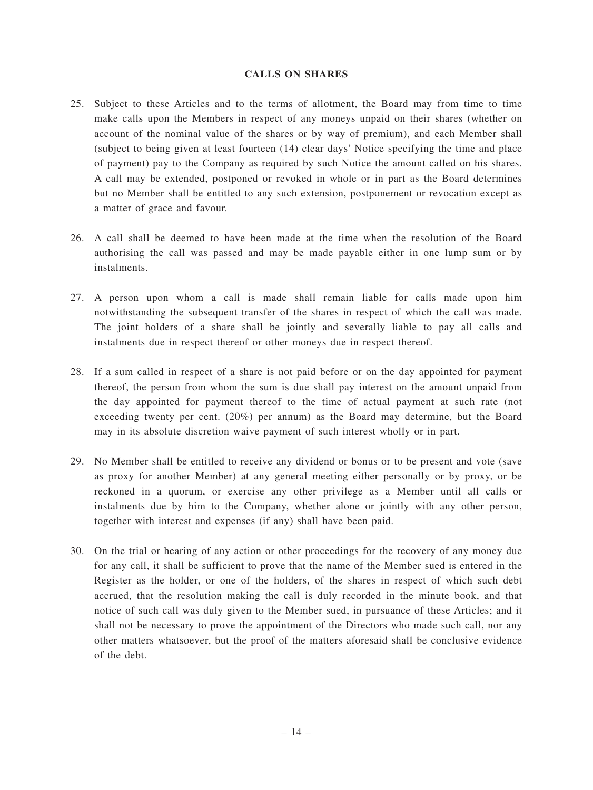#### **CALLS ON SHARES**

- 25. Subject to these Articles and to the terms of allotment, the Board may from time to time make calls upon the Members in respect of any moneys unpaid on their shares (whether on account of the nominal value of the shares or by way of premium), and each Member shall (subject to being given at least fourteen (14) clear days' Notice specifying the time and place of payment) pay to the Company as required by such Notice the amount called on his shares. A call may be extended, postponed or revoked in whole or in part as the Board determines but no Member shall be entitled to any such extension, postponement or revocation except as a matter of grace and favour.
- 26. A call shall be deemed to have been made at the time when the resolution of the Board authorising the call was passed and may be made payable either in one lump sum or by instalments.
- 27. A person upon whom a call is made shall remain liable for calls made upon him notwithstanding the subsequent transfer of the shares in respect of which the call was made. The joint holders of a share shall be jointly and severally liable to pay all calls and instalments due in respect thereof or other moneys due in respect thereof.
- 28. If a sum called in respect of a share is not paid before or on the day appointed for payment thereof, the person from whom the sum is due shall pay interest on the amount unpaid from the day appointed for payment thereof to the time of actual payment at such rate (not exceeding twenty per cent. (20%) per annum) as the Board may determine, but the Board may in its absolute discretion waive payment of such interest wholly or in part.
- 29. No Member shall be entitled to receive any dividend or bonus or to be present and vote (save as proxy for another Member) at any general meeting either personally or by proxy, or be reckoned in a quorum, or exercise any other privilege as a Member until all calls or instalments due by him to the Company, whether alone or jointly with any other person, together with interest and expenses (if any) shall have been paid.
- 30. On the trial or hearing of any action or other proceedings for the recovery of any money due for any call, it shall be sufficient to prove that the name of the Member sued is entered in the Register as the holder, or one of the holders, of the shares in respect of which such debt accrued, that the resolution making the call is duly recorded in the minute book, and that notice of such call was duly given to the Member sued, in pursuance of these Articles; and it shall not be necessary to prove the appointment of the Directors who made such call, nor any other matters whatsoever, but the proof of the matters aforesaid shall be conclusive evidence of the debt.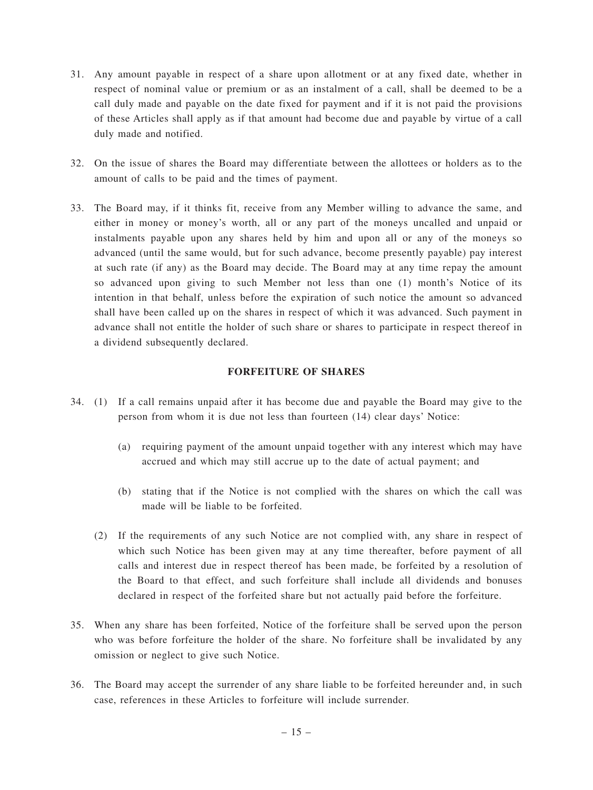- 31. Any amount payable in respect of a share upon allotment or at any fixed date, whether in respect of nominal value or premium or as an instalment of a call, shall be deemed to be a call duly made and payable on the date fixed for payment and if it is not paid the provisions of these Articles shall apply as if that amount had become due and payable by virtue of a call duly made and notified.
- 32. On the issue of shares the Board may differentiate between the allottees or holders as to the amount of calls to be paid and the times of payment.
- 33. The Board may, if it thinks fit, receive from any Member willing to advance the same, and either in money or money's worth, all or any part of the moneys uncalled and unpaid or instalments payable upon any shares held by him and upon all or any of the moneys so advanced (until the same would, but for such advance, become presently payable) pay interest at such rate (if any) as the Board may decide. The Board may at any time repay the amount so advanced upon giving to such Member not less than one (1) month's Notice of its intention in that behalf, unless before the expiration of such notice the amount so advanced shall have been called up on the shares in respect of which it was advanced. Such payment in advance shall not entitle the holder of such share or shares to participate in respect thereof in a dividend subsequently declared.

# **FORFEITURE OF SHARES**

- 34. (1) If a call remains unpaid after it has become due and payable the Board may give to the person from whom it is due not less than fourteen (14) clear days' Notice:
	- (a) requiring payment of the amount unpaid together with any interest which may have accrued and which may still accrue up to the date of actual payment; and
	- (b) stating that if the Notice is not complied with the shares on which the call was made will be liable to be forfeited.
	- (2) If the requirements of any such Notice are not complied with, any share in respect of which such Notice has been given may at any time thereafter, before payment of all calls and interest due in respect thereof has been made, be forfeited by a resolution of the Board to that effect, and such forfeiture shall include all dividends and bonuses declared in respect of the forfeited share but not actually paid before the forfeiture.
- 35. When any share has been forfeited, Notice of the forfeiture shall be served upon the person who was before forfeiture the holder of the share. No forfeiture shall be invalidated by any omission or neglect to give such Notice.
- 36. The Board may accept the surrender of any share liable to be forfeited hereunder and, in such case, references in these Articles to forfeiture will include surrender.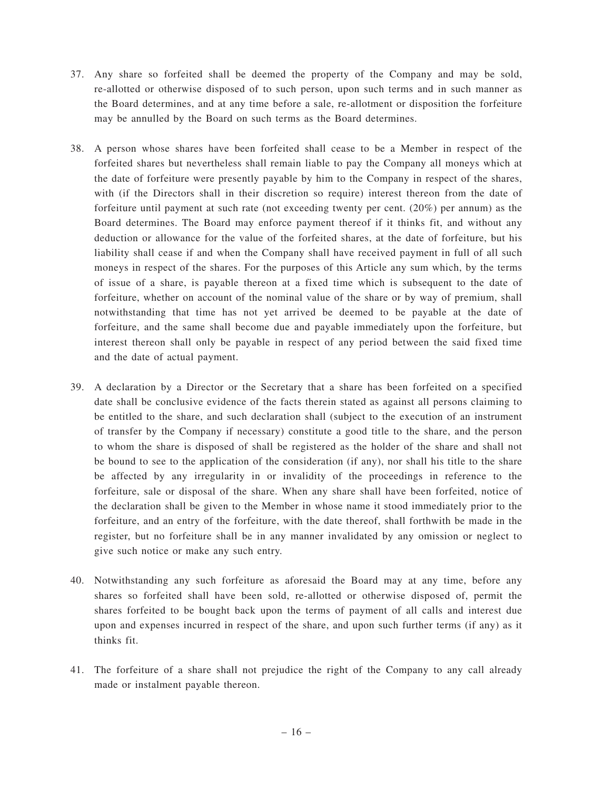- 37. Any share so forfeited shall be deemed the property of the Company and may be sold, re-allotted or otherwise disposed of to such person, upon such terms and in such manner as the Board determines, and at any time before a sale, re-allotment or disposition the forfeiture may be annulled by the Board on such terms as the Board determines.
- 38. A person whose shares have been forfeited shall cease to be a Member in respect of the forfeited shares but nevertheless shall remain liable to pay the Company all moneys which at the date of forfeiture were presently payable by him to the Company in respect of the shares, with (if the Directors shall in their discretion so require) interest thereon from the date of forfeiture until payment at such rate (not exceeding twenty per cent. (20%) per annum) as the Board determines. The Board may enforce payment thereof if it thinks fit, and without any deduction or allowance for the value of the forfeited shares, at the date of forfeiture, but his liability shall cease if and when the Company shall have received payment in full of all such moneys in respect of the shares. For the purposes of this Article any sum which, by the terms of issue of a share, is payable thereon at a fixed time which is subsequent to the date of forfeiture, whether on account of the nominal value of the share or by way of premium, shall notwithstanding that time has not yet arrived be deemed to be payable at the date of forfeiture, and the same shall become due and payable immediately upon the forfeiture, but interest thereon shall only be payable in respect of any period between the said fixed time and the date of actual payment.
- 39. A declaration by a Director or the Secretary that a share has been forfeited on a specified date shall be conclusive evidence of the facts therein stated as against all persons claiming to be entitled to the share, and such declaration shall (subject to the execution of an instrument of transfer by the Company if necessary) constitute a good title to the share, and the person to whom the share is disposed of shall be registered as the holder of the share and shall not be bound to see to the application of the consideration (if any), nor shall his title to the share be affected by any irregularity in or invalidity of the proceedings in reference to the forfeiture, sale or disposal of the share. When any share shall have been forfeited, notice of the declaration shall be given to the Member in whose name it stood immediately prior to the forfeiture, and an entry of the forfeiture, with the date thereof, shall forthwith be made in the register, but no forfeiture shall be in any manner invalidated by any omission or neglect to give such notice or make any such entry.
- 40. Notwithstanding any such forfeiture as aforesaid the Board may at any time, before any shares so forfeited shall have been sold, re-allotted or otherwise disposed of, permit the shares forfeited to be bought back upon the terms of payment of all calls and interest due upon and expenses incurred in respect of the share, and upon such further terms (if any) as it thinks fit.
- 41. The forfeiture of a share shall not prejudice the right of the Company to any call already made or instalment payable thereon.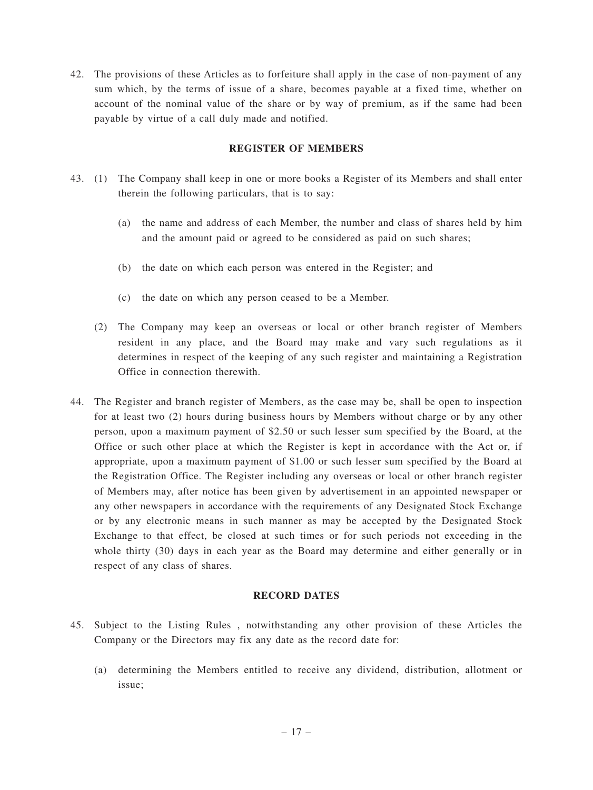42. The provisions of these Articles as to forfeiture shall apply in the case of non-payment of any sum which, by the terms of issue of a share, becomes payable at a fixed time, whether on account of the nominal value of the share or by way of premium, as if the same had been payable by virtue of a call duly made and notified.

## **REGISTER OF MEMBERS**

- 43. (1) The Company shall keep in one or more books a Register of its Members and shall enter therein the following particulars, that is to say:
	- (a) the name and address of each Member, the number and class of shares held by him and the amount paid or agreed to be considered as paid on such shares;
	- (b) the date on which each person was entered in the Register; and
	- (c) the date on which any person ceased to be a Member.
	- (2) The Company may keep an overseas or local or other branch register of Members resident in any place, and the Board may make and vary such regulations as it determines in respect of the keeping of any such register and maintaining a Registration Office in connection therewith.
- 44. The Register and branch register of Members, as the case may be, shall be open to inspection for at least two (2) hours during business hours by Members without charge or by any other person, upon a maximum payment of \$2.50 or such lesser sum specified by the Board, at the Office or such other place at which the Register is kept in accordance with the Act or, if appropriate, upon a maximum payment of \$1.00 or such lesser sum specified by the Board at the Registration Office. The Register including any overseas or local or other branch register of Members may, after notice has been given by advertisement in an appointed newspaper or any other newspapers in accordance with the requirements of any Designated Stock Exchange or by any electronic means in such manner as may be accepted by the Designated Stock Exchange to that effect, be closed at such times or for such periods not exceeding in the whole thirty (30) days in each year as the Board may determine and either generally or in respect of any class of shares.

#### **RECORD DATES**

- 45. Subject to the Listing Rules , notwithstanding any other provision of these Articles the Company or the Directors may fix any date as the record date for:
	- (a) determining the Members entitled to receive any dividend, distribution, allotment or issue;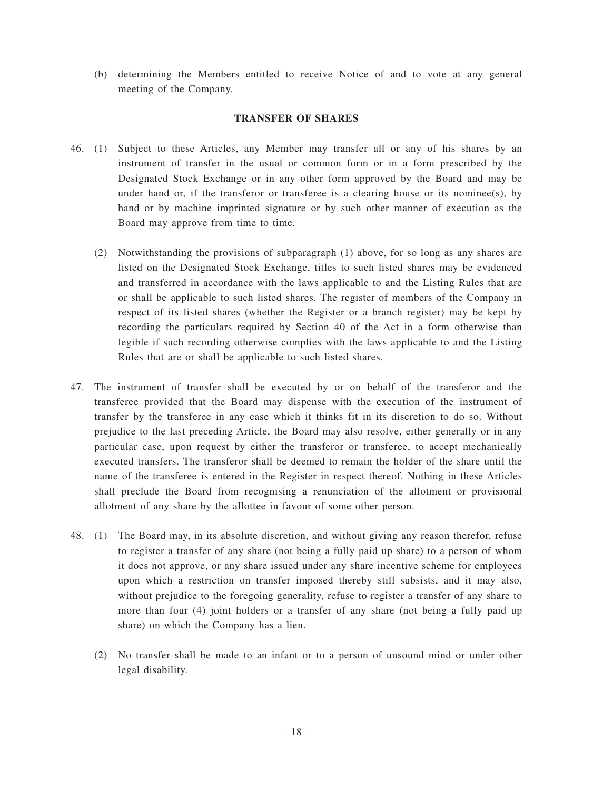(b) determining the Members entitled to receive Notice of and to vote at any general meeting of the Company.

#### **TRANSFER OF SHARES**

- 46. (1) Subject to these Articles, any Member may transfer all or any of his shares by an instrument of transfer in the usual or common form or in a form prescribed by the Designated Stock Exchange or in any other form approved by the Board and may be under hand or, if the transferor or transferee is a clearing house or its nominee(s), by hand or by machine imprinted signature or by such other manner of execution as the Board may approve from time to time.
	- (2) Notwithstanding the provisions of subparagraph (1) above, for so long as any shares are listed on the Designated Stock Exchange, titles to such listed shares may be evidenced and transferred in accordance with the laws applicable to and the Listing Rules that are or shall be applicable to such listed shares. The register of members of the Company in respect of its listed shares (whether the Register or a branch register) may be kept by recording the particulars required by Section 40 of the Act in a form otherwise than legible if such recording otherwise complies with the laws applicable to and the Listing Rules that are or shall be applicable to such listed shares.
- 47. The instrument of transfer shall be executed by or on behalf of the transferor and the transferee provided that the Board may dispense with the execution of the instrument of transfer by the transferee in any case which it thinks fit in its discretion to do so. Without prejudice to the last preceding Article, the Board may also resolve, either generally or in any particular case, upon request by either the transferor or transferee, to accept mechanically executed transfers. The transferor shall be deemed to remain the holder of the share until the name of the transferee is entered in the Register in respect thereof. Nothing in these Articles shall preclude the Board from recognising a renunciation of the allotment or provisional allotment of any share by the allottee in favour of some other person.
- 48. (1) The Board may, in its absolute discretion, and without giving any reason therefor, refuse to register a transfer of any share (not being a fully paid up share) to a person of whom it does not approve, or any share issued under any share incentive scheme for employees upon which a restriction on transfer imposed thereby still subsists, and it may also, without prejudice to the foregoing generality, refuse to register a transfer of any share to more than four (4) joint holders or a transfer of any share (not being a fully paid up share) on which the Company has a lien.
	- (2) No transfer shall be made to an infant or to a person of unsound mind or under other legal disability.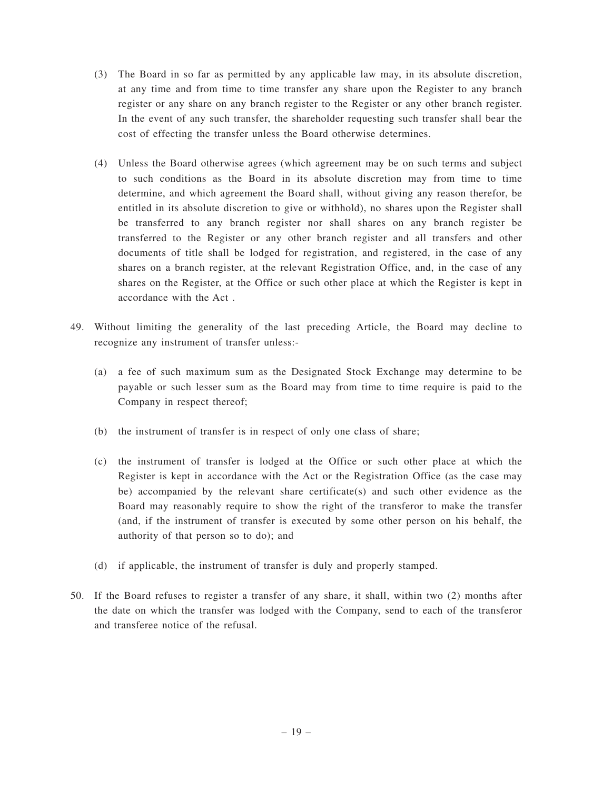- (3) The Board in so far as permitted by any applicable law may, in its absolute discretion, at any time and from time to time transfer any share upon the Register to any branch register or any share on any branch register to the Register or any other branch register. In the event of any such transfer, the shareholder requesting such transfer shall bear the cost of effecting the transfer unless the Board otherwise determines.
- (4) Unless the Board otherwise agrees (which agreement may be on such terms and subject to such conditions as the Board in its absolute discretion may from time to time determine, and which agreement the Board shall, without giving any reason therefor, be entitled in its absolute discretion to give or withhold), no shares upon the Register shall be transferred to any branch register nor shall shares on any branch register be transferred to the Register or any other branch register and all transfers and other documents of title shall be lodged for registration, and registered, in the case of any shares on a branch register, at the relevant Registration Office, and, in the case of any shares on the Register, at the Office or such other place at which the Register is kept in accordance with the Act .
- 49. Without limiting the generality of the last preceding Article, the Board may decline to recognize any instrument of transfer unless:-
	- (a) a fee of such maximum sum as the Designated Stock Exchange may determine to be payable or such lesser sum as the Board may from time to time require is paid to the Company in respect thereof;
	- (b) the instrument of transfer is in respect of only one class of share;
	- (c) the instrument of transfer is lodged at the Office or such other place at which the Register is kept in accordance with the Act or the Registration Office (as the case may be) accompanied by the relevant share certificate(s) and such other evidence as the Board may reasonably require to show the right of the transferor to make the transfer (and, if the instrument of transfer is executed by some other person on his behalf, the authority of that person so to do); and
	- (d) if applicable, the instrument of transfer is duly and properly stamped.
- 50. If the Board refuses to register a transfer of any share, it shall, within two (2) months after the date on which the transfer was lodged with the Company, send to each of the transferor and transferee notice of the refusal.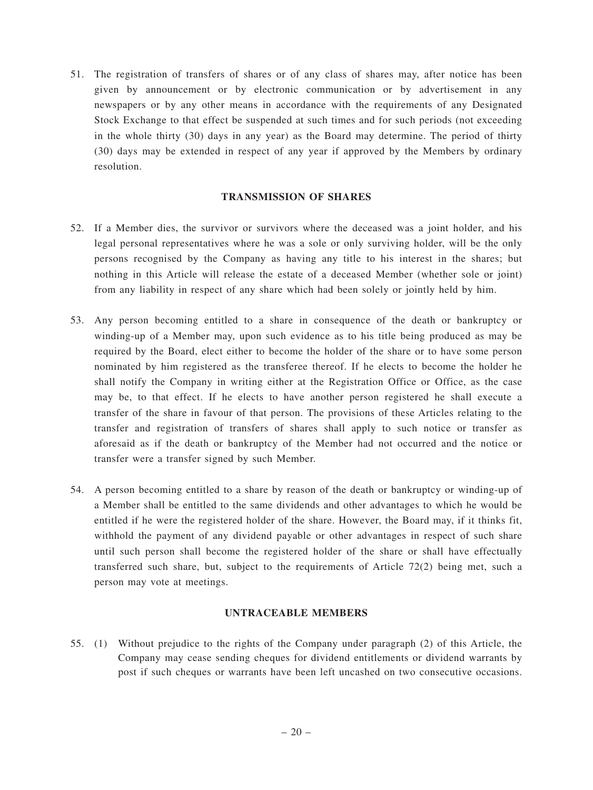51. The registration of transfers of shares or of any class of shares may, after notice has been given by announcement or by electronic communication or by advertisement in any newspapers or by any other means in accordance with the requirements of any Designated Stock Exchange to that effect be suspended at such times and for such periods (not exceeding in the whole thirty (30) days in any year) as the Board may determine. The period of thirty (30) days may be extended in respect of any year if approved by the Members by ordinary resolution.

# **TRANSMISSION OF SHARES**

- 52. If a Member dies, the survivor or survivors where the deceased was a joint holder, and his legal personal representatives where he was a sole or only surviving holder, will be the only persons recognised by the Company as having any title to his interest in the shares; but nothing in this Article will release the estate of a deceased Member (whether sole or joint) from any liability in respect of any share which had been solely or jointly held by him.
- 53. Any person becoming entitled to a share in consequence of the death or bankruptcy or winding-up of a Member may, upon such evidence as to his title being produced as may be required by the Board, elect either to become the holder of the share or to have some person nominated by him registered as the transferee thereof. If he elects to become the holder he shall notify the Company in writing either at the Registration Office or Office, as the case may be, to that effect. If he elects to have another person registered he shall execute a transfer of the share in favour of that person. The provisions of these Articles relating to the transfer and registration of transfers of shares shall apply to such notice or transfer as aforesaid as if the death or bankruptcy of the Member had not occurred and the notice or transfer were a transfer signed by such Member.
- 54. A person becoming entitled to a share by reason of the death or bankruptcy or winding-up of a Member shall be entitled to the same dividends and other advantages to which he would be entitled if he were the registered holder of the share. However, the Board may, if it thinks fit, withhold the payment of any dividend payable or other advantages in respect of such share until such person shall become the registered holder of the share or shall have effectually transferred such share, but, subject to the requirements of Article 72(2) being met, such a person may vote at meetings.

# **UNTRACEABLE MEMBERS**

55. (1) Without prejudice to the rights of the Company under paragraph (2) of this Article, the Company may cease sending cheques for dividend entitlements or dividend warrants by post if such cheques or warrants have been left uncashed on two consecutive occasions.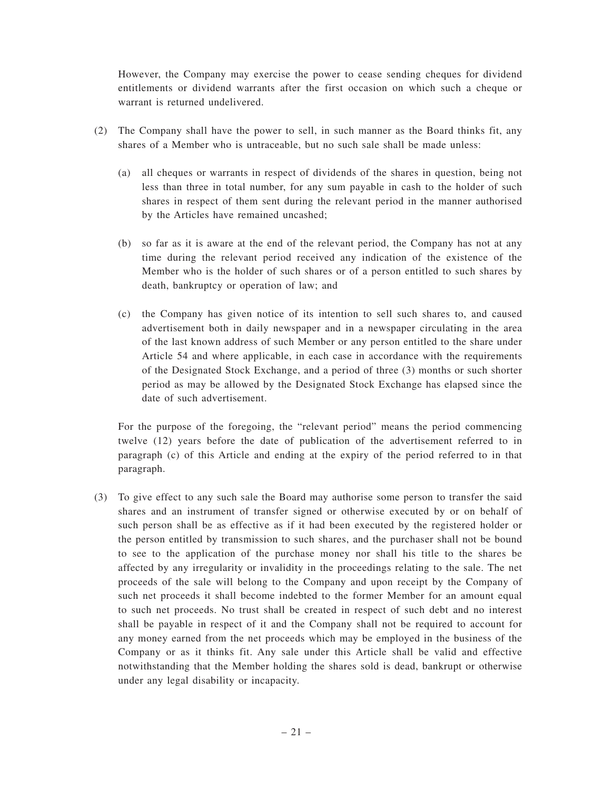However, the Company may exercise the power to cease sending cheques for dividend entitlements or dividend warrants after the first occasion on which such a cheque or warrant is returned undelivered.

- (2) The Company shall have the power to sell, in such manner as the Board thinks fit, any shares of a Member who is untraceable, but no such sale shall be made unless:
	- (a) all cheques or warrants in respect of dividends of the shares in question, being not less than three in total number, for any sum payable in cash to the holder of such shares in respect of them sent during the relevant period in the manner authorised by the Articles have remained uncashed;
	- (b) so far as it is aware at the end of the relevant period, the Company has not at any time during the relevant period received any indication of the existence of the Member who is the holder of such shares or of a person entitled to such shares by death, bankruptcy or operation of law; and
	- (c) the Company has given notice of its intention to sell such shares to, and caused advertisement both in daily newspaper and in a newspaper circulating in the area of the last known address of such Member or any person entitled to the share under Article 54 and where applicable, in each case in accordance with the requirements of the Designated Stock Exchange, and a period of three (3) months or such shorter period as may be allowed by the Designated Stock Exchange has elapsed since the date of such advertisement.

For the purpose of the foregoing, the "relevant period" means the period commencing twelve (12) years before the date of publication of the advertisement referred to in paragraph (c) of this Article and ending at the expiry of the period referred to in that paragraph.

(3) To give effect to any such sale the Board may authorise some person to transfer the said shares and an instrument of transfer signed or otherwise executed by or on behalf of such person shall be as effective as if it had been executed by the registered holder or the person entitled by transmission to such shares, and the purchaser shall not be bound to see to the application of the purchase money nor shall his title to the shares be affected by any irregularity or invalidity in the proceedings relating to the sale. The net proceeds of the sale will belong to the Company and upon receipt by the Company of such net proceeds it shall become indebted to the former Member for an amount equal to such net proceeds. No trust shall be created in respect of such debt and no interest shall be payable in respect of it and the Company shall not be required to account for any money earned from the net proceeds which may be employed in the business of the Company or as it thinks fit. Any sale under this Article shall be valid and effective notwithstanding that the Member holding the shares sold is dead, bankrupt or otherwise under any legal disability or incapacity.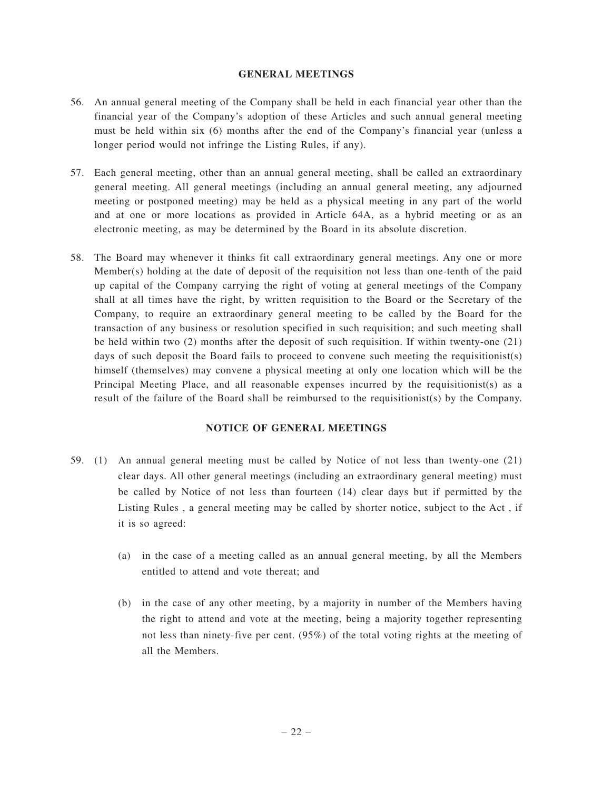#### **GENERAL MEETINGS**

- 56. An annual general meeting of the Company shall be held in each financial year other than the financial year of the Company's adoption of these Articles and such annual general meeting must be held within six (6) months after the end of the Company's financial year (unless a longer period would not infringe the Listing Rules, if any).
- 57. Each general meeting, other than an annual general meeting, shall be called an extraordinary general meeting. All general meetings (including an annual general meeting, any adjourned meeting or postponed meeting) may be held as a physical meeting in any part of the world and at one or more locations as provided in Article 64A, as a hybrid meeting or as an electronic meeting, as may be determined by the Board in its absolute discretion.
- 58. The Board may whenever it thinks fit call extraordinary general meetings. Any one or more Member(s) holding at the date of deposit of the requisition not less than one-tenth of the paid up capital of the Company carrying the right of voting at general meetings of the Company shall at all times have the right, by written requisition to the Board or the Secretary of the Company, to require an extraordinary general meeting to be called by the Board for the transaction of any business or resolution specified in such requisition; and such meeting shall be held within two (2) months after the deposit of such requisition. If within twenty-one (21) days of such deposit the Board fails to proceed to convene such meeting the requisitionist(s) himself (themselves) may convene a physical meeting at only one location which will be the Principal Meeting Place, and all reasonable expenses incurred by the requisitionist(s) as a result of the failure of the Board shall be reimbursed to the requisitionist(s) by the Company.

# **NOTICE OF GENERAL MEETINGS**

- 59. (1) An annual general meeting must be called by Notice of not less than twenty-one (21) clear days. All other general meetings (including an extraordinary general meeting) must be called by Notice of not less than fourteen (14) clear days but if permitted by the Listing Rules , a general meeting may be called by shorter notice, subject to the Act , if it is so agreed:
	- (a) in the case of a meeting called as an annual general meeting, by all the Members entitled to attend and vote thereat; and
	- (b) in the case of any other meeting, by a majority in number of the Members having the right to attend and vote at the meeting, being a majority together representing not less than ninety-five per cent. (95%) of the total voting rights at the meeting of all the Members.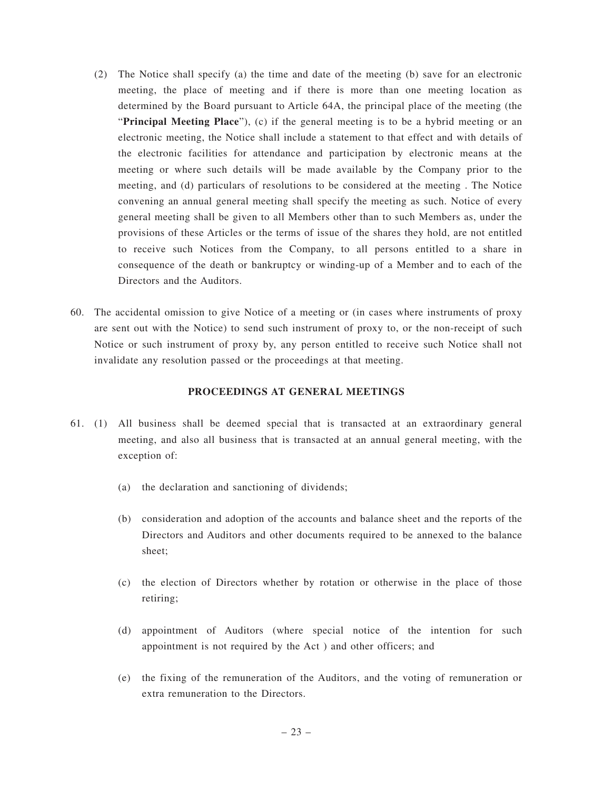- (2) The Notice shall specify (a) the time and date of the meeting (b) save for an electronic meeting, the place of meeting and if there is more than one meeting location as determined by the Board pursuant to Article 64A, the principal place of the meeting (the "**Principal Meeting Place**"), (c) if the general meeting is to be a hybrid meeting or an electronic meeting, the Notice shall include a statement to that effect and with details of the electronic facilities for attendance and participation by electronic means at the meeting or where such details will be made available by the Company prior to the meeting, and (d) particulars of resolutions to be considered at the meeting . The Notice convening an annual general meeting shall specify the meeting as such. Notice of every general meeting shall be given to all Members other than to such Members as, under the provisions of these Articles or the terms of issue of the shares they hold, are not entitled to receive such Notices from the Company, to all persons entitled to a share in consequence of the death or bankruptcy or winding-up of a Member and to each of the Directors and the Auditors.
- 60. The accidental omission to give Notice of a meeting or (in cases where instruments of proxy are sent out with the Notice) to send such instrument of proxy to, or the non-receipt of such Notice or such instrument of proxy by, any person entitled to receive such Notice shall not invalidate any resolution passed or the proceedings at that meeting.

## **PROCEEDINGS AT GENERAL MEETINGS**

- 61. (1) All business shall be deemed special that is transacted at an extraordinary general meeting, and also all business that is transacted at an annual general meeting, with the exception of:
	- (a) the declaration and sanctioning of dividends;
	- (b) consideration and adoption of the accounts and balance sheet and the reports of the Directors and Auditors and other documents required to be annexed to the balance sheet;
	- (c) the election of Directors whether by rotation or otherwise in the place of those retiring;
	- (d) appointment of Auditors (where special notice of the intention for such appointment is not required by the Act ) and other officers; and
	- (e) the fixing of the remuneration of the Auditors, and the voting of remuneration or extra remuneration to the Directors.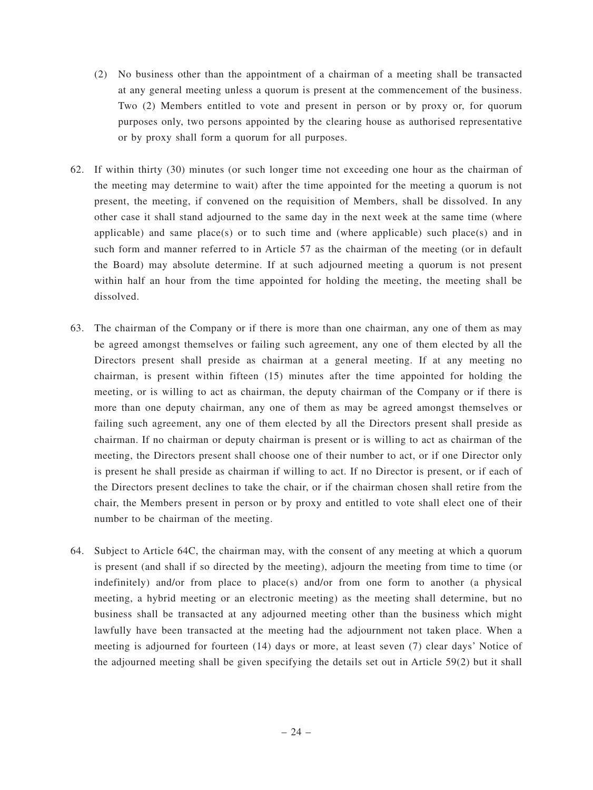- (2) No business other than the appointment of a chairman of a meeting shall be transacted at any general meeting unless a quorum is present at the commencement of the business. Two (2) Members entitled to vote and present in person or by proxy or, for quorum purposes only, two persons appointed by the clearing house as authorised representative or by proxy shall form a quorum for all purposes.
- 62. If within thirty (30) minutes (or such longer time not exceeding one hour as the chairman of the meeting may determine to wait) after the time appointed for the meeting a quorum is not present, the meeting, if convened on the requisition of Members, shall be dissolved. In any other case it shall stand adjourned to the same day in the next week at the same time (where applicable) and same place(s) or to such time and (where applicable) such place(s) and in such form and manner referred to in Article 57 as the chairman of the meeting (or in default the Board) may absolute determine. If at such adjourned meeting a quorum is not present within half an hour from the time appointed for holding the meeting, the meeting shall be dissolved.
- 63. The chairman of the Company or if there is more than one chairman, any one of them as may be agreed amongst themselves or failing such agreement, any one of them elected by all the Directors present shall preside as chairman at a general meeting. If at any meeting no chairman, is present within fifteen (15) minutes after the time appointed for holding the meeting, or is willing to act as chairman, the deputy chairman of the Company or if there is more than one deputy chairman, any one of them as may be agreed amongst themselves or failing such agreement, any one of them elected by all the Directors present shall preside as chairman. If no chairman or deputy chairman is present or is willing to act as chairman of the meeting, the Directors present shall choose one of their number to act, or if one Director only is present he shall preside as chairman if willing to act. If no Director is present, or if each of the Directors present declines to take the chair, or if the chairman chosen shall retire from the chair, the Members present in person or by proxy and entitled to vote shall elect one of their number to be chairman of the meeting.
- 64. Subject to Article 64C, the chairman may, with the consent of any meeting at which a quorum is present (and shall if so directed by the meeting), adjourn the meeting from time to time (or indefinitely) and/or from place to place(s) and/or from one form to another (a physical meeting, a hybrid meeting or an electronic meeting) as the meeting shall determine, but no business shall be transacted at any adjourned meeting other than the business which might lawfully have been transacted at the meeting had the adjournment not taken place. When a meeting is adjourned for fourteen (14) days or more, at least seven (7) clear days' Notice of the adjourned meeting shall be given specifying the details set out in Article 59(2) but it shall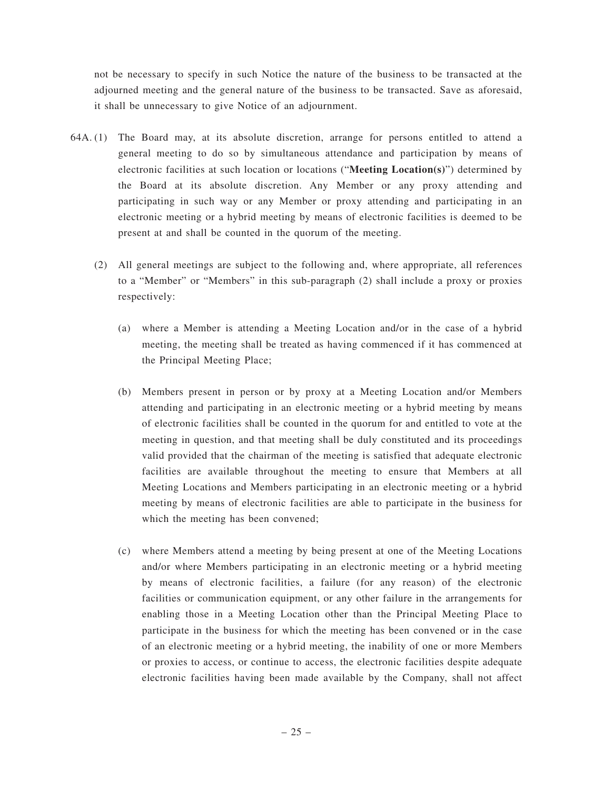not be necessary to specify in such Notice the nature of the business to be transacted at the adjourned meeting and the general nature of the business to be transacted. Save as aforesaid, it shall be unnecessary to give Notice of an adjournment.

- 64A. (1) The Board may, at its absolute discretion, arrange for persons entitled to attend a general meeting to do so by simultaneous attendance and participation by means of electronic facilities at such location or locations ("**Meeting Location(s)**") determined by the Board at its absolute discretion. Any Member or any proxy attending and participating in such way or any Member or proxy attending and participating in an electronic meeting or a hybrid meeting by means of electronic facilities is deemed to be present at and shall be counted in the quorum of the meeting.
	- (2) All general meetings are subject to the following and, where appropriate, all references to a "Member" or "Members" in this sub-paragraph (2) shall include a proxy or proxies respectively:
		- (a) where a Member is attending a Meeting Location and/or in the case of a hybrid meeting, the meeting shall be treated as having commenced if it has commenced at the Principal Meeting Place;
		- (b) Members present in person or by proxy at a Meeting Location and/or Members attending and participating in an electronic meeting or a hybrid meeting by means of electronic facilities shall be counted in the quorum for and entitled to vote at the meeting in question, and that meeting shall be duly constituted and its proceedings valid provided that the chairman of the meeting is satisfied that adequate electronic facilities are available throughout the meeting to ensure that Members at all Meeting Locations and Members participating in an electronic meeting or a hybrid meeting by means of electronic facilities are able to participate in the business for which the meeting has been convened;
		- (c) where Members attend a meeting by being present at one of the Meeting Locations and/or where Members participating in an electronic meeting or a hybrid meeting by means of electronic facilities, a failure (for any reason) of the electronic facilities or communication equipment, or any other failure in the arrangements for enabling those in a Meeting Location other than the Principal Meeting Place to participate in the business for which the meeting has been convened or in the case of an electronic meeting or a hybrid meeting, the inability of one or more Members or proxies to access, or continue to access, the electronic facilities despite adequate electronic facilities having been made available by the Company, shall not affect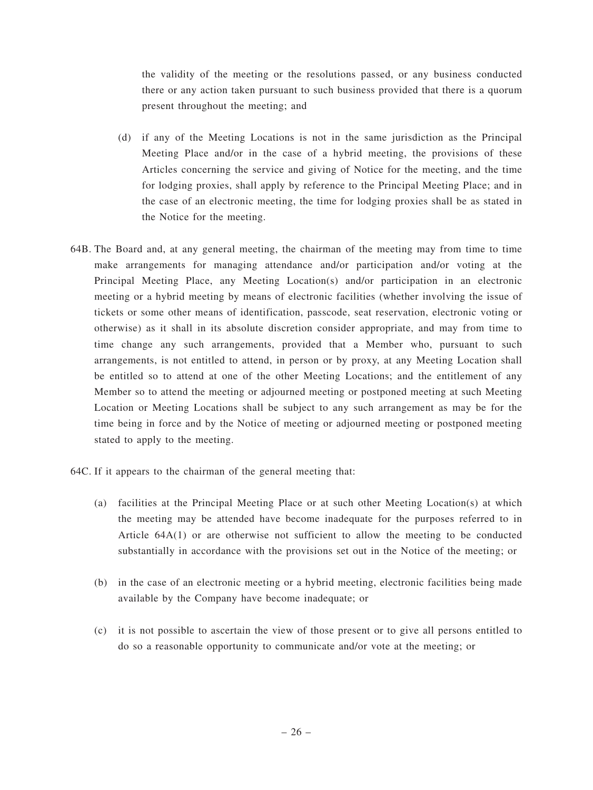the validity of the meeting or the resolutions passed, or any business conducted there or any action taken pursuant to such business provided that there is a quorum present throughout the meeting; and

- (d) if any of the Meeting Locations is not in the same jurisdiction as the Principal Meeting Place and/or in the case of a hybrid meeting, the provisions of these Articles concerning the service and giving of Notice for the meeting, and the time for lodging proxies, shall apply by reference to the Principal Meeting Place; and in the case of an electronic meeting, the time for lodging proxies shall be as stated in the Notice for the meeting.
- 64B. The Board and, at any general meeting, the chairman of the meeting may from time to time make arrangements for managing attendance and/or participation and/or voting at the Principal Meeting Place, any Meeting Location(s) and/or participation in an electronic meeting or a hybrid meeting by means of electronic facilities (whether involving the issue of tickets or some other means of identification, passcode, seat reservation, electronic voting or otherwise) as it shall in its absolute discretion consider appropriate, and may from time to time change any such arrangements, provided that a Member who, pursuant to such arrangements, is not entitled to attend, in person or by proxy, at any Meeting Location shall be entitled so to attend at one of the other Meeting Locations; and the entitlement of any Member so to attend the meeting or adjourned meeting or postponed meeting at such Meeting Location or Meeting Locations shall be subject to any such arrangement as may be for the time being in force and by the Notice of meeting or adjourned meeting or postponed meeting stated to apply to the meeting.

64C. If it appears to the chairman of the general meeting that:

- (a) facilities at the Principal Meeting Place or at such other Meeting Location(s) at which the meeting may be attended have become inadequate for the purposes referred to in Article 64A(1) or are otherwise not sufficient to allow the meeting to be conducted substantially in accordance with the provisions set out in the Notice of the meeting; or
- (b) in the case of an electronic meeting or a hybrid meeting, electronic facilities being made available by the Company have become inadequate; or
- (c) it is not possible to ascertain the view of those present or to give all persons entitled to do so a reasonable opportunity to communicate and/or vote at the meeting; or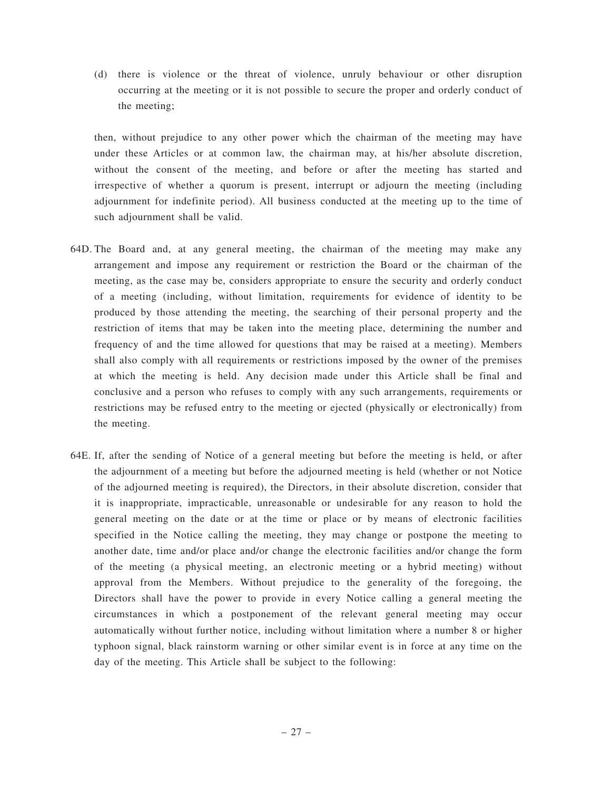(d) there is violence or the threat of violence, unruly behaviour or other disruption occurring at the meeting or it is not possible to secure the proper and orderly conduct of the meeting;

then, without prejudice to any other power which the chairman of the meeting may have under these Articles or at common law, the chairman may, at his/her absolute discretion, without the consent of the meeting, and before or after the meeting has started and irrespective of whether a quorum is present, interrupt or adjourn the meeting (including adjournment for indefinite period). All business conducted at the meeting up to the time of such adjournment shall be valid.

- 64D. The Board and, at any general meeting, the chairman of the meeting may make any arrangement and impose any requirement or restriction the Board or the chairman of the meeting, as the case may be, considers appropriate to ensure the security and orderly conduct of a meeting (including, without limitation, requirements for evidence of identity to be produced by those attending the meeting, the searching of their personal property and the restriction of items that may be taken into the meeting place, determining the number and frequency of and the time allowed for questions that may be raised at a meeting). Members shall also comply with all requirements or restrictions imposed by the owner of the premises at which the meeting is held. Any decision made under this Article shall be final and conclusive and a person who refuses to comply with any such arrangements, requirements or restrictions may be refused entry to the meeting or ejected (physically or electronically) from the meeting.
- 64E. If, after the sending of Notice of a general meeting but before the meeting is held, or after the adjournment of a meeting but before the adjourned meeting is held (whether or not Notice of the adjourned meeting is required), the Directors, in their absolute discretion, consider that it is inappropriate, impracticable, unreasonable or undesirable for any reason to hold the general meeting on the date or at the time or place or by means of electronic facilities specified in the Notice calling the meeting, they may change or postpone the meeting to another date, time and/or place and/or change the electronic facilities and/or change the form of the meeting (a physical meeting, an electronic meeting or a hybrid meeting) without approval from the Members. Without prejudice to the generality of the foregoing, the Directors shall have the power to provide in every Notice calling a general meeting the circumstances in which a postponement of the relevant general meeting may occur automatically without further notice, including without limitation where a number 8 or higher typhoon signal, black rainstorm warning or other similar event is in force at any time on the day of the meeting. This Article shall be subject to the following: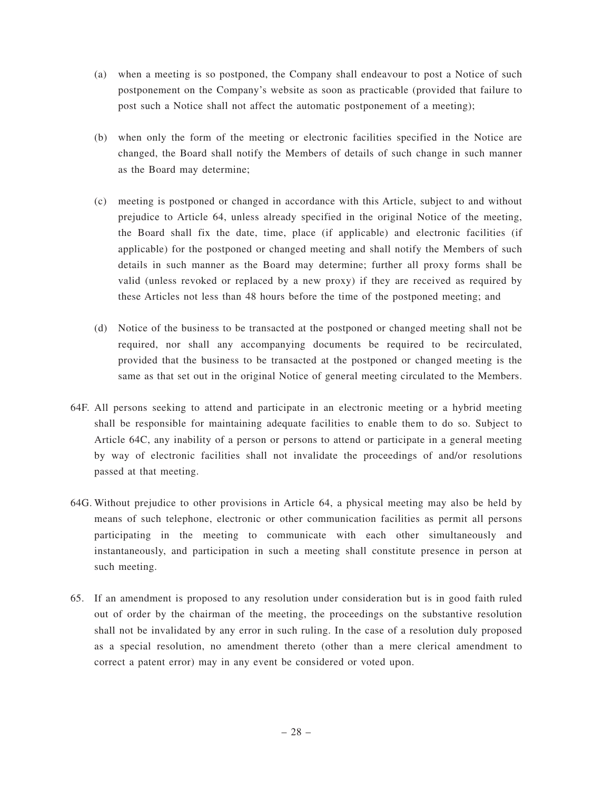- (a) when a meeting is so postponed, the Company shall endeavour to post a Notice of such postponement on the Company's website as soon as practicable (provided that failure to post such a Notice shall not affect the automatic postponement of a meeting);
- (b) when only the form of the meeting or electronic facilities specified in the Notice are changed, the Board shall notify the Members of details of such change in such manner as the Board may determine;
- (c) meeting is postponed or changed in accordance with this Article, subject to and without prejudice to Article 64, unless already specified in the original Notice of the meeting, the Board shall fix the date, time, place (if applicable) and electronic facilities (if applicable) for the postponed or changed meeting and shall notify the Members of such details in such manner as the Board may determine; further all proxy forms shall be valid (unless revoked or replaced by a new proxy) if they are received as required by these Articles not less than 48 hours before the time of the postponed meeting; and
- (d) Notice of the business to be transacted at the postponed or changed meeting shall not be required, nor shall any accompanying documents be required to be recirculated, provided that the business to be transacted at the postponed or changed meeting is the same as that set out in the original Notice of general meeting circulated to the Members.
- 64F. All persons seeking to attend and participate in an electronic meeting or a hybrid meeting shall be responsible for maintaining adequate facilities to enable them to do so. Subject to Article 64C, any inability of a person or persons to attend or participate in a general meeting by way of electronic facilities shall not invalidate the proceedings of and/or resolutions passed at that meeting.
- 64G. Without prejudice to other provisions in Article 64, a physical meeting may also be held by means of such telephone, electronic or other communication facilities as permit all persons participating in the meeting to communicate with each other simultaneously and instantaneously, and participation in such a meeting shall constitute presence in person at such meeting.
- 65. If an amendment is proposed to any resolution under consideration but is in good faith ruled out of order by the chairman of the meeting, the proceedings on the substantive resolution shall not be invalidated by any error in such ruling. In the case of a resolution duly proposed as a special resolution, no amendment thereto (other than a mere clerical amendment to correct a patent error) may in any event be considered or voted upon.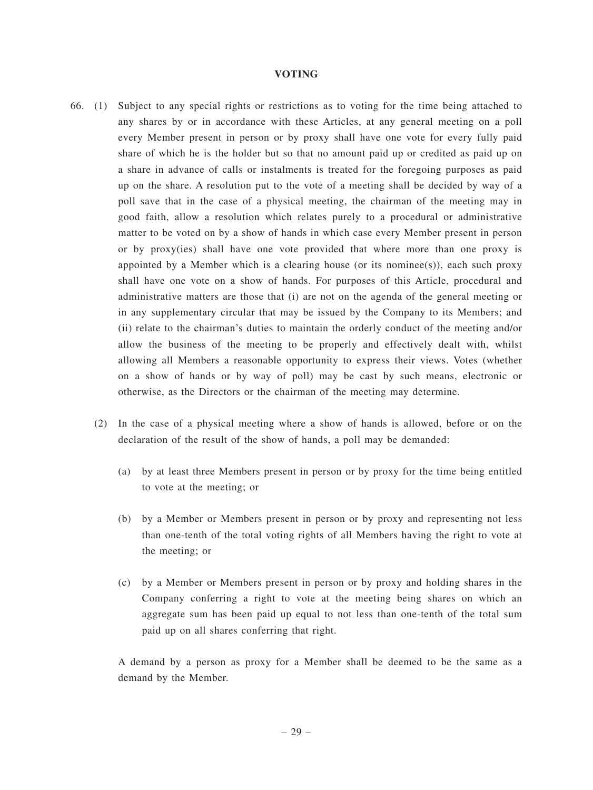#### **VOTING**

- 66. (1) Subject to any special rights or restrictions as to voting for the time being attached to any shares by or in accordance with these Articles, at any general meeting on a poll every Member present in person or by proxy shall have one vote for every fully paid share of which he is the holder but so that no amount paid up or credited as paid up on a share in advance of calls or instalments is treated for the foregoing purposes as paid up on the share. A resolution put to the vote of a meeting shall be decided by way of a poll save that in the case of a physical meeting, the chairman of the meeting may in good faith, allow a resolution which relates purely to a procedural or administrative matter to be voted on by a show of hands in which case every Member present in person or by proxy(ies) shall have one vote provided that where more than one proxy is appointed by a Member which is a clearing house (or its nominee(s)), each such proxy shall have one vote on a show of hands. For purposes of this Article, procedural and administrative matters are those that (i) are not on the agenda of the general meeting or in any supplementary circular that may be issued by the Company to its Members; and (ii) relate to the chairman's duties to maintain the orderly conduct of the meeting and/or allow the business of the meeting to be properly and effectively dealt with, whilst allowing all Members a reasonable opportunity to express their views. Votes (whether on a show of hands or by way of poll) may be cast by such means, electronic or otherwise, as the Directors or the chairman of the meeting may determine.
	- (2) In the case of a physical meeting where a show of hands is allowed, before or on the declaration of the result of the show of hands, a poll may be demanded:
		- (a) by at least three Members present in person or by proxy for the time being entitled to vote at the meeting; or
		- (b) by a Member or Members present in person or by proxy and representing not less than one-tenth of the total voting rights of all Members having the right to vote at the meeting; or
		- (c) by a Member or Members present in person or by proxy and holding shares in the Company conferring a right to vote at the meeting being shares on which an aggregate sum has been paid up equal to not less than one-tenth of the total sum paid up on all shares conferring that right.

A demand by a person as proxy for a Member shall be deemed to be the same as a demand by the Member.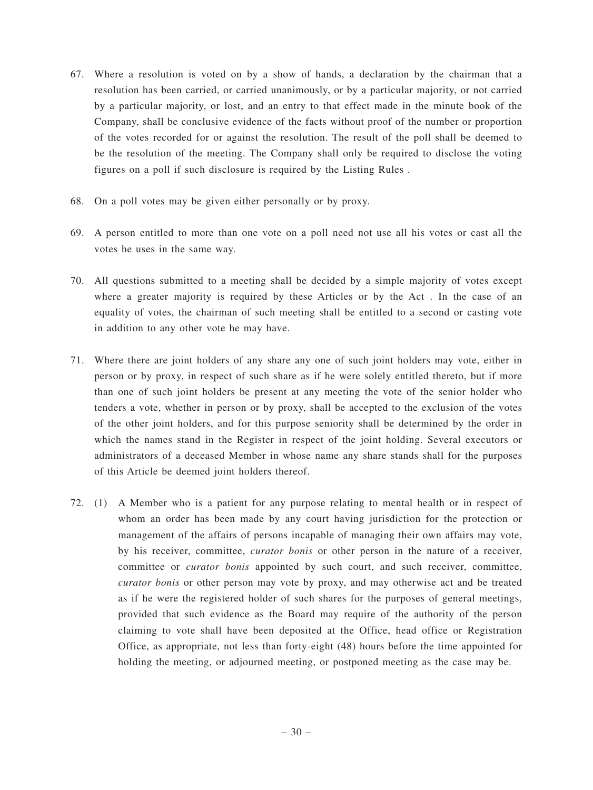- 67. Where a resolution is voted on by a show of hands, a declaration by the chairman that a resolution has been carried, or carried unanimously, or by a particular majority, or not carried by a particular majority, or lost, and an entry to that effect made in the minute book of the Company, shall be conclusive evidence of the facts without proof of the number or proportion of the votes recorded for or against the resolution. The result of the poll shall be deemed to be the resolution of the meeting. The Company shall only be required to disclose the voting figures on a poll if such disclosure is required by the Listing Rules .
- 68. On a poll votes may be given either personally or by proxy.
- 69. A person entitled to more than one vote on a poll need not use all his votes or cast all the votes he uses in the same way.
- 70. All questions submitted to a meeting shall be decided by a simple majority of votes except where a greater majority is required by these Articles or by the Act . In the case of an equality of votes, the chairman of such meeting shall be entitled to a second or casting vote in addition to any other vote he may have.
- 71. Where there are joint holders of any share any one of such joint holders may vote, either in person or by proxy, in respect of such share as if he were solely entitled thereto, but if more than one of such joint holders be present at any meeting the vote of the senior holder who tenders a vote, whether in person or by proxy, shall be accepted to the exclusion of the votes of the other joint holders, and for this purpose seniority shall be determined by the order in which the names stand in the Register in respect of the joint holding. Several executors or administrators of a deceased Member in whose name any share stands shall for the purposes of this Article be deemed joint holders thereof.
- 72. (1) A Member who is a patient for any purpose relating to mental health or in respect of whom an order has been made by any court having jurisdiction for the protection or management of the affairs of persons incapable of managing their own affairs may vote, by his receiver, committee, *curator bonis* or other person in the nature of a receiver, committee or *curator bonis* appointed by such court, and such receiver, committee, *curator bonis* or other person may vote by proxy, and may otherwise act and be treated as if he were the registered holder of such shares for the purposes of general meetings, provided that such evidence as the Board may require of the authority of the person claiming to vote shall have been deposited at the Office, head office or Registration Office, as appropriate, not less than forty-eight (48) hours before the time appointed for holding the meeting, or adjourned meeting, or postponed meeting as the case may be.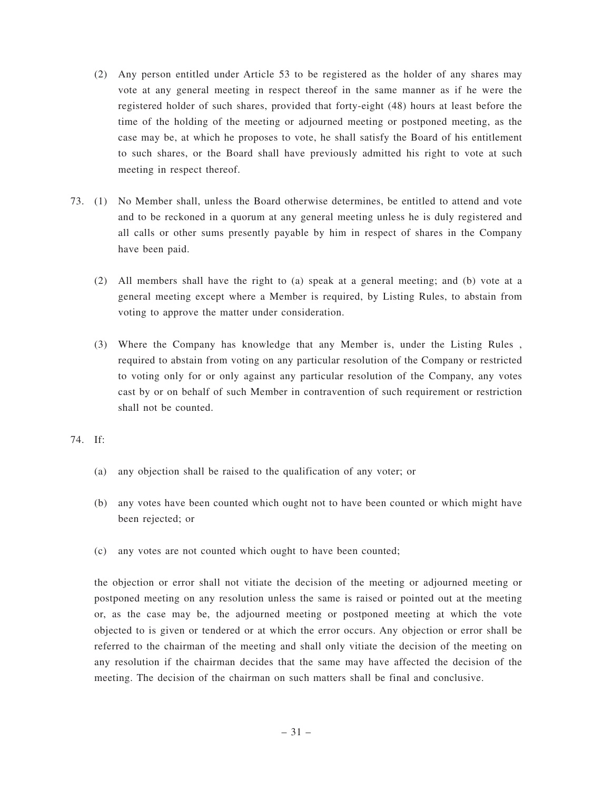- (2) Any person entitled under Article 53 to be registered as the holder of any shares may vote at any general meeting in respect thereof in the same manner as if he were the registered holder of such shares, provided that forty-eight (48) hours at least before the time of the holding of the meeting or adjourned meeting or postponed meeting, as the case may be, at which he proposes to vote, he shall satisfy the Board of his entitlement to such shares, or the Board shall have previously admitted his right to vote at such meeting in respect thereof.
- 73. (1) No Member shall, unless the Board otherwise determines, be entitled to attend and vote and to be reckoned in a quorum at any general meeting unless he is duly registered and all calls or other sums presently payable by him in respect of shares in the Company have been paid.
	- (2) All members shall have the right to (a) speak at a general meeting; and (b) vote at a general meeting except where a Member is required, by Listing Rules, to abstain from voting to approve the matter under consideration.
	- (3) Where the Company has knowledge that any Member is, under the Listing Rules , required to abstain from voting on any particular resolution of the Company or restricted to voting only for or only against any particular resolution of the Company, any votes cast by or on behalf of such Member in contravention of such requirement or restriction shall not be counted.
- 74. If:
	- (a) any objection shall be raised to the qualification of any voter; or
	- (b) any votes have been counted which ought not to have been counted or which might have been rejected; or
	- (c) any votes are not counted which ought to have been counted;

the objection or error shall not vitiate the decision of the meeting or adjourned meeting or postponed meeting on any resolution unless the same is raised or pointed out at the meeting or, as the case may be, the adjourned meeting or postponed meeting at which the vote objected to is given or tendered or at which the error occurs. Any objection or error shall be referred to the chairman of the meeting and shall only vitiate the decision of the meeting on any resolution if the chairman decides that the same may have affected the decision of the meeting. The decision of the chairman on such matters shall be final and conclusive.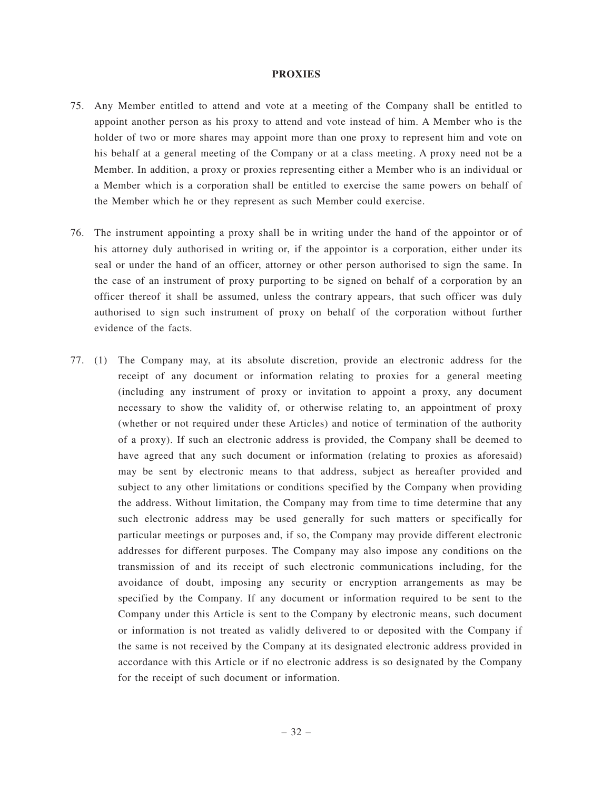#### **PROXIES**

- 75. Any Member entitled to attend and vote at a meeting of the Company shall be entitled to appoint another person as his proxy to attend and vote instead of him. A Member who is the holder of two or more shares may appoint more than one proxy to represent him and vote on his behalf at a general meeting of the Company or at a class meeting. A proxy need not be a Member. In addition, a proxy or proxies representing either a Member who is an individual or a Member which is a corporation shall be entitled to exercise the same powers on behalf of the Member which he or they represent as such Member could exercise.
- 76. The instrument appointing a proxy shall be in writing under the hand of the appointor or of his attorney duly authorised in writing or, if the appointor is a corporation, either under its seal or under the hand of an officer, attorney or other person authorised to sign the same. In the case of an instrument of proxy purporting to be signed on behalf of a corporation by an officer thereof it shall be assumed, unless the contrary appears, that such officer was duly authorised to sign such instrument of proxy on behalf of the corporation without further evidence of the facts.
- 77. (1) The Company may, at its absolute discretion, provide an electronic address for the receipt of any document or information relating to proxies for a general meeting (including any instrument of proxy or invitation to appoint a proxy, any document necessary to show the validity of, or otherwise relating to, an appointment of proxy (whether or not required under these Articles) and notice of termination of the authority of a proxy). If such an electronic address is provided, the Company shall be deemed to have agreed that any such document or information (relating to proxies as aforesaid) may be sent by electronic means to that address, subject as hereafter provided and subject to any other limitations or conditions specified by the Company when providing the address. Without limitation, the Company may from time to time determine that any such electronic address may be used generally for such matters or specifically for particular meetings or purposes and, if so, the Company may provide different electronic addresses for different purposes. The Company may also impose any conditions on the transmission of and its receipt of such electronic communications including, for the avoidance of doubt, imposing any security or encryption arrangements as may be specified by the Company. If any document or information required to be sent to the Company under this Article is sent to the Company by electronic means, such document or information is not treated as validly delivered to or deposited with the Company if the same is not received by the Company at its designated electronic address provided in accordance with this Article or if no electronic address is so designated by the Company for the receipt of such document or information.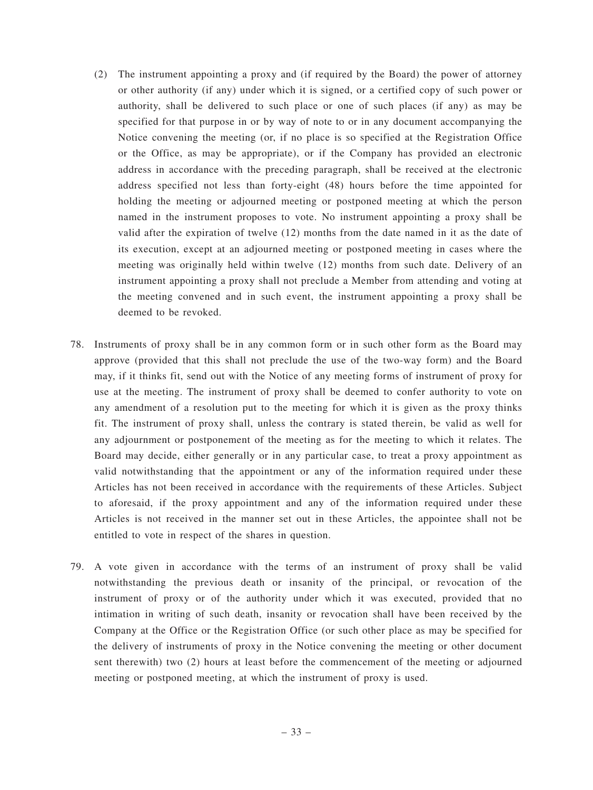- (2) The instrument appointing a proxy and (if required by the Board) the power of attorney or other authority (if any) under which it is signed, or a certified copy of such power or authority, shall be delivered to such place or one of such places (if any) as may be specified for that purpose in or by way of note to or in any document accompanying the Notice convening the meeting (or, if no place is so specified at the Registration Office or the Office, as may be appropriate), or if the Company has provided an electronic address in accordance with the preceding paragraph, shall be received at the electronic address specified not less than forty-eight (48) hours before the time appointed for holding the meeting or adjourned meeting or postponed meeting at which the person named in the instrument proposes to vote. No instrument appointing a proxy shall be valid after the expiration of twelve (12) months from the date named in it as the date of its execution, except at an adjourned meeting or postponed meeting in cases where the meeting was originally held within twelve (12) months from such date. Delivery of an instrument appointing a proxy shall not preclude a Member from attending and voting at the meeting convened and in such event, the instrument appointing a proxy shall be deemed to be revoked.
- 78. Instruments of proxy shall be in any common form or in such other form as the Board may approve (provided that this shall not preclude the use of the two-way form) and the Board may, if it thinks fit, send out with the Notice of any meeting forms of instrument of proxy for use at the meeting. The instrument of proxy shall be deemed to confer authority to vote on any amendment of a resolution put to the meeting for which it is given as the proxy thinks fit. The instrument of proxy shall, unless the contrary is stated therein, be valid as well for any adjournment or postponement of the meeting as for the meeting to which it relates. The Board may decide, either generally or in any particular case, to treat a proxy appointment as valid notwithstanding that the appointment or any of the information required under these Articles has not been received in accordance with the requirements of these Articles. Subject to aforesaid, if the proxy appointment and any of the information required under these Articles is not received in the manner set out in these Articles, the appointee shall not be entitled to vote in respect of the shares in question.
- 79. A vote given in accordance with the terms of an instrument of proxy shall be valid notwithstanding the previous death or insanity of the principal, or revocation of the instrument of proxy or of the authority under which it was executed, provided that no intimation in writing of such death, insanity or revocation shall have been received by the Company at the Office or the Registration Office (or such other place as may be specified for the delivery of instruments of proxy in the Notice convening the meeting or other document sent therewith) two (2) hours at least before the commencement of the meeting or adjourned meeting or postponed meeting, at which the instrument of proxy is used.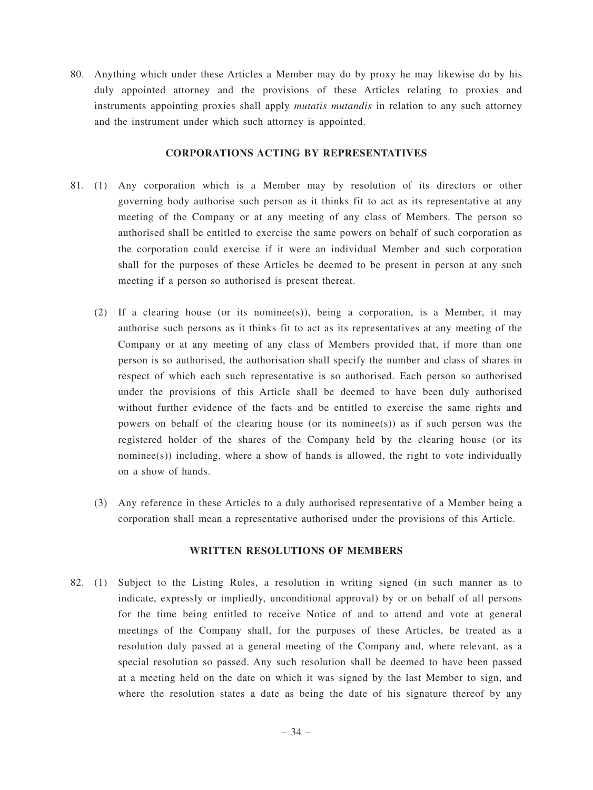80. Anything which under these Articles a Member may do by proxy he may likewise do by his duly appointed attorney and the provisions of these Articles relating to proxies and instruments appointing proxies shall apply *mutatis mutandis* in relation to any such attorney and the instrument under which such attorney is appointed.

#### **CORPORATIONS ACTING BY REPRESENTATIVES**

- 81. (1) Any corporation which is a Member may by resolution of its directors or other governing body authorise such person as it thinks fit to act as its representative at any meeting of the Company or at any meeting of any class of Members. The person so authorised shall be entitled to exercise the same powers on behalf of such corporation as the corporation could exercise if it were an individual Member and such corporation shall for the purposes of these Articles be deemed to be present in person at any such meeting if a person so authorised is present thereat.
	- (2) If a clearing house (or its nominee(s)), being a corporation, is a Member, it may authorise such persons as it thinks fit to act as its representatives at any meeting of the Company or at any meeting of any class of Members provided that, if more than one person is so authorised, the authorisation shall specify the number and class of shares in respect of which each such representative is so authorised. Each person so authorised under the provisions of this Article shall be deemed to have been duly authorised without further evidence of the facts and be entitled to exercise the same rights and powers on behalf of the clearing house (or its nominee(s)) as if such person was the registered holder of the shares of the Company held by the clearing house (or its nominee(s)) including, where a show of hands is allowed, the right to vote individually on a show of hands.
	- (3) Any reference in these Articles to a duly authorised representative of a Member being a corporation shall mean a representative authorised under the provisions of this Article.

# **WRITTEN RESOLUTIONS OF MEMBERS**

82. (1) Subject to the Listing Rules, a resolution in writing signed (in such manner as to indicate, expressly or impliedly, unconditional approval) by or on behalf of all persons for the time being entitled to receive Notice of and to attend and vote at general meetings of the Company shall, for the purposes of these Articles, be treated as a resolution duly passed at a general meeting of the Company and, where relevant, as a special resolution so passed. Any such resolution shall be deemed to have been passed at a meeting held on the date on which it was signed by the last Member to sign, and where the resolution states a date as being the date of his signature thereof by any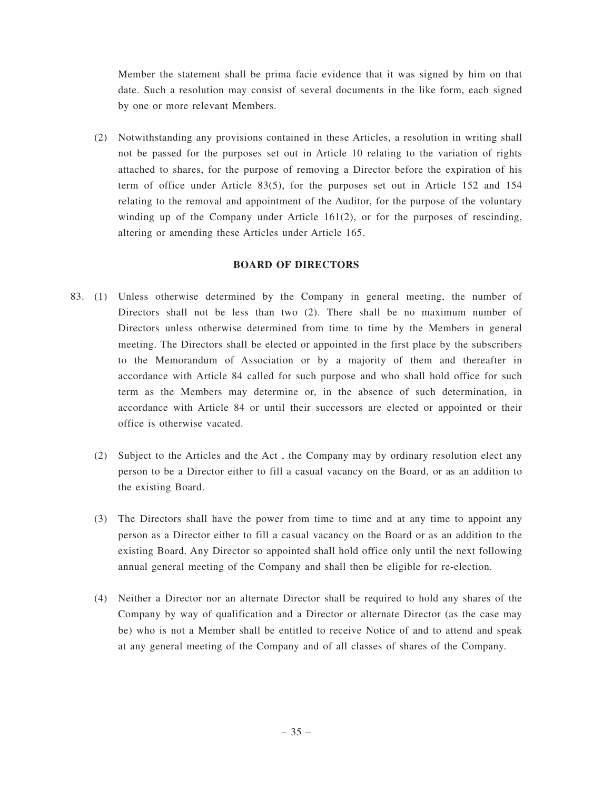Member the statement shall be prima facie evidence that it was signed by him on that date. Such a resolution may consist of several documents in the like form, each signed by one or more relevant Members.

(2) Notwithstanding any provisions contained in these Articles, a resolution in writing shall not be passed for the purposes set out in Article 10 relating to the variation of rights attached to shares, for the purpose of removing a Director before the expiration of his term of office under Article 83(5), for the purposes set out in Article 152 and 154 relating to the removal and appointment of the Auditor, for the purpose of the voluntary winding up of the Company under Article 161(2), or for the purposes of rescinding, altering or amending these Articles under Article 165.

## **BOARD OF DIRECTORS**

- 83. (1) Unless otherwise determined by the Company in general meeting, the number of Directors shall not be less than two (2). There shall be no maximum number of Directors unless otherwise determined from time to time by the Members in general meeting. The Directors shall be elected or appointed in the first place by the subscribers to the Memorandum of Association or by a majority of them and thereafter in accordance with Article 84 called for such purpose and who shall hold office for such term as the Members may determine or, in the absence of such determination, in accordance with Article 84 or until their successors are elected or appointed or their office is otherwise vacated.
	- (2) Subject to the Articles and the Act , the Company may by ordinary resolution elect any person to be a Director either to fill a casual vacancy on the Board, or as an addition to the existing Board.
	- (3) The Directors shall have the power from time to time and at any time to appoint any person as a Director either to fill a casual vacancy on the Board or as an addition to the existing Board. Any Director so appointed shall hold office only until the next following annual general meeting of the Company and shall then be eligible for re-election.
	- (4) Neither a Director nor an alternate Director shall be required to hold any shares of the Company by way of qualification and a Director or alternate Director (as the case may be) who is not a Member shall be entitled to receive Notice of and to attend and speak at any general meeting of the Company and of all classes of shares of the Company.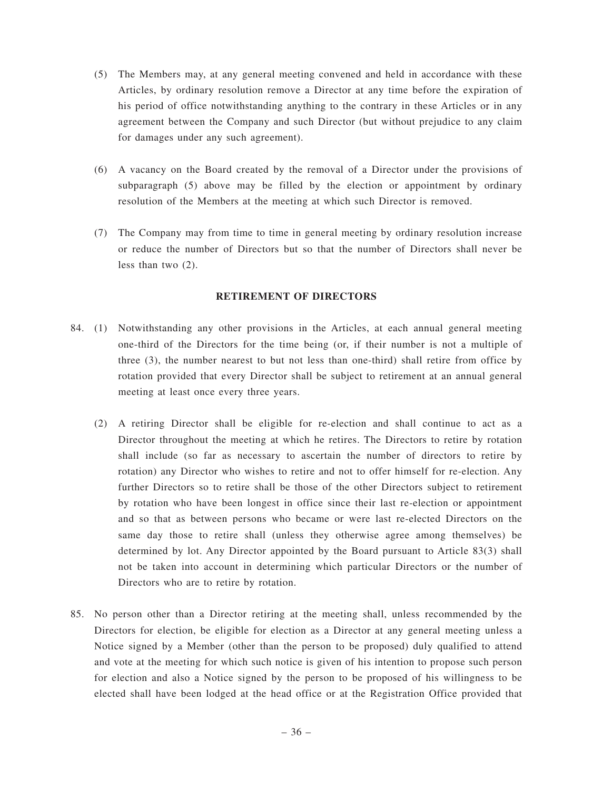- (5) The Members may, at any general meeting convened and held in accordance with these Articles, by ordinary resolution remove a Director at any time before the expiration of his period of office notwithstanding anything to the contrary in these Articles or in any agreement between the Company and such Director (but without prejudice to any claim for damages under any such agreement).
- (6) A vacancy on the Board created by the removal of a Director under the provisions of subparagraph (5) above may be filled by the election or appointment by ordinary resolution of the Members at the meeting at which such Director is removed.
- (7) The Company may from time to time in general meeting by ordinary resolution increase or reduce the number of Directors but so that the number of Directors shall never be less than two (2).

## **RETIREMENT OF DIRECTORS**

- 84. (1) Notwithstanding any other provisions in the Articles, at each annual general meeting one-third of the Directors for the time being (or, if their number is not a multiple of three (3), the number nearest to but not less than one-third) shall retire from office by rotation provided that every Director shall be subject to retirement at an annual general meeting at least once every three years.
	- (2) A retiring Director shall be eligible for re-election and shall continue to act as a Director throughout the meeting at which he retires. The Directors to retire by rotation shall include (so far as necessary to ascertain the number of directors to retire by rotation) any Director who wishes to retire and not to offer himself for re-election. Any further Directors so to retire shall be those of the other Directors subject to retirement by rotation who have been longest in office since their last re-election or appointment and so that as between persons who became or were last re-elected Directors on the same day those to retire shall (unless they otherwise agree among themselves) be determined by lot. Any Director appointed by the Board pursuant to Article 83(3) shall not be taken into account in determining which particular Directors or the number of Directors who are to retire by rotation.
- 85. No person other than a Director retiring at the meeting shall, unless recommended by the Directors for election, be eligible for election as a Director at any general meeting unless a Notice signed by a Member (other than the person to be proposed) duly qualified to attend and vote at the meeting for which such notice is given of his intention to propose such person for election and also a Notice signed by the person to be proposed of his willingness to be elected shall have been lodged at the head office or at the Registration Office provided that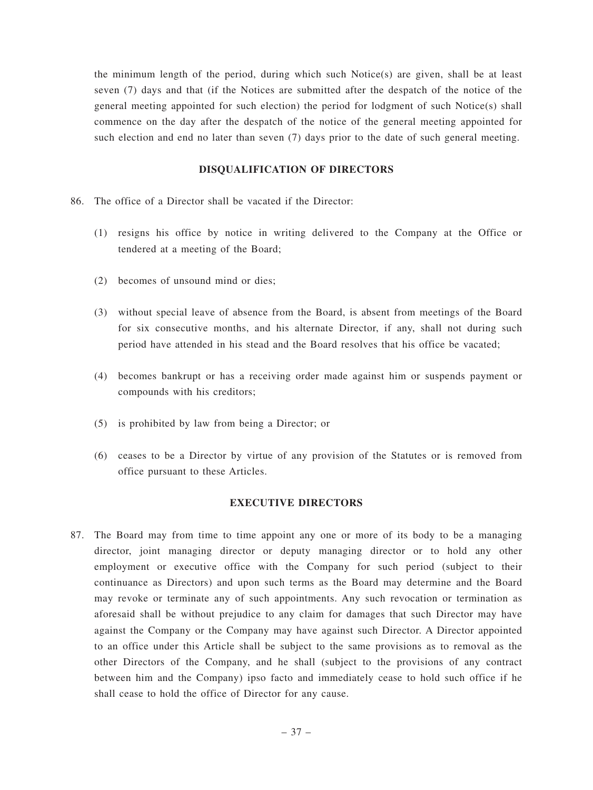the minimum length of the period, during which such Notice(s) are given, shall be at least seven (7) days and that (if the Notices are submitted after the despatch of the notice of the general meeting appointed for such election) the period for lodgment of such Notice(s) shall commence on the day after the despatch of the notice of the general meeting appointed for such election and end no later than seven (7) days prior to the date of such general meeting.

### **DISQUALIFICATION OF DIRECTORS**

- 86. The office of a Director shall be vacated if the Director:
	- (1) resigns his office by notice in writing delivered to the Company at the Office or tendered at a meeting of the Board;
	- (2) becomes of unsound mind or dies;
	- (3) without special leave of absence from the Board, is absent from meetings of the Board for six consecutive months, and his alternate Director, if any, shall not during such period have attended in his stead and the Board resolves that his office be vacated;
	- (4) becomes bankrupt or has a receiving order made against him or suspends payment or compounds with his creditors;
	- (5) is prohibited by law from being a Director; or
	- (6) ceases to be a Director by virtue of any provision of the Statutes or is removed from office pursuant to these Articles.

#### **EXECUTIVE DIRECTORS**

87. The Board may from time to time appoint any one or more of its body to be a managing director, joint managing director or deputy managing director or to hold any other employment or executive office with the Company for such period (subject to their continuance as Directors) and upon such terms as the Board may determine and the Board may revoke or terminate any of such appointments. Any such revocation or termination as aforesaid shall be without prejudice to any claim for damages that such Director may have against the Company or the Company may have against such Director. A Director appointed to an office under this Article shall be subject to the same provisions as to removal as the other Directors of the Company, and he shall (subject to the provisions of any contract between him and the Company) ipso facto and immediately cease to hold such office if he shall cease to hold the office of Director for any cause.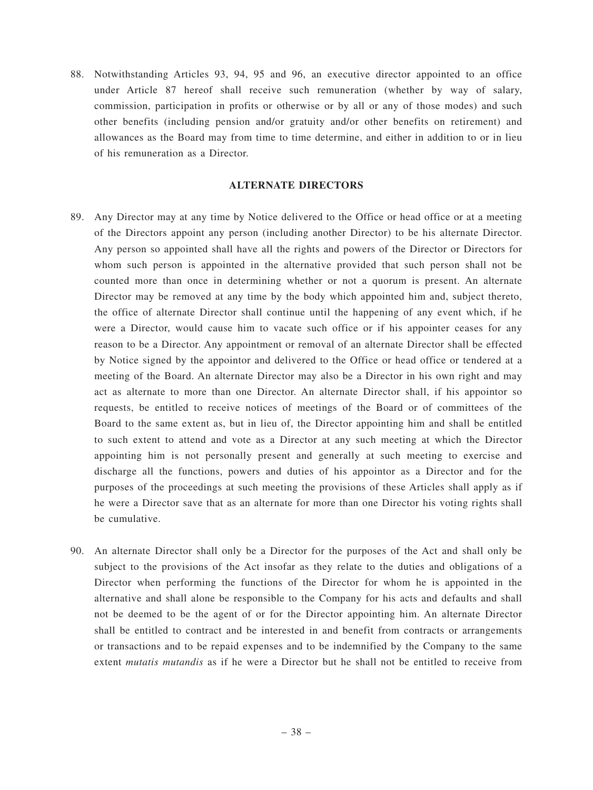88. Notwithstanding Articles 93, 94, 95 and 96, an executive director appointed to an office under Article 87 hereof shall receive such remuneration (whether by way of salary, commission, participation in profits or otherwise or by all or any of those modes) and such other benefits (including pension and/or gratuity and/or other benefits on retirement) and allowances as the Board may from time to time determine, and either in addition to or in lieu of his remuneration as a Director.

## **ALTERNATE DIRECTORS**

- 89. Any Director may at any time by Notice delivered to the Office or head office or at a meeting of the Directors appoint any person (including another Director) to be his alternate Director. Any person so appointed shall have all the rights and powers of the Director or Directors for whom such person is appointed in the alternative provided that such person shall not be counted more than once in determining whether or not a quorum is present. An alternate Director may be removed at any time by the body which appointed him and, subject thereto, the office of alternate Director shall continue until the happening of any event which, if he were a Director, would cause him to vacate such office or if his appointer ceases for any reason to be a Director. Any appointment or removal of an alternate Director shall be effected by Notice signed by the appointor and delivered to the Office or head office or tendered at a meeting of the Board. An alternate Director may also be a Director in his own right and may act as alternate to more than one Director. An alternate Director shall, if his appointor so requests, be entitled to receive notices of meetings of the Board or of committees of the Board to the same extent as, but in lieu of, the Director appointing him and shall be entitled to such extent to attend and vote as a Director at any such meeting at which the Director appointing him is not personally present and generally at such meeting to exercise and discharge all the functions, powers and duties of his appointor as a Director and for the purposes of the proceedings at such meeting the provisions of these Articles shall apply as if he were a Director save that as an alternate for more than one Director his voting rights shall be cumulative.
- 90. An alternate Director shall only be a Director for the purposes of the Act and shall only be subject to the provisions of the Act insofar as they relate to the duties and obligations of a Director when performing the functions of the Director for whom he is appointed in the alternative and shall alone be responsible to the Company for his acts and defaults and shall not be deemed to be the agent of or for the Director appointing him. An alternate Director shall be entitled to contract and be interested in and benefit from contracts or arrangements or transactions and to be repaid expenses and to be indemnified by the Company to the same extent *mutatis mutandis* as if he were a Director but he shall not be entitled to receive from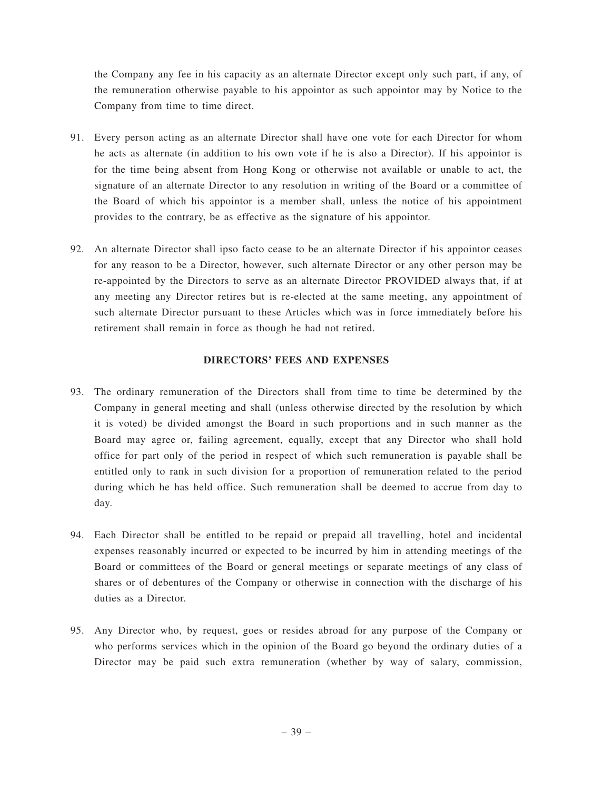the Company any fee in his capacity as an alternate Director except only such part, if any, of the remuneration otherwise payable to his appointor as such appointor may by Notice to the Company from time to time direct.

- 91. Every person acting as an alternate Director shall have one vote for each Director for whom he acts as alternate (in addition to his own vote if he is also a Director). If his appointor is for the time being absent from Hong Kong or otherwise not available or unable to act, the signature of an alternate Director to any resolution in writing of the Board or a committee of the Board of which his appointor is a member shall, unless the notice of his appointment provides to the contrary, be as effective as the signature of his appointor.
- 92. An alternate Director shall ipso facto cease to be an alternate Director if his appointor ceases for any reason to be a Director, however, such alternate Director or any other person may be re-appointed by the Directors to serve as an alternate Director PROVIDED always that, if at any meeting any Director retires but is re-elected at the same meeting, any appointment of such alternate Director pursuant to these Articles which was in force immediately before his retirement shall remain in force as though he had not retired.

## **DIRECTORS' FEES AND EXPENSES**

- 93. The ordinary remuneration of the Directors shall from time to time be determined by the Company in general meeting and shall (unless otherwise directed by the resolution by which it is voted) be divided amongst the Board in such proportions and in such manner as the Board may agree or, failing agreement, equally, except that any Director who shall hold office for part only of the period in respect of which such remuneration is payable shall be entitled only to rank in such division for a proportion of remuneration related to the period during which he has held office. Such remuneration shall be deemed to accrue from day to day.
- 94. Each Director shall be entitled to be repaid or prepaid all travelling, hotel and incidental expenses reasonably incurred or expected to be incurred by him in attending meetings of the Board or committees of the Board or general meetings or separate meetings of any class of shares or of debentures of the Company or otherwise in connection with the discharge of his duties as a Director.
- 95. Any Director who, by request, goes or resides abroad for any purpose of the Company or who performs services which in the opinion of the Board go beyond the ordinary duties of a Director may be paid such extra remuneration (whether by way of salary, commission,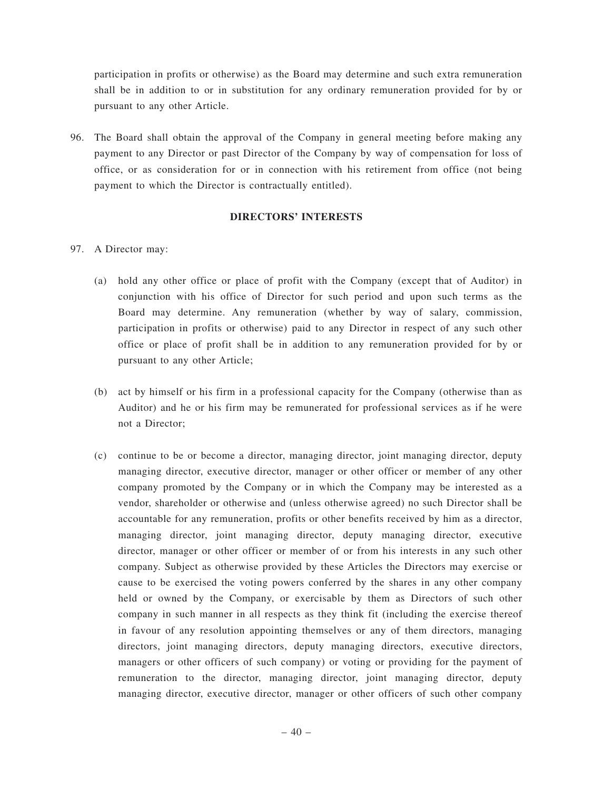participation in profits or otherwise) as the Board may determine and such extra remuneration shall be in addition to or in substitution for any ordinary remuneration provided for by or pursuant to any other Article.

96. The Board shall obtain the approval of the Company in general meeting before making any payment to any Director or past Director of the Company by way of compensation for loss of office, or as consideration for or in connection with his retirement from office (not being payment to which the Director is contractually entitled).

## **DIRECTORS' INTERESTS**

- 97. A Director may:
	- (a) hold any other office or place of profit with the Company (except that of Auditor) in conjunction with his office of Director for such period and upon such terms as the Board may determine. Any remuneration (whether by way of salary, commission, participation in profits or otherwise) paid to any Director in respect of any such other office or place of profit shall be in addition to any remuneration provided for by or pursuant to any other Article;
	- (b) act by himself or his firm in a professional capacity for the Company (otherwise than as Auditor) and he or his firm may be remunerated for professional services as if he were not a Director;
	- (c) continue to be or become a director, managing director, joint managing director, deputy managing director, executive director, manager or other officer or member of any other company promoted by the Company or in which the Company may be interested as a vendor, shareholder or otherwise and (unless otherwise agreed) no such Director shall be accountable for any remuneration, profits or other benefits received by him as a director, managing director, joint managing director, deputy managing director, executive director, manager or other officer or member of or from his interests in any such other company. Subject as otherwise provided by these Articles the Directors may exercise or cause to be exercised the voting powers conferred by the shares in any other company held or owned by the Company, or exercisable by them as Directors of such other company in such manner in all respects as they think fit (including the exercise thereof in favour of any resolution appointing themselves or any of them directors, managing directors, joint managing directors, deputy managing directors, executive directors, managers or other officers of such company) or voting or providing for the payment of remuneration to the director, managing director, joint managing director, deputy managing director, executive director, manager or other officers of such other company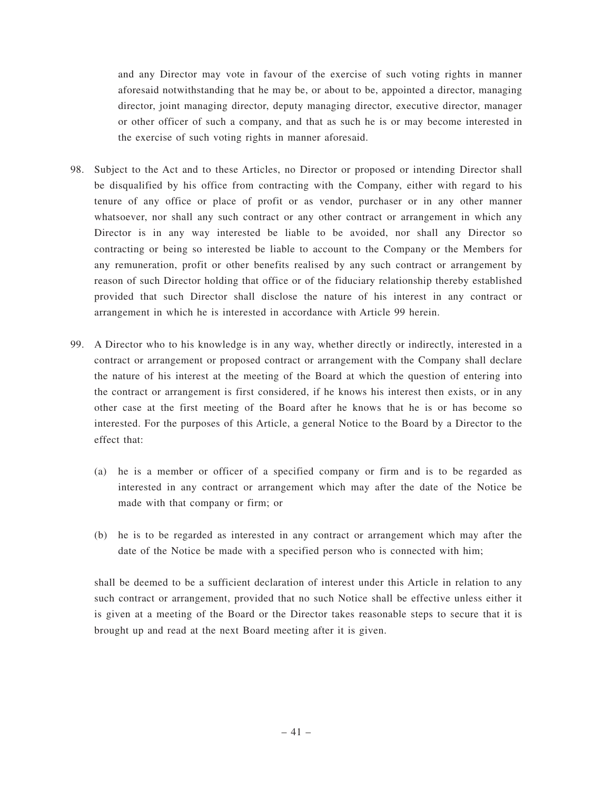and any Director may vote in favour of the exercise of such voting rights in manner aforesaid notwithstanding that he may be, or about to be, appointed a director, managing director, joint managing director, deputy managing director, executive director, manager or other officer of such a company, and that as such he is or may become interested in the exercise of such voting rights in manner aforesaid.

- 98. Subject to the Act and to these Articles, no Director or proposed or intending Director shall be disqualified by his office from contracting with the Company, either with regard to his tenure of any office or place of profit or as vendor, purchaser or in any other manner whatsoever, nor shall any such contract or any other contract or arrangement in which any Director is in any way interested be liable to be avoided, nor shall any Director so contracting or being so interested be liable to account to the Company or the Members for any remuneration, profit or other benefits realised by any such contract or arrangement by reason of such Director holding that office or of the fiduciary relationship thereby established provided that such Director shall disclose the nature of his interest in any contract or arrangement in which he is interested in accordance with Article 99 herein.
- 99. A Director who to his knowledge is in any way, whether directly or indirectly, interested in a contract or arrangement or proposed contract or arrangement with the Company shall declare the nature of his interest at the meeting of the Board at which the question of entering into the contract or arrangement is first considered, if he knows his interest then exists, or in any other case at the first meeting of the Board after he knows that he is or has become so interested. For the purposes of this Article, a general Notice to the Board by a Director to the effect that:
	- (a) he is a member or officer of a specified company or firm and is to be regarded as interested in any contract or arrangement which may after the date of the Notice be made with that company or firm; or
	- (b) he is to be regarded as interested in any contract or arrangement which may after the date of the Notice be made with a specified person who is connected with him;

shall be deemed to be a sufficient declaration of interest under this Article in relation to any such contract or arrangement, provided that no such Notice shall be effective unless either it is given at a meeting of the Board or the Director takes reasonable steps to secure that it is brought up and read at the next Board meeting after it is given.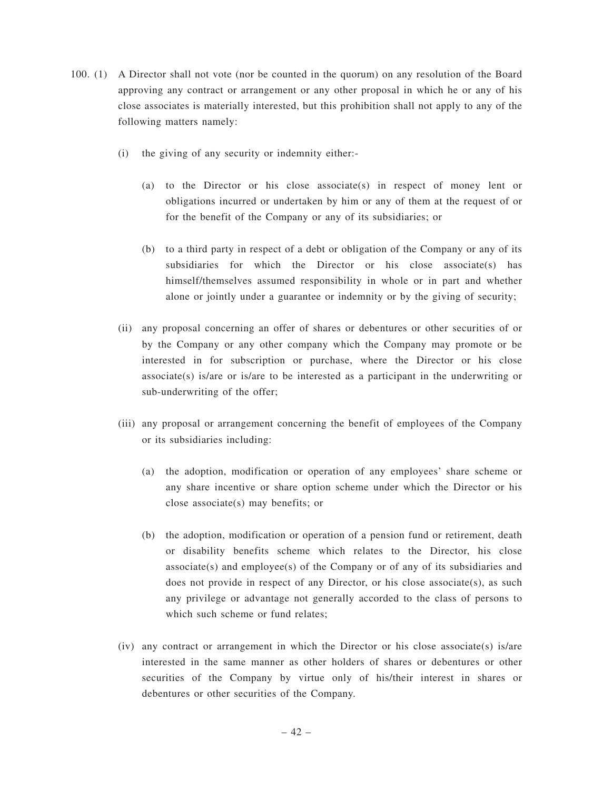- 100. (1) A Director shall not vote (nor be counted in the quorum) on any resolution of the Board approving any contract or arrangement or any other proposal in which he or any of his close associates is materially interested, but this prohibition shall not apply to any of the following matters namely:
	- (i) the giving of any security or indemnity either:-
		- (a) to the Director or his close associate(s) in respect of money lent or obligations incurred or undertaken by him or any of them at the request of or for the benefit of the Company or any of its subsidiaries; or
		- (b) to a third party in respect of a debt or obligation of the Company or any of its subsidiaries for which the Director or his close associate(s) has himself/themselves assumed responsibility in whole or in part and whether alone or jointly under a guarantee or indemnity or by the giving of security;
	- (ii) any proposal concerning an offer of shares or debentures or other securities of or by the Company or any other company which the Company may promote or be interested in for subscription or purchase, where the Director or his close  $associate(s)$  is/are or is/are to be interested as a participant in the underwriting or sub-underwriting of the offer;
	- (iii) any proposal or arrangement concerning the benefit of employees of the Company or its subsidiaries including:
		- (a) the adoption, modification or operation of any employees' share scheme or any share incentive or share option scheme under which the Director or his close associate(s) may benefits; or
		- (b) the adoption, modification or operation of a pension fund or retirement, death or disability benefits scheme which relates to the Director, his close associate(s) and employee(s) of the Company or of any of its subsidiaries and does not provide in respect of any Director, or his close associate(s), as such any privilege or advantage not generally accorded to the class of persons to which such scheme or fund relates;
	- (iv) any contract or arrangement in which the Director or his close associate(s) is/are interested in the same manner as other holders of shares or debentures or other securities of the Company by virtue only of his/their interest in shares or debentures or other securities of the Company.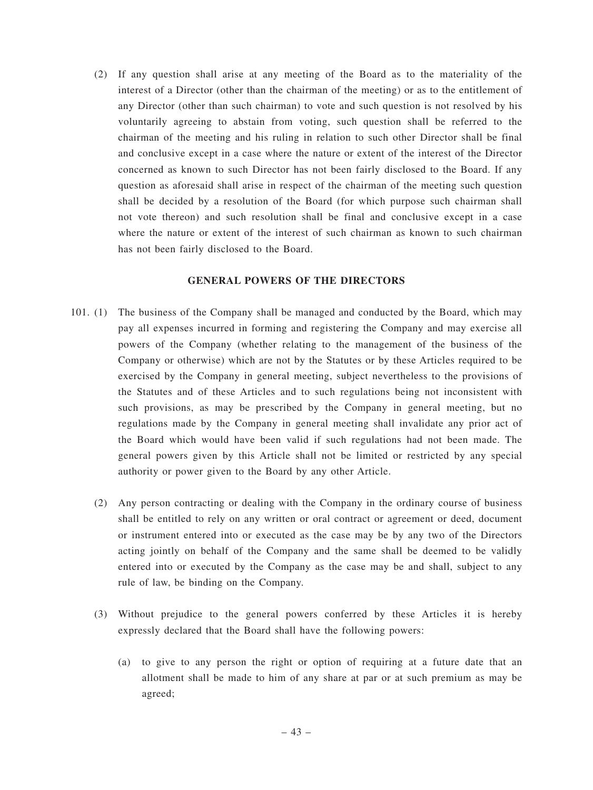(2) If any question shall arise at any meeting of the Board as to the materiality of the interest of a Director (other than the chairman of the meeting) or as to the entitlement of any Director (other than such chairman) to vote and such question is not resolved by his voluntarily agreeing to abstain from voting, such question shall be referred to the chairman of the meeting and his ruling in relation to such other Director shall be final and conclusive except in a case where the nature or extent of the interest of the Director concerned as known to such Director has not been fairly disclosed to the Board. If any question as aforesaid shall arise in respect of the chairman of the meeting such question shall be decided by a resolution of the Board (for which purpose such chairman shall not vote thereon) and such resolution shall be final and conclusive except in a case where the nature or extent of the interest of such chairman as known to such chairman has not been fairly disclosed to the Board.

### **GENERAL POWERS OF THE DIRECTORS**

- 101. (1) The business of the Company shall be managed and conducted by the Board, which may pay all expenses incurred in forming and registering the Company and may exercise all powers of the Company (whether relating to the management of the business of the Company or otherwise) which are not by the Statutes or by these Articles required to be exercised by the Company in general meeting, subject nevertheless to the provisions of the Statutes and of these Articles and to such regulations being not inconsistent with such provisions, as may be prescribed by the Company in general meeting, but no regulations made by the Company in general meeting shall invalidate any prior act of the Board which would have been valid if such regulations had not been made. The general powers given by this Article shall not be limited or restricted by any special authority or power given to the Board by any other Article.
	- (2) Any person contracting or dealing with the Company in the ordinary course of business shall be entitled to rely on any written or oral contract or agreement or deed, document or instrument entered into or executed as the case may be by any two of the Directors acting jointly on behalf of the Company and the same shall be deemed to be validly entered into or executed by the Company as the case may be and shall, subject to any rule of law, be binding on the Company.
	- (3) Without prejudice to the general powers conferred by these Articles it is hereby expressly declared that the Board shall have the following powers:
		- (a) to give to any person the right or option of requiring at a future date that an allotment shall be made to him of any share at par or at such premium as may be agreed;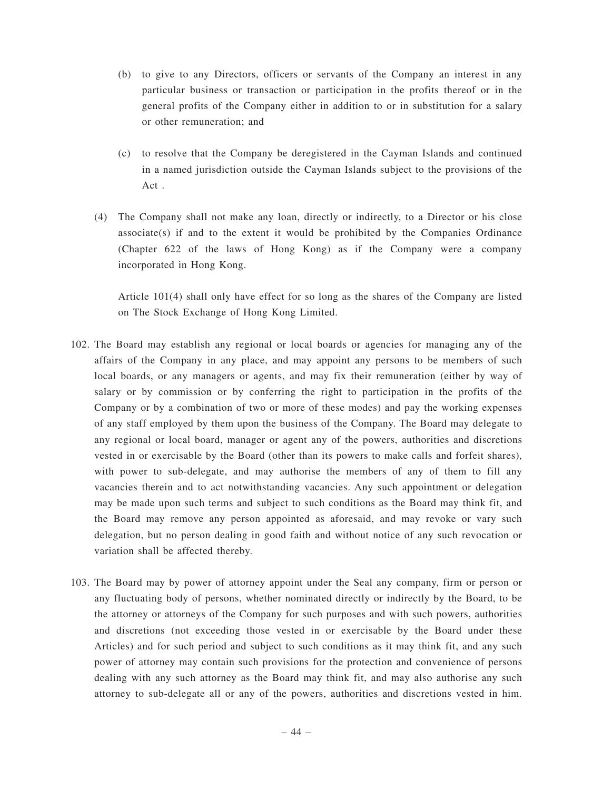- (b) to give to any Directors, officers or servants of the Company an interest in any particular business or transaction or participation in the profits thereof or in the general profits of the Company either in addition to or in substitution for a salary or other remuneration; and
- (c) to resolve that the Company be deregistered in the Cayman Islands and continued in a named jurisdiction outside the Cayman Islands subject to the provisions of the Act .
- (4) The Company shall not make any loan, directly or indirectly, to a Director or his close  $associate(s)$  if and to the extent it would be prohibited by the Companies Ordinance (Chapter 622 of the laws of Hong Kong) as if the Company were a company incorporated in Hong Kong.

Article 101(4) shall only have effect for so long as the shares of the Company are listed on The Stock Exchange of Hong Kong Limited.

- 102. The Board may establish any regional or local boards or agencies for managing any of the affairs of the Company in any place, and may appoint any persons to be members of such local boards, or any managers or agents, and may fix their remuneration (either by way of salary or by commission or by conferring the right to participation in the profits of the Company or by a combination of two or more of these modes) and pay the working expenses of any staff employed by them upon the business of the Company. The Board may delegate to any regional or local board, manager or agent any of the powers, authorities and discretions vested in or exercisable by the Board (other than its powers to make calls and forfeit shares), with power to sub-delegate, and may authorise the members of any of them to fill any vacancies therein and to act notwithstanding vacancies. Any such appointment or delegation may be made upon such terms and subject to such conditions as the Board may think fit, and the Board may remove any person appointed as aforesaid, and may revoke or vary such delegation, but no person dealing in good faith and without notice of any such revocation or variation shall be affected thereby.
- 103. The Board may by power of attorney appoint under the Seal any company, firm or person or any fluctuating body of persons, whether nominated directly or indirectly by the Board, to be the attorney or attorneys of the Company for such purposes and with such powers, authorities and discretions (not exceeding those vested in or exercisable by the Board under these Articles) and for such period and subject to such conditions as it may think fit, and any such power of attorney may contain such provisions for the protection and convenience of persons dealing with any such attorney as the Board may think fit, and may also authorise any such attorney to sub-delegate all or any of the powers, authorities and discretions vested in him.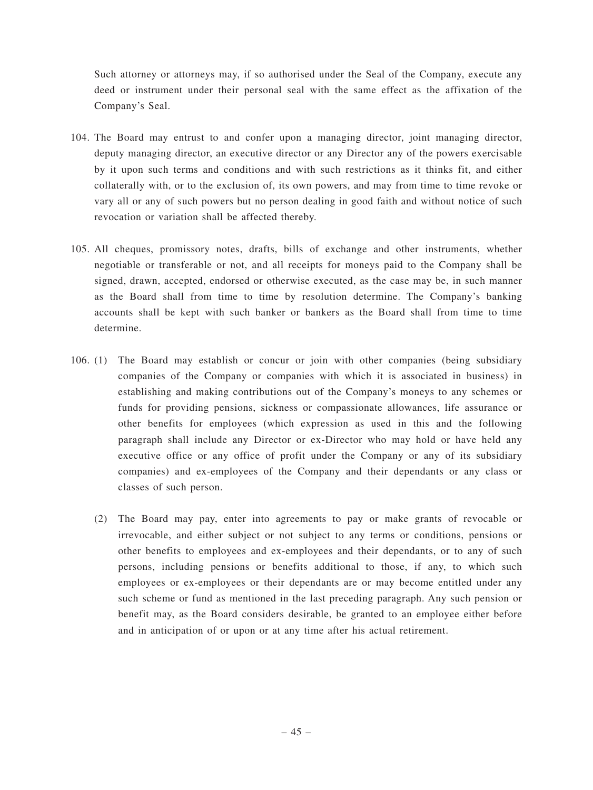Such attorney or attorneys may, if so authorised under the Seal of the Company, execute any deed or instrument under their personal seal with the same effect as the affixation of the Company's Seal.

- 104. The Board may entrust to and confer upon a managing director, joint managing director, deputy managing director, an executive director or any Director any of the powers exercisable by it upon such terms and conditions and with such restrictions as it thinks fit, and either collaterally with, or to the exclusion of, its own powers, and may from time to time revoke or vary all or any of such powers but no person dealing in good faith and without notice of such revocation or variation shall be affected thereby.
- 105. All cheques, promissory notes, drafts, bills of exchange and other instruments, whether negotiable or transferable or not, and all receipts for moneys paid to the Company shall be signed, drawn, accepted, endorsed or otherwise executed, as the case may be, in such manner as the Board shall from time to time by resolution determine. The Company's banking accounts shall be kept with such banker or bankers as the Board shall from time to time determine.
- 106. (1) The Board may establish or concur or join with other companies (being subsidiary companies of the Company or companies with which it is associated in business) in establishing and making contributions out of the Company's moneys to any schemes or funds for providing pensions, sickness or compassionate allowances, life assurance or other benefits for employees (which expression as used in this and the following paragraph shall include any Director or ex-Director who may hold or have held any executive office or any office of profit under the Company or any of its subsidiary companies) and ex-employees of the Company and their dependants or any class or classes of such person.
	- (2) The Board may pay, enter into agreements to pay or make grants of revocable or irrevocable, and either subject or not subject to any terms or conditions, pensions or other benefits to employees and ex-employees and their dependants, or to any of such persons, including pensions or benefits additional to those, if any, to which such employees or ex-employees or their dependants are or may become entitled under any such scheme or fund as mentioned in the last preceding paragraph. Any such pension or benefit may, as the Board considers desirable, be granted to an employee either before and in anticipation of or upon or at any time after his actual retirement.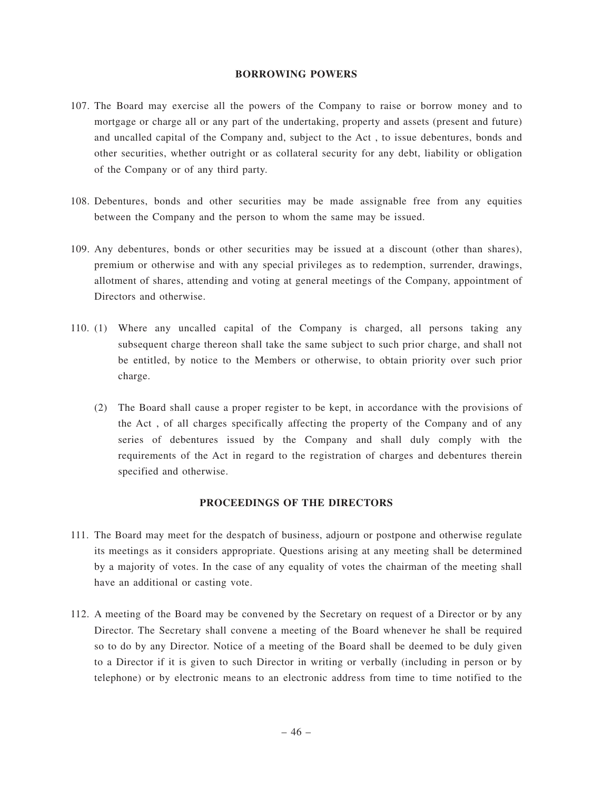#### **BORROWING POWERS**

- 107. The Board may exercise all the powers of the Company to raise or borrow money and to mortgage or charge all or any part of the undertaking, property and assets (present and future) and uncalled capital of the Company and, subject to the Act , to issue debentures, bonds and other securities, whether outright or as collateral security for any debt, liability or obligation of the Company or of any third party.
- 108. Debentures, bonds and other securities may be made assignable free from any equities between the Company and the person to whom the same may be issued.
- 109. Any debentures, bonds or other securities may be issued at a discount (other than shares), premium or otherwise and with any special privileges as to redemption, surrender, drawings, allotment of shares, attending and voting at general meetings of the Company, appointment of Directors and otherwise.
- 110. (1) Where any uncalled capital of the Company is charged, all persons taking any subsequent charge thereon shall take the same subject to such prior charge, and shall not be entitled, by notice to the Members or otherwise, to obtain priority over such prior charge.
	- (2) The Board shall cause a proper register to be kept, in accordance with the provisions of the Act , of all charges specifically affecting the property of the Company and of any series of debentures issued by the Company and shall duly comply with the requirements of the Act in regard to the registration of charges and debentures therein specified and otherwise.

#### **PROCEEDINGS OF THE DIRECTORS**

- 111. The Board may meet for the despatch of business, adjourn or postpone and otherwise regulate its meetings as it considers appropriate. Questions arising at any meeting shall be determined by a majority of votes. In the case of any equality of votes the chairman of the meeting shall have an additional or casting vote.
- 112. A meeting of the Board may be convened by the Secretary on request of a Director or by any Director. The Secretary shall convene a meeting of the Board whenever he shall be required so to do by any Director. Notice of a meeting of the Board shall be deemed to be duly given to a Director if it is given to such Director in writing or verbally (including in person or by telephone) or by electronic means to an electronic address from time to time notified to the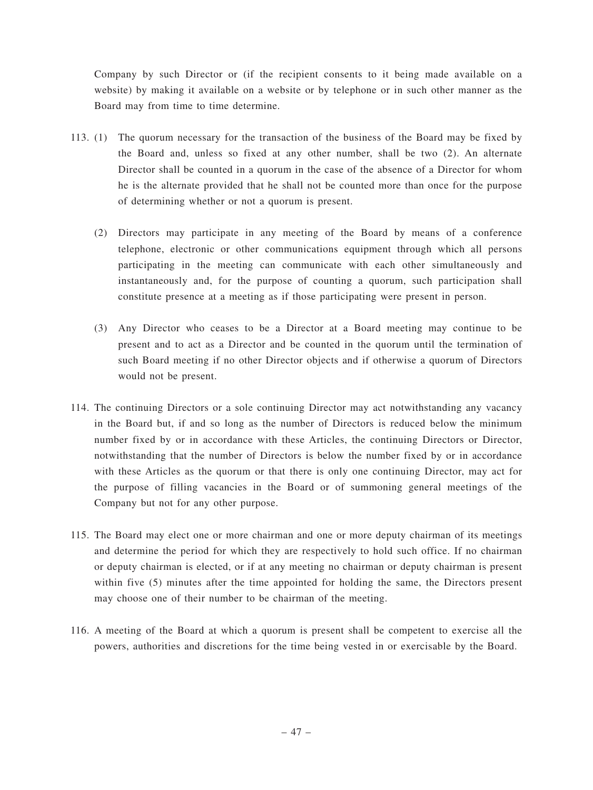Company by such Director or (if the recipient consents to it being made available on a website) by making it available on a website or by telephone or in such other manner as the Board may from time to time determine.

- 113. (1) The quorum necessary for the transaction of the business of the Board may be fixed by the Board and, unless so fixed at any other number, shall be two (2). An alternate Director shall be counted in a quorum in the case of the absence of a Director for whom he is the alternate provided that he shall not be counted more than once for the purpose of determining whether or not a quorum is present.
	- (2) Directors may participate in any meeting of the Board by means of a conference telephone, electronic or other communications equipment through which all persons participating in the meeting can communicate with each other simultaneously and instantaneously and, for the purpose of counting a quorum, such participation shall constitute presence at a meeting as if those participating were present in person.
	- (3) Any Director who ceases to be a Director at a Board meeting may continue to be present and to act as a Director and be counted in the quorum until the termination of such Board meeting if no other Director objects and if otherwise a quorum of Directors would not be present.
- 114. The continuing Directors or a sole continuing Director may act notwithstanding any vacancy in the Board but, if and so long as the number of Directors is reduced below the minimum number fixed by or in accordance with these Articles, the continuing Directors or Director, notwithstanding that the number of Directors is below the number fixed by or in accordance with these Articles as the quorum or that there is only one continuing Director, may act for the purpose of filling vacancies in the Board or of summoning general meetings of the Company but not for any other purpose.
- 115. The Board may elect one or more chairman and one or more deputy chairman of its meetings and determine the period for which they are respectively to hold such office. If no chairman or deputy chairman is elected, or if at any meeting no chairman or deputy chairman is present within five (5) minutes after the time appointed for holding the same, the Directors present may choose one of their number to be chairman of the meeting.
- 116. A meeting of the Board at which a quorum is present shall be competent to exercise all the powers, authorities and discretions for the time being vested in or exercisable by the Board.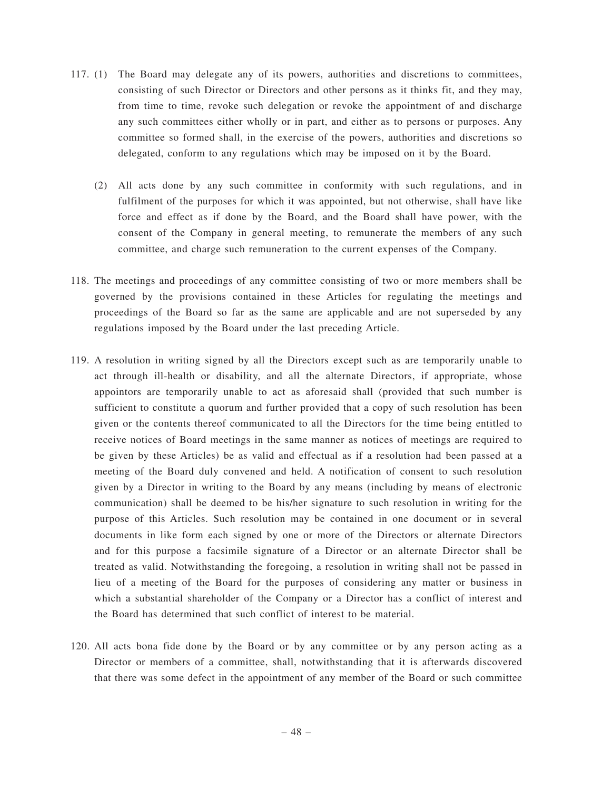- 117. (1) The Board may delegate any of its powers, authorities and discretions to committees, consisting of such Director or Directors and other persons as it thinks fit, and they may, from time to time, revoke such delegation or revoke the appointment of and discharge any such committees either wholly or in part, and either as to persons or purposes. Any committee so formed shall, in the exercise of the powers, authorities and discretions so delegated, conform to any regulations which may be imposed on it by the Board.
	- (2) All acts done by any such committee in conformity with such regulations, and in fulfilment of the purposes for which it was appointed, but not otherwise, shall have like force and effect as if done by the Board, and the Board shall have power, with the consent of the Company in general meeting, to remunerate the members of any such committee, and charge such remuneration to the current expenses of the Company.
- 118. The meetings and proceedings of any committee consisting of two or more members shall be governed by the provisions contained in these Articles for regulating the meetings and proceedings of the Board so far as the same are applicable and are not superseded by any regulations imposed by the Board under the last preceding Article.
- 119. A resolution in writing signed by all the Directors except such as are temporarily unable to act through ill-health or disability, and all the alternate Directors, if appropriate, whose appointors are temporarily unable to act as aforesaid shall (provided that such number is sufficient to constitute a quorum and further provided that a copy of such resolution has been given or the contents thereof communicated to all the Directors for the time being entitled to receive notices of Board meetings in the same manner as notices of meetings are required to be given by these Articles) be as valid and effectual as if a resolution had been passed at a meeting of the Board duly convened and held. A notification of consent to such resolution given by a Director in writing to the Board by any means (including by means of electronic communication) shall be deemed to be his/her signature to such resolution in writing for the purpose of this Articles. Such resolution may be contained in one document or in several documents in like form each signed by one or more of the Directors or alternate Directors and for this purpose a facsimile signature of a Director or an alternate Director shall be treated as valid. Notwithstanding the foregoing, a resolution in writing shall not be passed in lieu of a meeting of the Board for the purposes of considering any matter or business in which a substantial shareholder of the Company or a Director has a conflict of interest and the Board has determined that such conflict of interest to be material.
- 120. All acts bona fide done by the Board or by any committee or by any person acting as a Director or members of a committee, shall, notwithstanding that it is afterwards discovered that there was some defect in the appointment of any member of the Board or such committee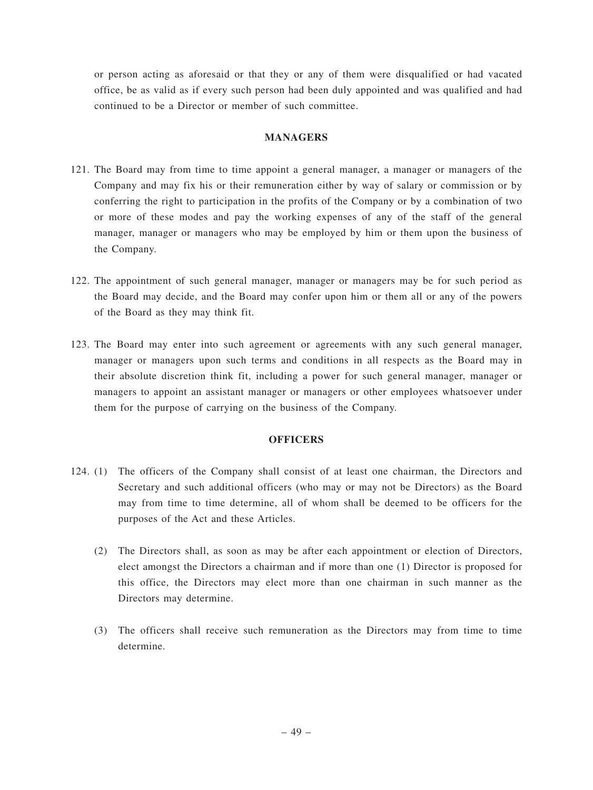or person acting as aforesaid or that they or any of them were disqualified or had vacated office, be as valid as if every such person had been duly appointed and was qualified and had continued to be a Director or member of such committee.

#### **MANAGERS**

- 121. The Board may from time to time appoint a general manager, a manager or managers of the Company and may fix his or their remuneration either by way of salary or commission or by conferring the right to participation in the profits of the Company or by a combination of two or more of these modes and pay the working expenses of any of the staff of the general manager, manager or managers who may be employed by him or them upon the business of the Company.
- 122. The appointment of such general manager, manager or managers may be for such period as the Board may decide, and the Board may confer upon him or them all or any of the powers of the Board as they may think fit.
- 123. The Board may enter into such agreement or agreements with any such general manager, manager or managers upon such terms and conditions in all respects as the Board may in their absolute discretion think fit, including a power for such general manager, manager or managers to appoint an assistant manager or managers or other employees whatsoever under them for the purpose of carrying on the business of the Company.

## **OFFICERS**

- 124. (1) The officers of the Company shall consist of at least one chairman, the Directors and Secretary and such additional officers (who may or may not be Directors) as the Board may from time to time determine, all of whom shall be deemed to be officers for the purposes of the Act and these Articles.
	- (2) The Directors shall, as soon as may be after each appointment or election of Directors, elect amongst the Directors a chairman and if more than one (1) Director is proposed for this office, the Directors may elect more than one chairman in such manner as the Directors may determine.
	- (3) The officers shall receive such remuneration as the Directors may from time to time determine.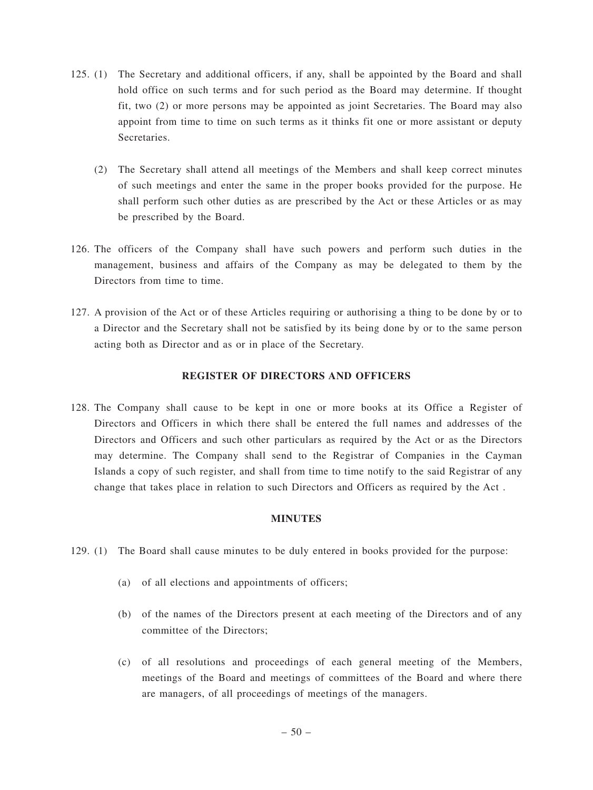- 125. (1) The Secretary and additional officers, if any, shall be appointed by the Board and shall hold office on such terms and for such period as the Board may determine. If thought fit, two (2) or more persons may be appointed as joint Secretaries. The Board may also appoint from time to time on such terms as it thinks fit one or more assistant or deputy **Secretaries** 
	- (2) The Secretary shall attend all meetings of the Members and shall keep correct minutes of such meetings and enter the same in the proper books provided for the purpose. He shall perform such other duties as are prescribed by the Act or these Articles or as may be prescribed by the Board.
- 126. The officers of the Company shall have such powers and perform such duties in the management, business and affairs of the Company as may be delegated to them by the Directors from time to time.
- 127. A provision of the Act or of these Articles requiring or authorising a thing to be done by or to a Director and the Secretary shall not be satisfied by its being done by or to the same person acting both as Director and as or in place of the Secretary.

## **REGISTER OF DIRECTORS AND OFFICERS**

128. The Company shall cause to be kept in one or more books at its Office a Register of Directors and Officers in which there shall be entered the full names and addresses of the Directors and Officers and such other particulars as required by the Act or as the Directors may determine. The Company shall send to the Registrar of Companies in the Cayman Islands a copy of such register, and shall from time to time notify to the said Registrar of any change that takes place in relation to such Directors and Officers as required by the Act .

#### **MINUTES**

- 129. (1) The Board shall cause minutes to be duly entered in books provided for the purpose:
	- (a) of all elections and appointments of officers;
	- (b) of the names of the Directors present at each meeting of the Directors and of any committee of the Directors;
	- (c) of all resolutions and proceedings of each general meeting of the Members, meetings of the Board and meetings of committees of the Board and where there are managers, of all proceedings of meetings of the managers.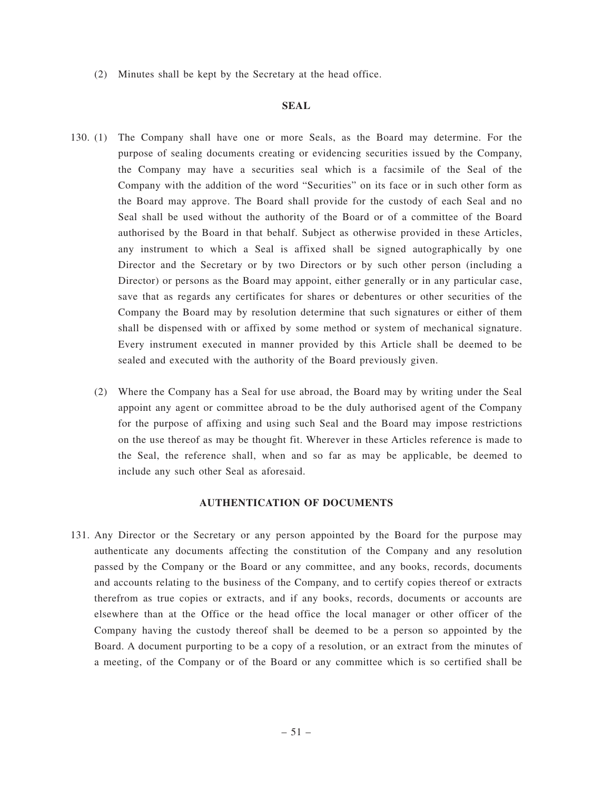(2) Minutes shall be kept by the Secretary at the head office.

#### **SEAL**

- 130. (1) The Company shall have one or more Seals, as the Board may determine. For the purpose of sealing documents creating or evidencing securities issued by the Company, the Company may have a securities seal which is a facsimile of the Seal of the Company with the addition of the word "Securities" on its face or in such other form as the Board may approve. The Board shall provide for the custody of each Seal and no Seal shall be used without the authority of the Board or of a committee of the Board authorised by the Board in that behalf. Subject as otherwise provided in these Articles, any instrument to which a Seal is affixed shall be signed autographically by one Director and the Secretary or by two Directors or by such other person (including a Director) or persons as the Board may appoint, either generally or in any particular case, save that as regards any certificates for shares or debentures or other securities of the Company the Board may by resolution determine that such signatures or either of them shall be dispensed with or affixed by some method or system of mechanical signature. Every instrument executed in manner provided by this Article shall be deemed to be sealed and executed with the authority of the Board previously given.
	- (2) Where the Company has a Seal for use abroad, the Board may by writing under the Seal appoint any agent or committee abroad to be the duly authorised agent of the Company for the purpose of affixing and using such Seal and the Board may impose restrictions on the use thereof as may be thought fit. Wherever in these Articles reference is made to the Seal, the reference shall, when and so far as may be applicable, be deemed to include any such other Seal as aforesaid.

#### **AUTHENTICATION OF DOCUMENTS**

131. Any Director or the Secretary or any person appointed by the Board for the purpose may authenticate any documents affecting the constitution of the Company and any resolution passed by the Company or the Board or any committee, and any books, records, documents and accounts relating to the business of the Company, and to certify copies thereof or extracts therefrom as true copies or extracts, and if any books, records, documents or accounts are elsewhere than at the Office or the head office the local manager or other officer of the Company having the custody thereof shall be deemed to be a person so appointed by the Board. A document purporting to be a copy of a resolution, or an extract from the minutes of a meeting, of the Company or of the Board or any committee which is so certified shall be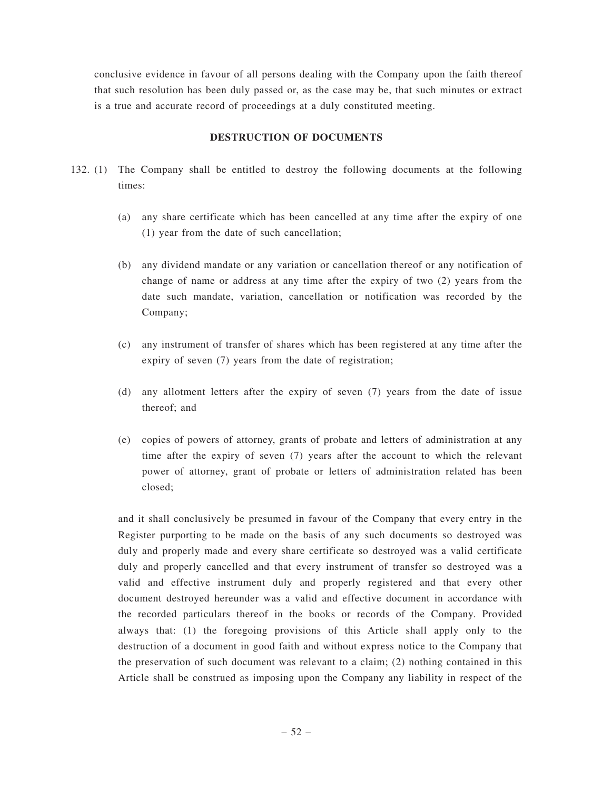conclusive evidence in favour of all persons dealing with the Company upon the faith thereof that such resolution has been duly passed or, as the case may be, that such minutes or extract is a true and accurate record of proceedings at a duly constituted meeting.

## **DESTRUCTION OF DOCUMENTS**

- 132. (1) The Company shall be entitled to destroy the following documents at the following times:
	- (a) any share certificate which has been cancelled at any time after the expiry of one (1) year from the date of such cancellation;
	- (b) any dividend mandate or any variation or cancellation thereof or any notification of change of name or address at any time after the expiry of two (2) years from the date such mandate, variation, cancellation or notification was recorded by the Company;
	- (c) any instrument of transfer of shares which has been registered at any time after the expiry of seven (7) years from the date of registration;
	- (d) any allotment letters after the expiry of seven (7) years from the date of issue thereof; and
	- (e) copies of powers of attorney, grants of probate and letters of administration at any time after the expiry of seven (7) years after the account to which the relevant power of attorney, grant of probate or letters of administration related has been closed;

and it shall conclusively be presumed in favour of the Company that every entry in the Register purporting to be made on the basis of any such documents so destroyed was duly and properly made and every share certificate so destroyed was a valid certificate duly and properly cancelled and that every instrument of transfer so destroyed was a valid and effective instrument duly and properly registered and that every other document destroyed hereunder was a valid and effective document in accordance with the recorded particulars thereof in the books or records of the Company. Provided always that: (1) the foregoing provisions of this Article shall apply only to the destruction of a document in good faith and without express notice to the Company that the preservation of such document was relevant to a claim; (2) nothing contained in this Article shall be construed as imposing upon the Company any liability in respect of the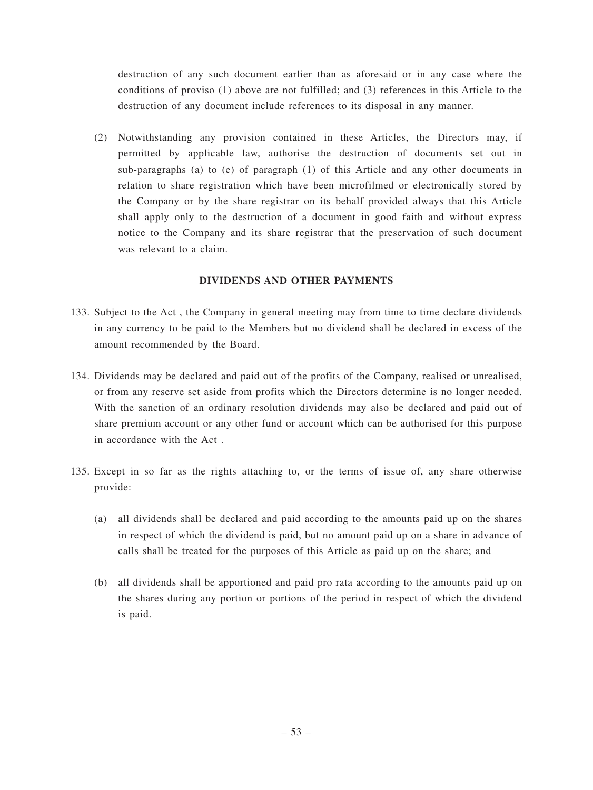destruction of any such document earlier than as aforesaid or in any case where the conditions of proviso (1) above are not fulfilled; and (3) references in this Article to the destruction of any document include references to its disposal in any manner.

(2) Notwithstanding any provision contained in these Articles, the Directors may, if permitted by applicable law, authorise the destruction of documents set out in sub-paragraphs (a) to (e) of paragraph (1) of this Article and any other documents in relation to share registration which have been microfilmed or electronically stored by the Company or by the share registrar on its behalf provided always that this Article shall apply only to the destruction of a document in good faith and without express notice to the Company and its share registrar that the preservation of such document was relevant to a claim.

## **DIVIDENDS AND OTHER PAYMENTS**

- 133. Subject to the Act , the Company in general meeting may from time to time declare dividends in any currency to be paid to the Members but no dividend shall be declared in excess of the amount recommended by the Board.
- 134. Dividends may be declared and paid out of the profits of the Company, realised or unrealised, or from any reserve set aside from profits which the Directors determine is no longer needed. With the sanction of an ordinary resolution dividends may also be declared and paid out of share premium account or any other fund or account which can be authorised for this purpose in accordance with the Act .
- 135. Except in so far as the rights attaching to, or the terms of issue of, any share otherwise provide:
	- (a) all dividends shall be declared and paid according to the amounts paid up on the shares in respect of which the dividend is paid, but no amount paid up on a share in advance of calls shall be treated for the purposes of this Article as paid up on the share; and
	- (b) all dividends shall be apportioned and paid pro rata according to the amounts paid up on the shares during any portion or portions of the period in respect of which the dividend is paid.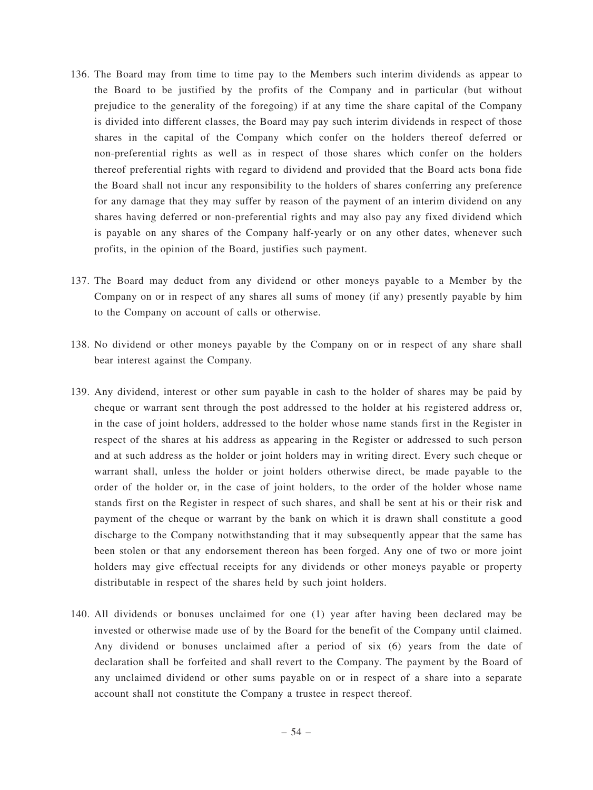- 136. The Board may from time to time pay to the Members such interim dividends as appear to the Board to be justified by the profits of the Company and in particular (but without prejudice to the generality of the foregoing) if at any time the share capital of the Company is divided into different classes, the Board may pay such interim dividends in respect of those shares in the capital of the Company which confer on the holders thereof deferred or non-preferential rights as well as in respect of those shares which confer on the holders thereof preferential rights with regard to dividend and provided that the Board acts bona fide the Board shall not incur any responsibility to the holders of shares conferring any preference for any damage that they may suffer by reason of the payment of an interim dividend on any shares having deferred or non-preferential rights and may also pay any fixed dividend which is payable on any shares of the Company half-yearly or on any other dates, whenever such profits, in the opinion of the Board, justifies such payment.
- 137. The Board may deduct from any dividend or other moneys payable to a Member by the Company on or in respect of any shares all sums of money (if any) presently payable by him to the Company on account of calls or otherwise.
- 138. No dividend or other moneys payable by the Company on or in respect of any share shall bear interest against the Company.
- 139. Any dividend, interest or other sum payable in cash to the holder of shares may be paid by cheque or warrant sent through the post addressed to the holder at his registered address or, in the case of joint holders, addressed to the holder whose name stands first in the Register in respect of the shares at his address as appearing in the Register or addressed to such person and at such address as the holder or joint holders may in writing direct. Every such cheque or warrant shall, unless the holder or joint holders otherwise direct, be made payable to the order of the holder or, in the case of joint holders, to the order of the holder whose name stands first on the Register in respect of such shares, and shall be sent at his or their risk and payment of the cheque or warrant by the bank on which it is drawn shall constitute a good discharge to the Company notwithstanding that it may subsequently appear that the same has been stolen or that any endorsement thereon has been forged. Any one of two or more joint holders may give effectual receipts for any dividends or other moneys payable or property distributable in respect of the shares held by such joint holders.
- 140. All dividends or bonuses unclaimed for one (1) year after having been declared may be invested or otherwise made use of by the Board for the benefit of the Company until claimed. Any dividend or bonuses unclaimed after a period of six (6) years from the date of declaration shall be forfeited and shall revert to the Company. The payment by the Board of any unclaimed dividend or other sums payable on or in respect of a share into a separate account shall not constitute the Company a trustee in respect thereof.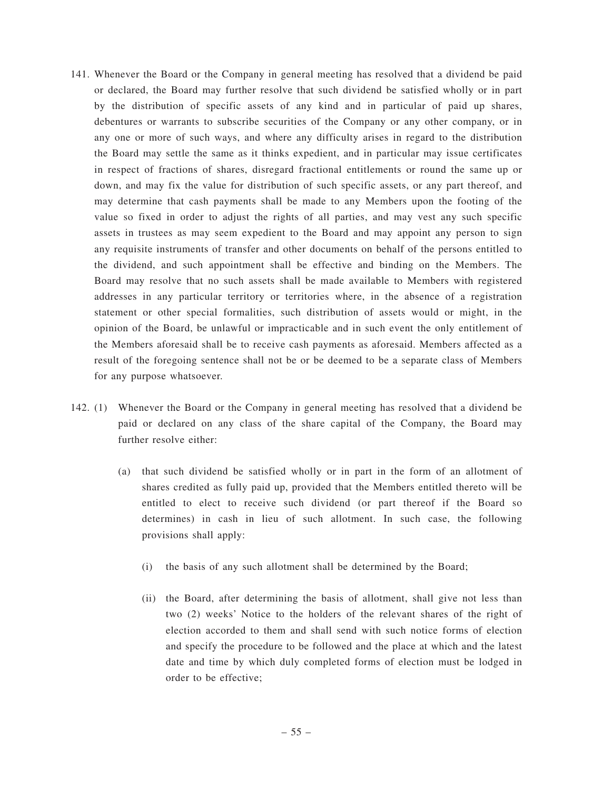- 141. Whenever the Board or the Company in general meeting has resolved that a dividend be paid or declared, the Board may further resolve that such dividend be satisfied wholly or in part by the distribution of specific assets of any kind and in particular of paid up shares, debentures or warrants to subscribe securities of the Company or any other company, or in any one or more of such ways, and where any difficulty arises in regard to the distribution the Board may settle the same as it thinks expedient, and in particular may issue certificates in respect of fractions of shares, disregard fractional entitlements or round the same up or down, and may fix the value for distribution of such specific assets, or any part thereof, and may determine that cash payments shall be made to any Members upon the footing of the value so fixed in order to adjust the rights of all parties, and may vest any such specific assets in trustees as may seem expedient to the Board and may appoint any person to sign any requisite instruments of transfer and other documents on behalf of the persons entitled to the dividend, and such appointment shall be effective and binding on the Members. The Board may resolve that no such assets shall be made available to Members with registered addresses in any particular territory or territories where, in the absence of a registration statement or other special formalities, such distribution of assets would or might, in the opinion of the Board, be unlawful or impracticable and in such event the only entitlement of the Members aforesaid shall be to receive cash payments as aforesaid. Members affected as a result of the foregoing sentence shall not be or be deemed to be a separate class of Members for any purpose whatsoever.
- 142. (1) Whenever the Board or the Company in general meeting has resolved that a dividend be paid or declared on any class of the share capital of the Company, the Board may further resolve either:
	- (a) that such dividend be satisfied wholly or in part in the form of an allotment of shares credited as fully paid up, provided that the Members entitled thereto will be entitled to elect to receive such dividend (or part thereof if the Board so determines) in cash in lieu of such allotment. In such case, the following provisions shall apply:
		- (i) the basis of any such allotment shall be determined by the Board;
		- (ii) the Board, after determining the basis of allotment, shall give not less than two (2) weeks' Notice to the holders of the relevant shares of the right of election accorded to them and shall send with such notice forms of election and specify the procedure to be followed and the place at which and the latest date and time by which duly completed forms of election must be lodged in order to be effective;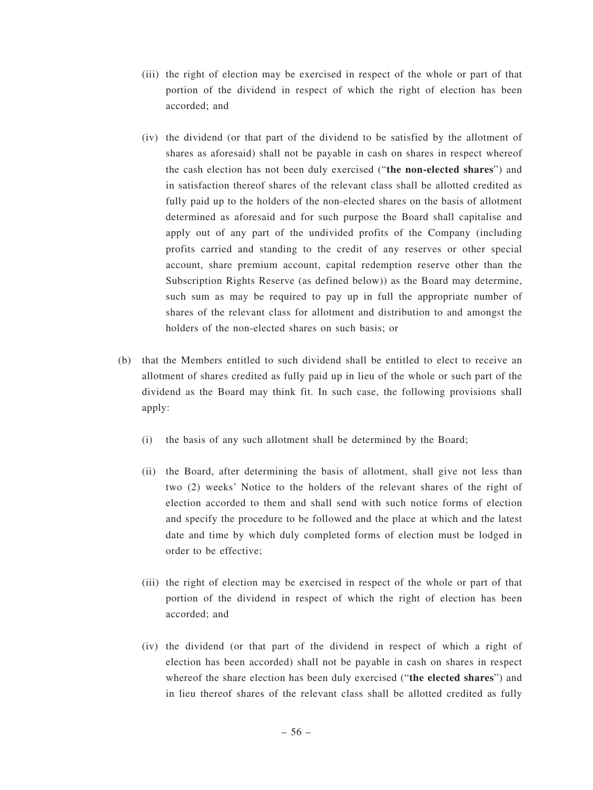- (iii) the right of election may be exercised in respect of the whole or part of that portion of the dividend in respect of which the right of election has been accorded; and
- (iv) the dividend (or that part of the dividend to be satisfied by the allotment of shares as aforesaid) shall not be payable in cash on shares in respect whereof the cash election has not been duly exercised ("**the non-elected shares**") and in satisfaction thereof shares of the relevant class shall be allotted credited as fully paid up to the holders of the non-elected shares on the basis of allotment determined as aforesaid and for such purpose the Board shall capitalise and apply out of any part of the undivided profits of the Company (including profits carried and standing to the credit of any reserves or other special account, share premium account, capital redemption reserve other than the Subscription Rights Reserve (as defined below)) as the Board may determine, such sum as may be required to pay up in full the appropriate number of shares of the relevant class for allotment and distribution to and amongst the holders of the non-elected shares on such basis; or
- (b) that the Members entitled to such dividend shall be entitled to elect to receive an allotment of shares credited as fully paid up in lieu of the whole or such part of the dividend as the Board may think fit. In such case, the following provisions shall apply:
	- (i) the basis of any such allotment shall be determined by the Board;
	- (ii) the Board, after determining the basis of allotment, shall give not less than two (2) weeks' Notice to the holders of the relevant shares of the right of election accorded to them and shall send with such notice forms of election and specify the procedure to be followed and the place at which and the latest date and time by which duly completed forms of election must be lodged in order to be effective;
	- (iii) the right of election may be exercised in respect of the whole or part of that portion of the dividend in respect of which the right of election has been accorded; and
	- (iv) the dividend (or that part of the dividend in respect of which a right of election has been accorded) shall not be payable in cash on shares in respect whereof the share election has been duly exercised ("**the elected shares**") and in lieu thereof shares of the relevant class shall be allotted credited as fully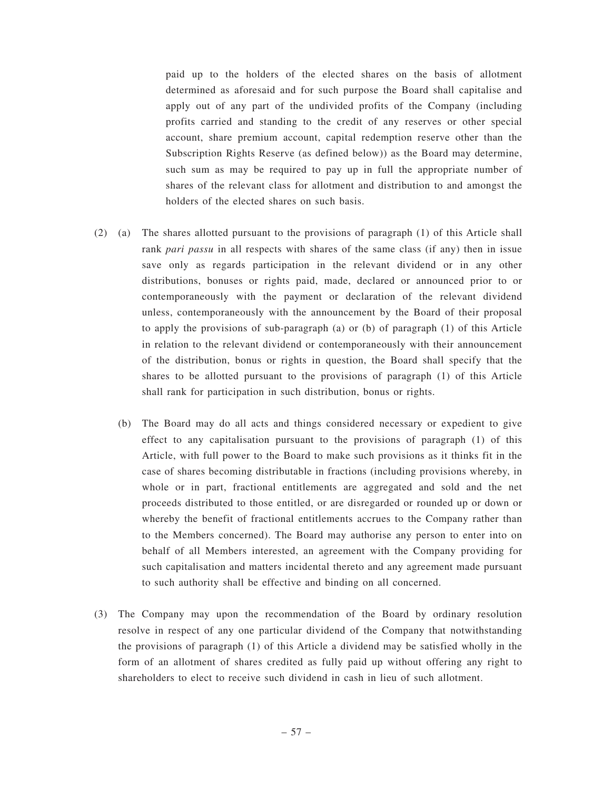paid up to the holders of the elected shares on the basis of allotment determined as aforesaid and for such purpose the Board shall capitalise and apply out of any part of the undivided profits of the Company (including profits carried and standing to the credit of any reserves or other special account, share premium account, capital redemption reserve other than the Subscription Rights Reserve (as defined below)) as the Board may determine, such sum as may be required to pay up in full the appropriate number of shares of the relevant class for allotment and distribution to and amongst the holders of the elected shares on such basis.

- (2) (a) The shares allotted pursuant to the provisions of paragraph (1) of this Article shall rank *pari passu* in all respects with shares of the same class (if any) then in issue save only as regards participation in the relevant dividend or in any other distributions, bonuses or rights paid, made, declared or announced prior to or contemporaneously with the payment or declaration of the relevant dividend unless, contemporaneously with the announcement by the Board of their proposal to apply the provisions of sub-paragraph (a) or (b) of paragraph (1) of this Article in relation to the relevant dividend or contemporaneously with their announcement of the distribution, bonus or rights in question, the Board shall specify that the shares to be allotted pursuant to the provisions of paragraph (1) of this Article shall rank for participation in such distribution, bonus or rights.
	- (b) The Board may do all acts and things considered necessary or expedient to give effect to any capitalisation pursuant to the provisions of paragraph (1) of this Article, with full power to the Board to make such provisions as it thinks fit in the case of shares becoming distributable in fractions (including provisions whereby, in whole or in part, fractional entitlements are aggregated and sold and the net proceeds distributed to those entitled, or are disregarded or rounded up or down or whereby the benefit of fractional entitlements accrues to the Company rather than to the Members concerned). The Board may authorise any person to enter into on behalf of all Members interested, an agreement with the Company providing for such capitalisation and matters incidental thereto and any agreement made pursuant to such authority shall be effective and binding on all concerned.
- (3) The Company may upon the recommendation of the Board by ordinary resolution resolve in respect of any one particular dividend of the Company that notwithstanding the provisions of paragraph (1) of this Article a dividend may be satisfied wholly in the form of an allotment of shares credited as fully paid up without offering any right to shareholders to elect to receive such dividend in cash in lieu of such allotment.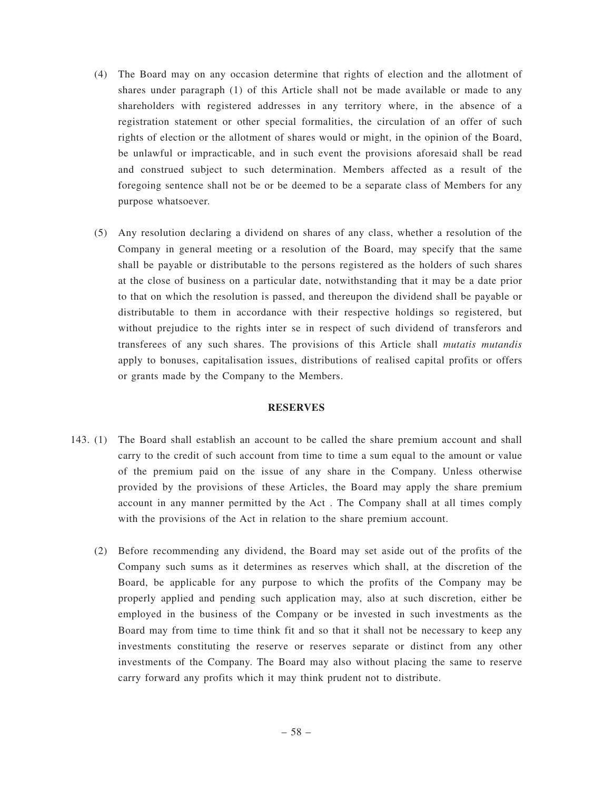- (4) The Board may on any occasion determine that rights of election and the allotment of shares under paragraph (1) of this Article shall not be made available or made to any shareholders with registered addresses in any territory where, in the absence of a registration statement or other special formalities, the circulation of an offer of such rights of election or the allotment of shares would or might, in the opinion of the Board, be unlawful or impracticable, and in such event the provisions aforesaid shall be read and construed subject to such determination. Members affected as a result of the foregoing sentence shall not be or be deemed to be a separate class of Members for any purpose whatsoever.
- (5) Any resolution declaring a dividend on shares of any class, whether a resolution of the Company in general meeting or a resolution of the Board, may specify that the same shall be payable or distributable to the persons registered as the holders of such shares at the close of business on a particular date, notwithstanding that it may be a date prior to that on which the resolution is passed, and thereupon the dividend shall be payable or distributable to them in accordance with their respective holdings so registered, but without prejudice to the rights inter se in respect of such dividend of transferors and transferees of any such shares. The provisions of this Article shall *mutatis mutandis* apply to bonuses, capitalisation issues, distributions of realised capital profits or offers or grants made by the Company to the Members.

#### **RESERVES**

- 143. (1) The Board shall establish an account to be called the share premium account and shall carry to the credit of such account from time to time a sum equal to the amount or value of the premium paid on the issue of any share in the Company. Unless otherwise provided by the provisions of these Articles, the Board may apply the share premium account in any manner permitted by the Act . The Company shall at all times comply with the provisions of the Act in relation to the share premium account.
	- (2) Before recommending any dividend, the Board may set aside out of the profits of the Company such sums as it determines as reserves which shall, at the discretion of the Board, be applicable for any purpose to which the profits of the Company may be properly applied and pending such application may, also at such discretion, either be employed in the business of the Company or be invested in such investments as the Board may from time to time think fit and so that it shall not be necessary to keep any investments constituting the reserve or reserves separate or distinct from any other investments of the Company. The Board may also without placing the same to reserve carry forward any profits which it may think prudent not to distribute.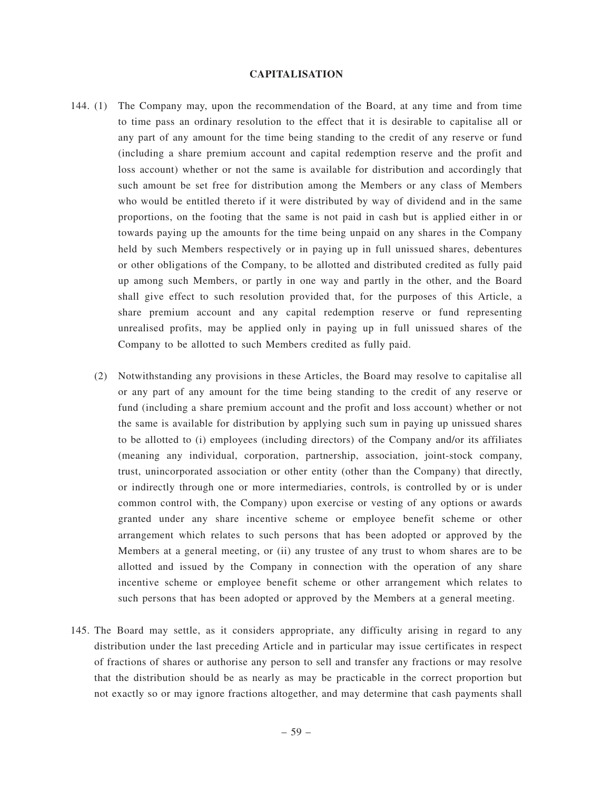#### **CAPITALISATION**

- 144. (1) The Company may, upon the recommendation of the Board, at any time and from time to time pass an ordinary resolution to the effect that it is desirable to capitalise all or any part of any amount for the time being standing to the credit of any reserve or fund (including a share premium account and capital redemption reserve and the profit and loss account) whether or not the same is available for distribution and accordingly that such amount be set free for distribution among the Members or any class of Members who would be entitled thereto if it were distributed by way of dividend and in the same proportions, on the footing that the same is not paid in cash but is applied either in or towards paying up the amounts for the time being unpaid on any shares in the Company held by such Members respectively or in paying up in full unissued shares, debentures or other obligations of the Company, to be allotted and distributed credited as fully paid up among such Members, or partly in one way and partly in the other, and the Board shall give effect to such resolution provided that, for the purposes of this Article, a share premium account and any capital redemption reserve or fund representing unrealised profits, may be applied only in paying up in full unissued shares of the Company to be allotted to such Members credited as fully paid.
	- (2) Notwithstanding any provisions in these Articles, the Board may resolve to capitalise all or any part of any amount for the time being standing to the credit of any reserve or fund (including a share premium account and the profit and loss account) whether or not the same is available for distribution by applying such sum in paying up unissued shares to be allotted to (i) employees (including directors) of the Company and/or its affiliates (meaning any individual, corporation, partnership, association, joint-stock company, trust, unincorporated association or other entity (other than the Company) that directly, or indirectly through one or more intermediaries, controls, is controlled by or is under common control with, the Company) upon exercise or vesting of any options or awards granted under any share incentive scheme or employee benefit scheme or other arrangement which relates to such persons that has been adopted or approved by the Members at a general meeting, or (ii) any trustee of any trust to whom shares are to be allotted and issued by the Company in connection with the operation of any share incentive scheme or employee benefit scheme or other arrangement which relates to such persons that has been adopted or approved by the Members at a general meeting.
- 145. The Board may settle, as it considers appropriate, any difficulty arising in regard to any distribution under the last preceding Article and in particular may issue certificates in respect of fractions of shares or authorise any person to sell and transfer any fractions or may resolve that the distribution should be as nearly as may be practicable in the correct proportion but not exactly so or may ignore fractions altogether, and may determine that cash payments shall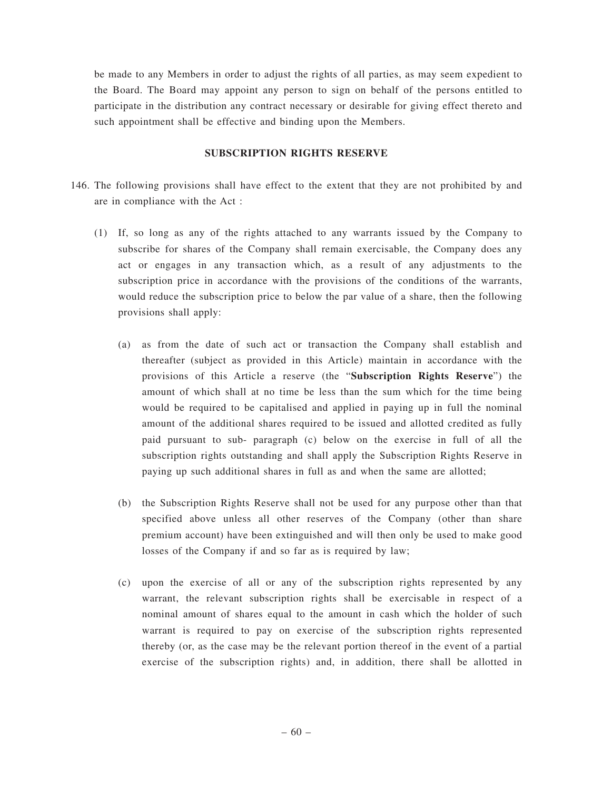be made to any Members in order to adjust the rights of all parties, as may seem expedient to the Board. The Board may appoint any person to sign on behalf of the persons entitled to participate in the distribution any contract necessary or desirable for giving effect thereto and such appointment shall be effective and binding upon the Members.

#### **SUBSCRIPTION RIGHTS RESERVE**

- 146. The following provisions shall have effect to the extent that they are not prohibited by and are in compliance with the Act :
	- (1) If, so long as any of the rights attached to any warrants issued by the Company to subscribe for shares of the Company shall remain exercisable, the Company does any act or engages in any transaction which, as a result of any adjustments to the subscription price in accordance with the provisions of the conditions of the warrants, would reduce the subscription price to below the par value of a share, then the following provisions shall apply:
		- (a) as from the date of such act or transaction the Company shall establish and thereafter (subject as provided in this Article) maintain in accordance with the provisions of this Article a reserve (the "**Subscription Rights Reserve**") the amount of which shall at no time be less than the sum which for the time being would be required to be capitalised and applied in paying up in full the nominal amount of the additional shares required to be issued and allotted credited as fully paid pursuant to sub- paragraph (c) below on the exercise in full of all the subscription rights outstanding and shall apply the Subscription Rights Reserve in paying up such additional shares in full as and when the same are allotted;
		- (b) the Subscription Rights Reserve shall not be used for any purpose other than that specified above unless all other reserves of the Company (other than share premium account) have been extinguished and will then only be used to make good losses of the Company if and so far as is required by law;
		- (c) upon the exercise of all or any of the subscription rights represented by any warrant, the relevant subscription rights shall be exercisable in respect of a nominal amount of shares equal to the amount in cash which the holder of such warrant is required to pay on exercise of the subscription rights represented thereby (or, as the case may be the relevant portion thereof in the event of a partial exercise of the subscription rights) and, in addition, there shall be allotted in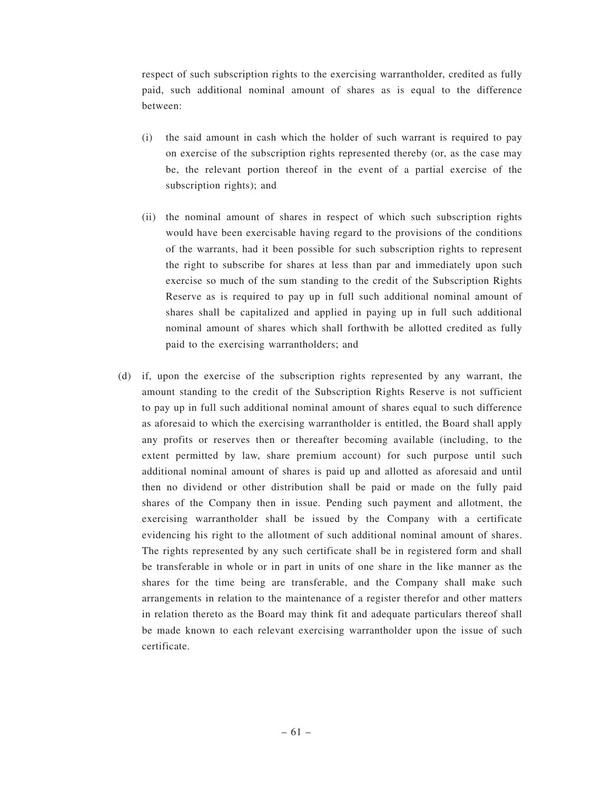respect of such subscription rights to the exercising warrantholder, credited as fully paid, such additional nominal amount of shares as is equal to the difference between:

- (i) the said amount in cash which the holder of such warrant is required to pay on exercise of the subscription rights represented thereby (or, as the case may be, the relevant portion thereof in the event of a partial exercise of the subscription rights); and
- (ii) the nominal amount of shares in respect of which such subscription rights would have been exercisable having regard to the provisions of the conditions of the warrants, had it been possible for such subscription rights to represent the right to subscribe for shares at less than par and immediately upon such exercise so much of the sum standing to the credit of the Subscription Rights Reserve as is required to pay up in full such additional nominal amount of shares shall be capitalized and applied in paying up in full such additional nominal amount of shares which shall forthwith be allotted credited as fully paid to the exercising warrantholders; and
- (d) if, upon the exercise of the subscription rights represented by any warrant, the amount standing to the credit of the Subscription Rights Reserve is not sufficient to pay up in full such additional nominal amount of shares equal to such difference as aforesaid to which the exercising warrantholder is entitled, the Board shall apply any profits or reserves then or thereafter becoming available (including, to the extent permitted by law, share premium account) for such purpose until such additional nominal amount of shares is paid up and allotted as aforesaid and until then no dividend or other distribution shall be paid or made on the fully paid shares of the Company then in issue. Pending such payment and allotment, the exercising warrantholder shall be issued by the Company with a certificate evidencing his right to the allotment of such additional nominal amount of shares. The rights represented by any such certificate shall be in registered form and shall be transferable in whole or in part in units of one share in the like manner as the shares for the time being are transferable, and the Company shall make such arrangements in relation to the maintenance of a register therefor and other matters in relation thereto as the Board may think fit and adequate particulars thereof shall be made known to each relevant exercising warrantholder upon the issue of such certificate.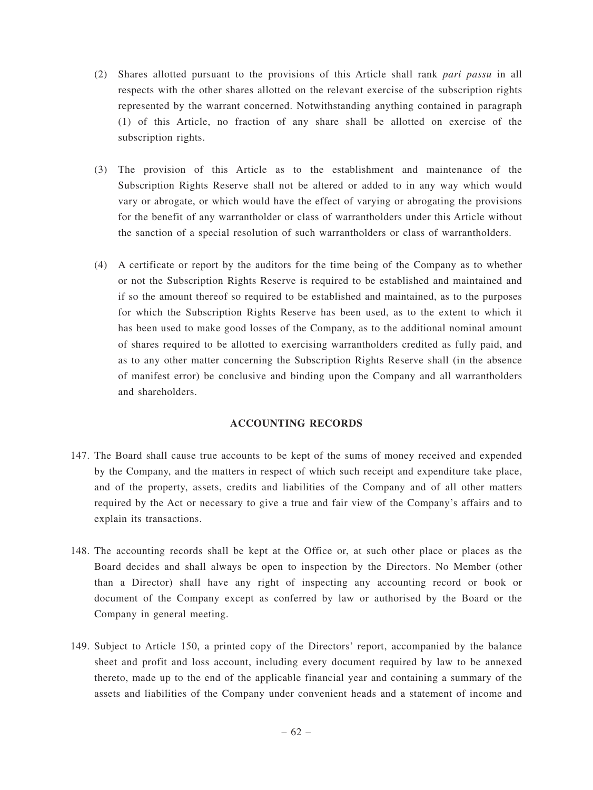- (2) Shares allotted pursuant to the provisions of this Article shall rank *pari passu* in all respects with the other shares allotted on the relevant exercise of the subscription rights represented by the warrant concerned. Notwithstanding anything contained in paragraph (1) of this Article, no fraction of any share shall be allotted on exercise of the subscription rights.
- (3) The provision of this Article as to the establishment and maintenance of the Subscription Rights Reserve shall not be altered or added to in any way which would vary or abrogate, or which would have the effect of varying or abrogating the provisions for the benefit of any warrantholder or class of warrantholders under this Article without the sanction of a special resolution of such warrantholders or class of warrantholders.
- (4) A certificate or report by the auditors for the time being of the Company as to whether or not the Subscription Rights Reserve is required to be established and maintained and if so the amount thereof so required to be established and maintained, as to the purposes for which the Subscription Rights Reserve has been used, as to the extent to which it has been used to make good losses of the Company, as to the additional nominal amount of shares required to be allotted to exercising warrantholders credited as fully paid, and as to any other matter concerning the Subscription Rights Reserve shall (in the absence of manifest error) be conclusive and binding upon the Company and all warrantholders and shareholders.

### **ACCOUNTING RECORDS**

- 147. The Board shall cause true accounts to be kept of the sums of money received and expended by the Company, and the matters in respect of which such receipt and expenditure take place, and of the property, assets, credits and liabilities of the Company and of all other matters required by the Act or necessary to give a true and fair view of the Company's affairs and to explain its transactions.
- 148. The accounting records shall be kept at the Office or, at such other place or places as the Board decides and shall always be open to inspection by the Directors. No Member (other than a Director) shall have any right of inspecting any accounting record or book or document of the Company except as conferred by law or authorised by the Board or the Company in general meeting.
- 149. Subject to Article 150, a printed copy of the Directors' report, accompanied by the balance sheet and profit and loss account, including every document required by law to be annexed thereto, made up to the end of the applicable financial year and containing a summary of the assets and liabilities of the Company under convenient heads and a statement of income and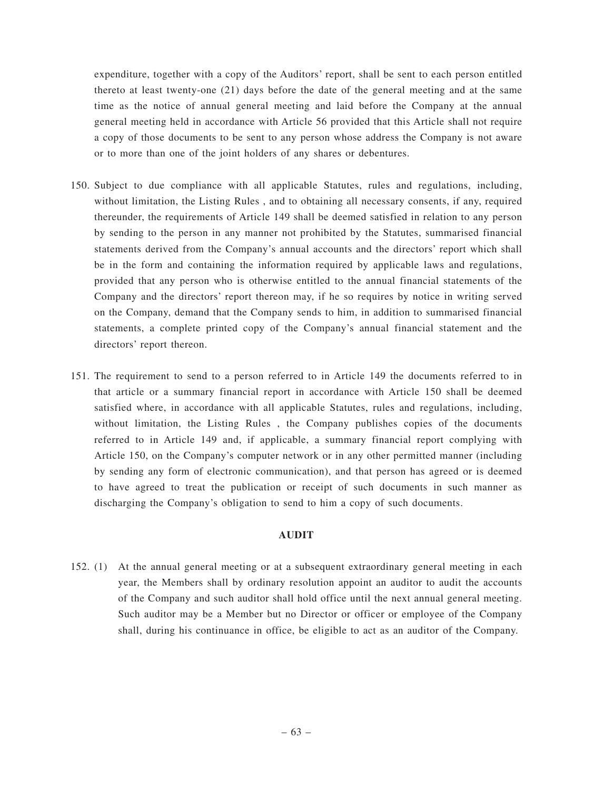expenditure, together with a copy of the Auditors' report, shall be sent to each person entitled thereto at least twenty-one (21) days before the date of the general meeting and at the same time as the notice of annual general meeting and laid before the Company at the annual general meeting held in accordance with Article 56 provided that this Article shall not require a copy of those documents to be sent to any person whose address the Company is not aware or to more than one of the joint holders of any shares or debentures.

- 150. Subject to due compliance with all applicable Statutes, rules and regulations, including, without limitation, the Listing Rules , and to obtaining all necessary consents, if any, required thereunder, the requirements of Article 149 shall be deemed satisfied in relation to any person by sending to the person in any manner not prohibited by the Statutes, summarised financial statements derived from the Company's annual accounts and the directors' report which shall be in the form and containing the information required by applicable laws and regulations, provided that any person who is otherwise entitled to the annual financial statements of the Company and the directors' report thereon may, if he so requires by notice in writing served on the Company, demand that the Company sends to him, in addition to summarised financial statements, a complete printed copy of the Company's annual financial statement and the directors' report thereon.
- 151. The requirement to send to a person referred to in Article 149 the documents referred to in that article or a summary financial report in accordance with Article 150 shall be deemed satisfied where, in accordance with all applicable Statutes, rules and regulations, including, without limitation, the Listing Rules , the Company publishes copies of the documents referred to in Article 149 and, if applicable, a summary financial report complying with Article 150, on the Company's computer network or in any other permitted manner (including by sending any form of electronic communication), and that person has agreed or is deemed to have agreed to treat the publication or receipt of such documents in such manner as discharging the Company's obligation to send to him a copy of such documents.

#### **AUDIT**

152. (1) At the annual general meeting or at a subsequent extraordinary general meeting in each year, the Members shall by ordinary resolution appoint an auditor to audit the accounts of the Company and such auditor shall hold office until the next annual general meeting. Such auditor may be a Member but no Director or officer or employee of the Company shall, during his continuance in office, be eligible to act as an auditor of the Company.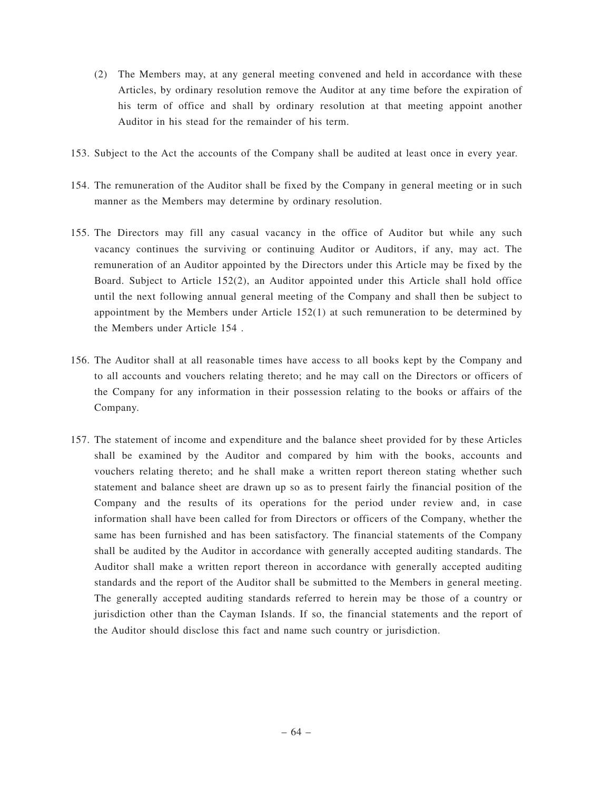- (2) The Members may, at any general meeting convened and held in accordance with these Articles, by ordinary resolution remove the Auditor at any time before the expiration of his term of office and shall by ordinary resolution at that meeting appoint another Auditor in his stead for the remainder of his term.
- 153. Subject to the Act the accounts of the Company shall be audited at least once in every year.
- 154. The remuneration of the Auditor shall be fixed by the Company in general meeting or in such manner as the Members may determine by ordinary resolution.
- 155. The Directors may fill any casual vacancy in the office of Auditor but while any such vacancy continues the surviving or continuing Auditor or Auditors, if any, may act. The remuneration of an Auditor appointed by the Directors under this Article may be fixed by the Board. Subject to Article 152(2), an Auditor appointed under this Article shall hold office until the next following annual general meeting of the Company and shall then be subject to appointment by the Members under Article 152(1) at such remuneration to be determined by the Members under Article 154 .
- 156. The Auditor shall at all reasonable times have access to all books kept by the Company and to all accounts and vouchers relating thereto; and he may call on the Directors or officers of the Company for any information in their possession relating to the books or affairs of the Company.
- 157. The statement of income and expenditure and the balance sheet provided for by these Articles shall be examined by the Auditor and compared by him with the books, accounts and vouchers relating thereto; and he shall make a written report thereon stating whether such statement and balance sheet are drawn up so as to present fairly the financial position of the Company and the results of its operations for the period under review and, in case information shall have been called for from Directors or officers of the Company, whether the same has been furnished and has been satisfactory. The financial statements of the Company shall be audited by the Auditor in accordance with generally accepted auditing standards. The Auditor shall make a written report thereon in accordance with generally accepted auditing standards and the report of the Auditor shall be submitted to the Members in general meeting. The generally accepted auditing standards referred to herein may be those of a country or jurisdiction other than the Cayman Islands. If so, the financial statements and the report of the Auditor should disclose this fact and name such country or jurisdiction.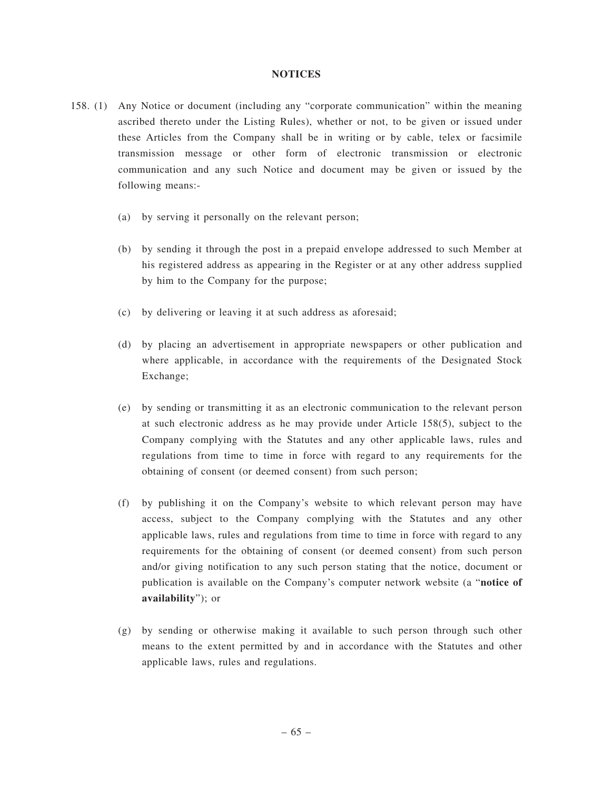#### **NOTICES**

- 158. (1) Any Notice or document (including any "corporate communication" within the meaning ascribed thereto under the Listing Rules), whether or not, to be given or issued under these Articles from the Company shall be in writing or by cable, telex or facsimile transmission message or other form of electronic transmission or electronic communication and any such Notice and document may be given or issued by the following means:-
	- (a) by serving it personally on the relevant person;
	- (b) by sending it through the post in a prepaid envelope addressed to such Member at his registered address as appearing in the Register or at any other address supplied by him to the Company for the purpose;
	- (c) by delivering or leaving it at such address as aforesaid;
	- (d) by placing an advertisement in appropriate newspapers or other publication and where applicable, in accordance with the requirements of the Designated Stock Exchange;
	- (e) by sending or transmitting it as an electronic communication to the relevant person at such electronic address as he may provide under Article 158(5), subject to the Company complying with the Statutes and any other applicable laws, rules and regulations from time to time in force with regard to any requirements for the obtaining of consent (or deemed consent) from such person;
	- (f) by publishing it on the Company's website to which relevant person may have access, subject to the Company complying with the Statutes and any other applicable laws, rules and regulations from time to time in force with regard to any requirements for the obtaining of consent (or deemed consent) from such person and/or giving notification to any such person stating that the notice, document or publication is available on the Company's computer network website (a "**notice of availability**"); or
	- (g) by sending or otherwise making it available to such person through such other means to the extent permitted by and in accordance with the Statutes and other applicable laws, rules and regulations.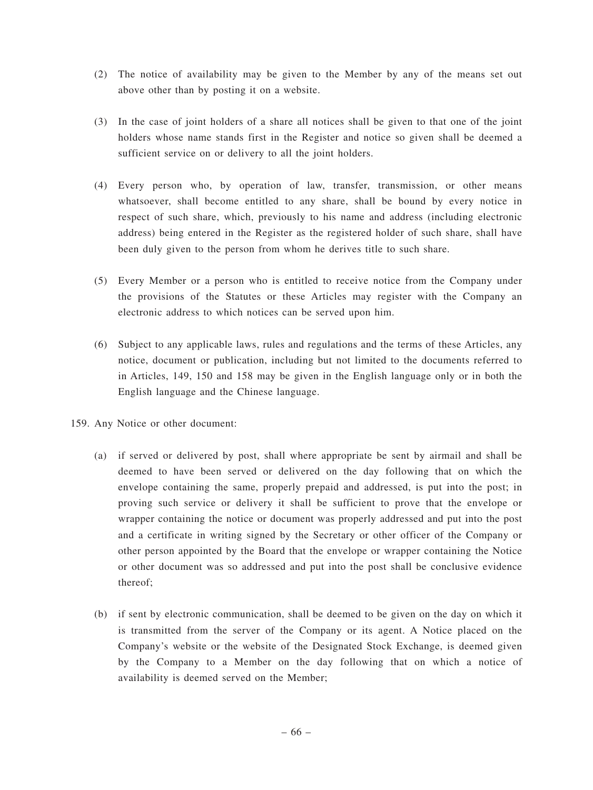- (2) The notice of availability may be given to the Member by any of the means set out above other than by posting it on a website.
- (3) In the case of joint holders of a share all notices shall be given to that one of the joint holders whose name stands first in the Register and notice so given shall be deemed a sufficient service on or delivery to all the joint holders.
- (4) Every person who, by operation of law, transfer, transmission, or other means whatsoever, shall become entitled to any share, shall be bound by every notice in respect of such share, which, previously to his name and address (including electronic address) being entered in the Register as the registered holder of such share, shall have been duly given to the person from whom he derives title to such share.
- (5) Every Member or a person who is entitled to receive notice from the Company under the provisions of the Statutes or these Articles may register with the Company an electronic address to which notices can be served upon him.
- (6) Subject to any applicable laws, rules and regulations and the terms of these Articles, any notice, document or publication, including but not limited to the documents referred to in Articles, 149, 150 and 158 may be given in the English language only or in both the English language and the Chinese language.
- 159. Any Notice or other document:
	- (a) if served or delivered by post, shall where appropriate be sent by airmail and shall be deemed to have been served or delivered on the day following that on which the envelope containing the same, properly prepaid and addressed, is put into the post; in proving such service or delivery it shall be sufficient to prove that the envelope or wrapper containing the notice or document was properly addressed and put into the post and a certificate in writing signed by the Secretary or other officer of the Company or other person appointed by the Board that the envelope or wrapper containing the Notice or other document was so addressed and put into the post shall be conclusive evidence thereof;
	- (b) if sent by electronic communication, shall be deemed to be given on the day on which it is transmitted from the server of the Company or its agent. A Notice placed on the Company's website or the website of the Designated Stock Exchange, is deemed given by the Company to a Member on the day following that on which a notice of availability is deemed served on the Member;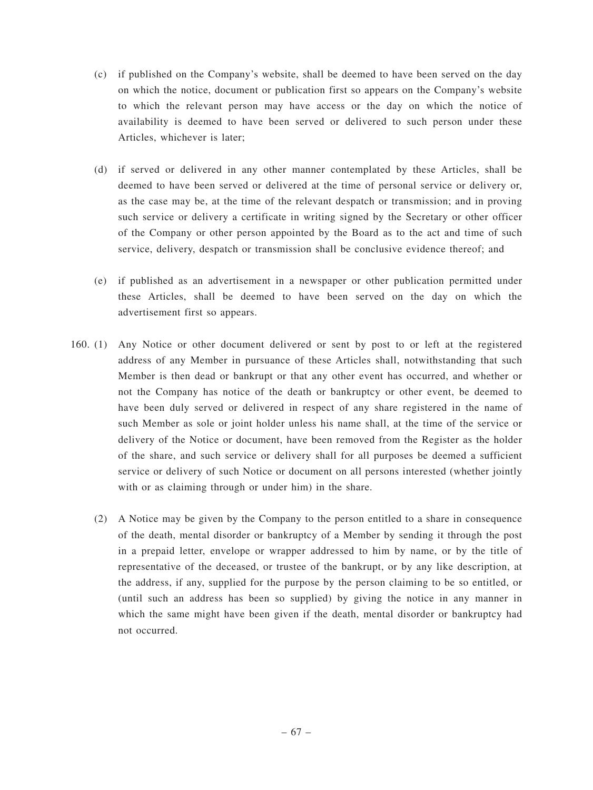- (c) if published on the Company's website, shall be deemed to have been served on the day on which the notice, document or publication first so appears on the Company's website to which the relevant person may have access or the day on which the notice of availability is deemed to have been served or delivered to such person under these Articles, whichever is later;
- (d) if served or delivered in any other manner contemplated by these Articles, shall be deemed to have been served or delivered at the time of personal service or delivery or, as the case may be, at the time of the relevant despatch or transmission; and in proving such service or delivery a certificate in writing signed by the Secretary or other officer of the Company or other person appointed by the Board as to the act and time of such service, delivery, despatch or transmission shall be conclusive evidence thereof; and
- (e) if published as an advertisement in a newspaper or other publication permitted under these Articles, shall be deemed to have been served on the day on which the advertisement first so appears.
- 160. (1) Any Notice or other document delivered or sent by post to or left at the registered address of any Member in pursuance of these Articles shall, notwithstanding that such Member is then dead or bankrupt or that any other event has occurred, and whether or not the Company has notice of the death or bankruptcy or other event, be deemed to have been duly served or delivered in respect of any share registered in the name of such Member as sole or joint holder unless his name shall, at the time of the service or delivery of the Notice or document, have been removed from the Register as the holder of the share, and such service or delivery shall for all purposes be deemed a sufficient service or delivery of such Notice or document on all persons interested (whether jointly with or as claiming through or under him) in the share.
	- (2) A Notice may be given by the Company to the person entitled to a share in consequence of the death, mental disorder or bankruptcy of a Member by sending it through the post in a prepaid letter, envelope or wrapper addressed to him by name, or by the title of representative of the deceased, or trustee of the bankrupt, or by any like description, at the address, if any, supplied for the purpose by the person claiming to be so entitled, or (until such an address has been so supplied) by giving the notice in any manner in which the same might have been given if the death, mental disorder or bankruptcy had not occurred.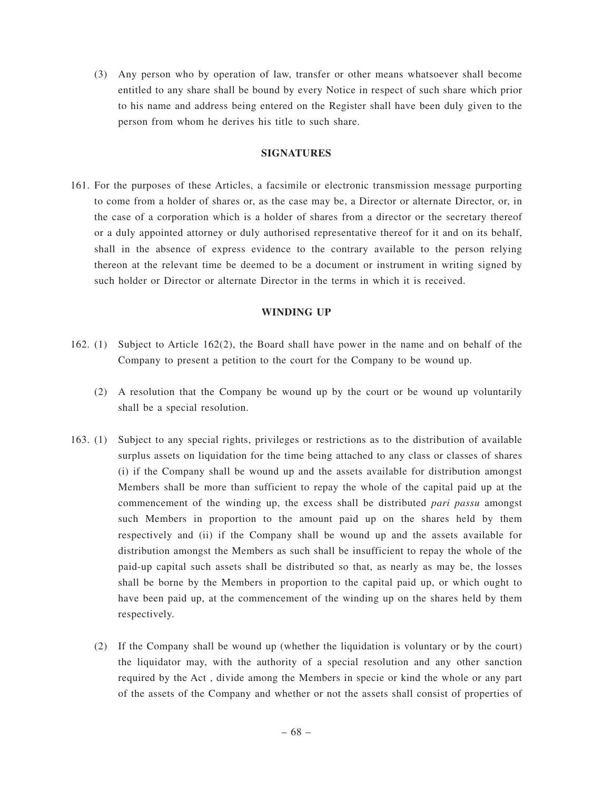(3) Any person who by operation of law, transfer or other means whatsoever shall become entitled to any share shall be bound by every Notice in respect of such share which prior to his name and address being entered on the Register shall have been duly given to the person from whom he derives his title to such share.

## **SIGNATURES**

161. For the purposes of these Articles, a facsimile or electronic transmission message purporting to come from a holder of shares or, as the case may be, a Director or alternate Director, or, in the case of a corporation which is a holder of shares from a director or the secretary thereof or a duly appointed attorney or duly authorised representative thereof for it and on its behalf, shall in the absence of express evidence to the contrary available to the person relying thereon at the relevant time be deemed to be a document or instrument in writing signed by such holder or Director or alternate Director in the terms in which it is received.

## **WINDING UP**

- 162. (1) Subject to Article 162(2), the Board shall have power in the name and on behalf of the Company to present a petition to the court for the Company to be wound up.
	- (2) A resolution that the Company be wound up by the court or be wound up voluntarily shall be a special resolution.
- 163. (1) Subject to any special rights, privileges or restrictions as to the distribution of available surplus assets on liquidation for the time being attached to any class or classes of shares (i) if the Company shall be wound up and the assets available for distribution amongst Members shall be more than sufficient to repay the whole of the capital paid up at the commencement of the winding up, the excess shall be distributed *pari passu* amongst such Members in proportion to the amount paid up on the shares held by them respectively and (ii) if the Company shall be wound up and the assets available for distribution amongst the Members as such shall be insufficient to repay the whole of the paid-up capital such assets shall be distributed so that, as nearly as may be, the losses shall be borne by the Members in proportion to the capital paid up, or which ought to have been paid up, at the commencement of the winding up on the shares held by them respectively.
	- (2) If the Company shall be wound up (whether the liquidation is voluntary or by the court) the liquidator may, with the authority of a special resolution and any other sanction required by the Act , divide among the Members in specie or kind the whole or any part of the assets of the Company and whether or not the assets shall consist of properties of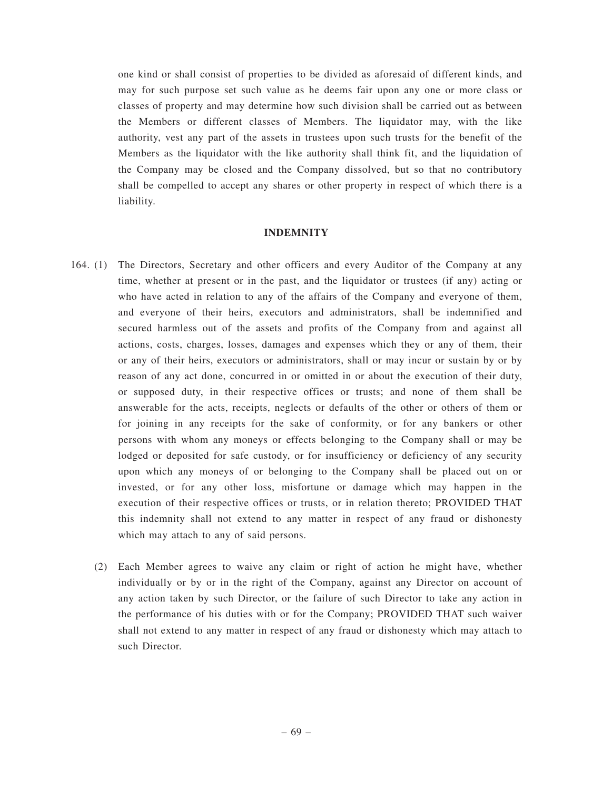one kind or shall consist of properties to be divided as aforesaid of different kinds, and may for such purpose set such value as he deems fair upon any one or more class or classes of property and may determine how such division shall be carried out as between the Members or different classes of Members. The liquidator may, with the like authority, vest any part of the assets in trustees upon such trusts for the benefit of the Members as the liquidator with the like authority shall think fit, and the liquidation of the Company may be closed and the Company dissolved, but so that no contributory shall be compelled to accept any shares or other property in respect of which there is a liability.

#### **INDEMNITY**

- 164. (1) The Directors, Secretary and other officers and every Auditor of the Company at any time, whether at present or in the past, and the liquidator or trustees (if any) acting or who have acted in relation to any of the affairs of the Company and everyone of them, and everyone of their heirs, executors and administrators, shall be indemnified and secured harmless out of the assets and profits of the Company from and against all actions, costs, charges, losses, damages and expenses which they or any of them, their or any of their heirs, executors or administrators, shall or may incur or sustain by or by reason of any act done, concurred in or omitted in or about the execution of their duty, or supposed duty, in their respective offices or trusts; and none of them shall be answerable for the acts, receipts, neglects or defaults of the other or others of them or for joining in any receipts for the sake of conformity, or for any bankers or other persons with whom any moneys or effects belonging to the Company shall or may be lodged or deposited for safe custody, or for insufficiency or deficiency of any security upon which any moneys of or belonging to the Company shall be placed out on or invested, or for any other loss, misfortune or damage which may happen in the execution of their respective offices or trusts, or in relation thereto; PROVIDED THAT this indemnity shall not extend to any matter in respect of any fraud or dishonesty which may attach to any of said persons.
	- (2) Each Member agrees to waive any claim or right of action he might have, whether individually or by or in the right of the Company, against any Director on account of any action taken by such Director, or the failure of such Director to take any action in the performance of his duties with or for the Company; PROVIDED THAT such waiver shall not extend to any matter in respect of any fraud or dishonesty which may attach to such Director.